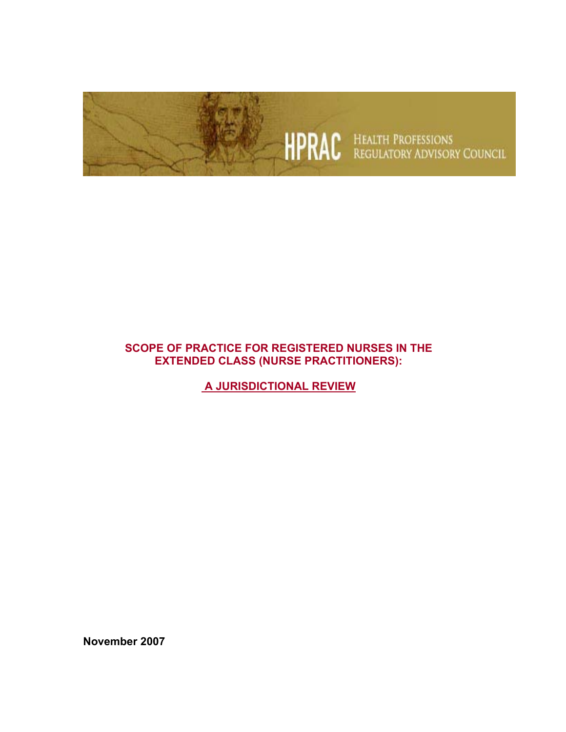

### **SCOPE OF PRACTICE FOR REGISTERED NURSES IN THE EXTENDED CLASS (NURSE PRACTITIONERS):**

 **A JURISDICTIONAL REVIEW**

**November 2007**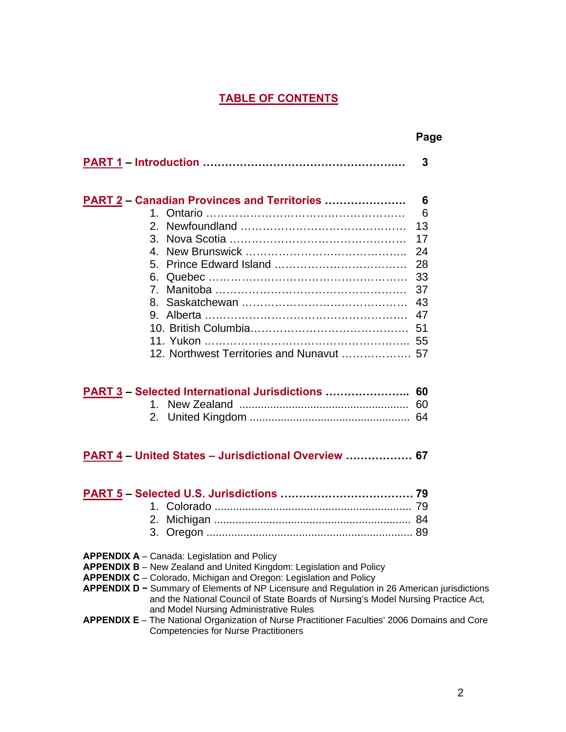### **TABLE OF CONTENTS**

|                                                     | Page |
|-----------------------------------------------------|------|
|                                                     | 3    |
| <b>PART 2 – Canadian Provinces and Territories </b> | 6    |
|                                                     | 6    |
|                                                     | 13   |
|                                                     | 17   |
|                                                     | 24   |
|                                                     | 28   |
|                                                     | 33   |
|                                                     | 37   |
|                                                     | 43   |
|                                                     | 47   |
|                                                     | 51   |
|                                                     |      |
| 12. Northwest Territories and Nunavut  57           |      |
| PART 3 - Selected International Jurisdictions  60   | 60   |
| 2.                                                  |      |

#### **PART 4 – United States – Jurisdictional Overview ……………… 67**

**APPENDIX A** – Canada: Legislation and Policy

**APPENDIX B** – New Zealand and United Kingdom: Legislation and Policy

- **APPENDIX C** Colorado, Michigan and Oregon: Legislation and Policy
- **APPENDIX D −** Summary of Elements of NP Licensure and Regulation in 26 American jurisdictions and the National Council of State Boards of Nursing's Model Nursing Practice Act*,*  and Model Nursing Administrative Rules

#### **APPENDIX E** – The National Organization of Nurse Practitioner Faculties' 2006 Domains and Core Competencies for Nurse Practitioners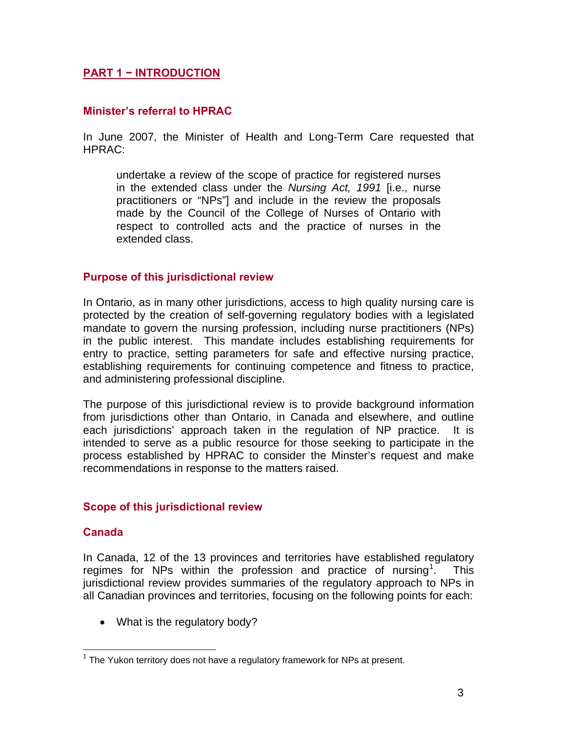### **PART 1 − INTRODUCTION**

#### **Minister's referral to HPRAC**

In June 2007, the Minister of Health and Long-Term Care requested that HPRAC:

undertake a review of the scope of practice for registered nurses in the extended class under the *Nursing Act, 1991* [i.e., nurse practitioners or "NPs"] and include in the review the proposals made by the Council of the College of Nurses of Ontario with respect to controlled acts and the practice of nurses in the extended class.

#### **Purpose of this jurisdictional review**

In Ontario, as in many other jurisdictions, access to high quality nursing care is protected by the creation of self-governing regulatory bodies with a legislated mandate to govern the nursing profession, including nurse practitioners (NPs) in the public interest. This mandate includes establishing requirements for entry to practice, setting parameters for safe and effective nursing practice, establishing requirements for continuing competence and fitness to practice, and administering professional discipline.

The purpose of this jurisdictional review is to provide background information from jurisdictions other than Ontario, in Canada and elsewhere, and outline each jurisdictions' approach taken in the regulation of NP practice. It is intended to serve as a public resource for those seeking to participate in the process established by HPRAC to consider the Minster's request and make recommendations in response to the matters raised.

#### **Scope of this jurisdictional review**

#### **Canada**

<u>.</u>

In Canada, 12 of the 13 provinces and territories have established regulatory regimes for NPs within the profession and practice of nursing<sup>[1](#page-2-0)</sup>. . This jurisdictional review provides summaries of the regulatory approach to NPs in all Canadian provinces and territories, focusing on the following points for each:

• What is the regulatory body?

<span id="page-2-0"></span> $1$  The Yukon territory does not have a regulatory framework for NPs at present.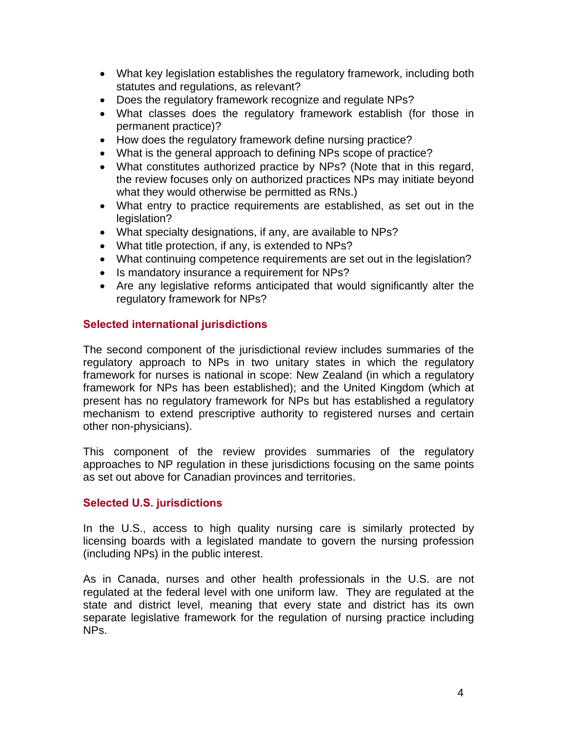- What key legislation establishes the regulatory framework, including both statutes and regulations, as relevant?
- Does the regulatory framework recognize and regulate NPs?
- What classes does the regulatory framework establish (for those in permanent practice)?
- How does the regulatory framework define nursing practice?
- What is the general approach to defining NPs scope of practice?
- What constitutes authorized practice by NPs? (Note that in this regard, the review focuses only on authorized practices NPs may initiate beyond what they would otherwise be permitted as RNs.)
- What entry to practice requirements are established, as set out in the legislation?
- What specialty designations, if any, are available to NPs?
- What title protection, if any, is extended to NPs?
- What continuing competence requirements are set out in the legislation?
- Is mandatory insurance a requirement for NPs?
- Are any legislative reforms anticipated that would significantly alter the regulatory framework for NPs?

### **Selected international jurisdictions**

The second component of the jurisdictional review includes summaries of the regulatory approach to NPs in two unitary states in which the regulatory framework for nurses is national in scope: New Zealand (in which a regulatory framework for NPs has been established); and the United Kingdom (which at present has no regulatory framework for NPs but has established a regulatory mechanism to extend prescriptive authority to registered nurses and certain other non-physicians).

This component of the review provides summaries of the regulatory approaches to NP regulation in these jurisdictions focusing on the same points as set out above for Canadian provinces and territories.

#### **Selected U.S. jurisdictions**

In the U.S., access to high quality nursing care is similarly protected by licensing boards with a legislated mandate to govern the nursing profession (including NPs) in the public interest.

As in Canada, nurses and other health professionals in the U.S. are not regulated at the federal level with one uniform law. They are regulated at the state and district level, meaning that every state and district has its own separate legislative framework for the regulation of nursing practice including NPs.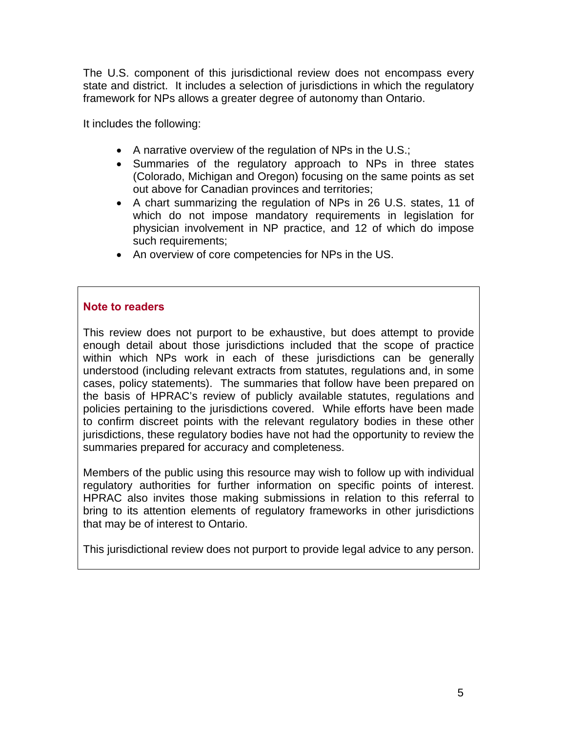The U.S. component of this jurisdictional review does not encompass every state and district. It includes a selection of jurisdictions in which the regulatory framework for NPs allows a greater degree of autonomy than Ontario.

It includes the following:

- A narrative overview of the regulation of NPs in the U.S.;
- Summaries of the regulatory approach to NPs in three states (Colorado, Michigan and Oregon) focusing on the same points as set out above for Canadian provinces and territories;
- A chart summarizing the regulation of NPs in 26 U.S. states, 11 of which do not impose mandatory requirements in legislation for physician involvement in NP practice, and 12 of which do impose such requirements;
- An overview of core competencies for NPs in the US.

#### **Note to readers**

This review does not purport to be exhaustive, but does attempt to provide enough detail about those jurisdictions included that the scope of practice within which NPs work in each of these jurisdictions can be generally understood (including relevant extracts from statutes, regulations and, in some cases, policy statements). The summaries that follow have been prepared on the basis of HPRAC's review of publicly available statutes, regulations and policies pertaining to the jurisdictions covered. While efforts have been made to confirm discreet points with the relevant regulatory bodies in these other jurisdictions, these regulatory bodies have not had the opportunity to review the summaries prepared for accuracy and completeness.

Members of the public using this resource may wish to follow up with individual regulatory authorities for further information on specific points of interest. HPRAC also invites those making submissions in relation to this referral to bring to its attention elements of regulatory frameworks in other jurisdictions that may be of interest to Ontario.

This jurisdictional review does not purport to provide legal advice to any person.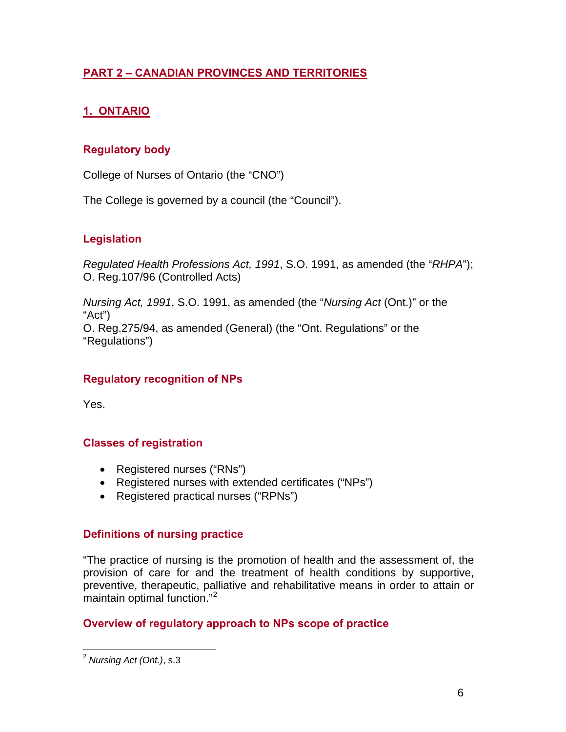## **PART 2 – CANADIAN PROVINCES AND TERRITORIES**

## **1. ONTARIO**

## **Regulatory body**

College of Nurses of Ontario (the "CNO")

The College is governed by a council (the "Council").

## **Legislation**

*Regulated Health Professions Act, 1991*, S.O. 1991, as amended (the "*RHPA*"); O. Reg.107/96 (Controlled Acts)

*Nursing Act, 1991*, S.O. 1991, as amended (the "*Nursing Act* (Ont.)" or the "Act") O. Reg.275/94, as amended (General) (the "Ont. Regulations" or the "Regulations")

### **Regulatory recognition of NPs**

Yes.

### **Classes of registration**

- Registered nurses ("RNs")
- Registered nurses with extended certificates ("NPs")
- Registered practical nurses ("RPNs")

#### **Definitions of nursing practice**

"The practice of nursing is the promotion of health and the assessment of, the provision of care for and the treatment of health conditions by supportive, preventive, therapeutic, palliative and rehabilitative means in order to attain or maintain optimal function."<sup>[2](#page-5-0)</sup>

### **Overview of regulatory approach to NPs scope of practice**

<span id="page-5-0"></span> $\overline{a}$ <sup>2</sup> *Nursing Act (Ont.)*, s.3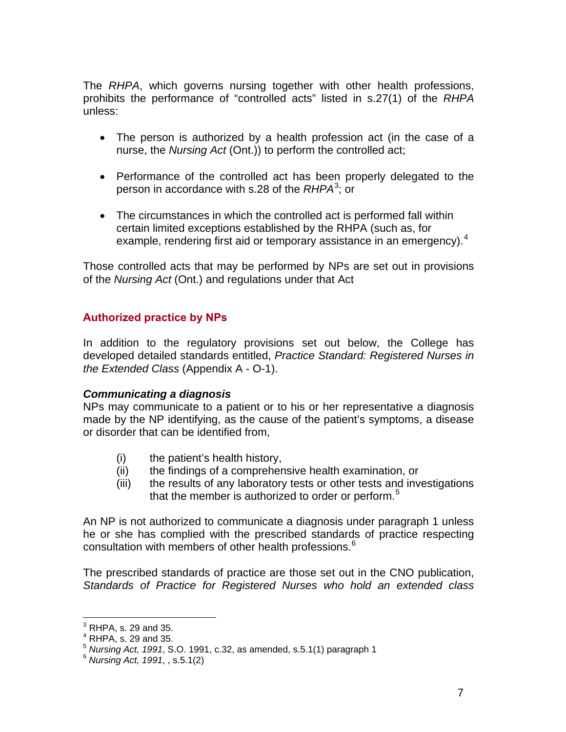The *RHPA*, which governs nursing together with other health professions, prohibits the performance of "controlled acts" listed in s.27(1) of the *RHPA* unless:

- The person is authorized by a health profession act (in the case of a nurse, the *Nursing Act* (Ont.)) to perform the controlled act;
- Performance of the controlled act has been properly delegated to the person in accordance with s.28 of the *RHPA*[3](#page-6-0) ; or
- The circumstances in which the controlled act is performed fall within certain limited exceptions established by the RHPA (such as, for example, rendering first aid or temporary assistance in an emergency).<sup>[4](#page-6-1)</sup>

Those controlled acts that may be performed by NPs are set out in provisions of the *Nursing Act* (Ont.) and regulations under that Act

### **Authorized practice by NPs**

In addition to the regulatory provisions set out below, the College has developed detailed standards entitled, *Practice Standard: Registered Nurses in the Extended Class* (Appendix A - O-1).

#### *Communicating a diagnosis*

NPs may communicate to a patient or to his or her representative a diagnosis made by the NP identifying, as the cause of the patient's symptoms, a disease or disorder that can be identified from,

- (i) the patient's health history,
- (ii) the findings of a comprehensive health examination, or
- (iii) the results of any laboratory tests or other tests and investigations that the member is authorized to order or perform.<sup>[5](#page-6-2)</sup>

An NP is not authorized to communicate a diagnosis under paragraph 1 unless he or she has complied with the prescribed standards of practice respecting consultation with members of other health professions.<sup>[6](#page-6-3)</sup>

The prescribed standards of practice are those set out in the CNO publication, *Standards of Practice for Registered Nurses who hold an extended class* 

<span id="page-6-0"></span> 3 RHPA, s. 29 and 35.

 $<sup>4</sup>$  RHPA, s. 29 and 35.</sup>

<span id="page-6-2"></span><span id="page-6-1"></span><sup>5</sup> *Nursing Act, 1991*, S.O. 1991, c.32, as amended, s.5.1(1) paragraph 1 6 *Nursing Act, 1991*, , s.5.1(2)

<span id="page-6-3"></span>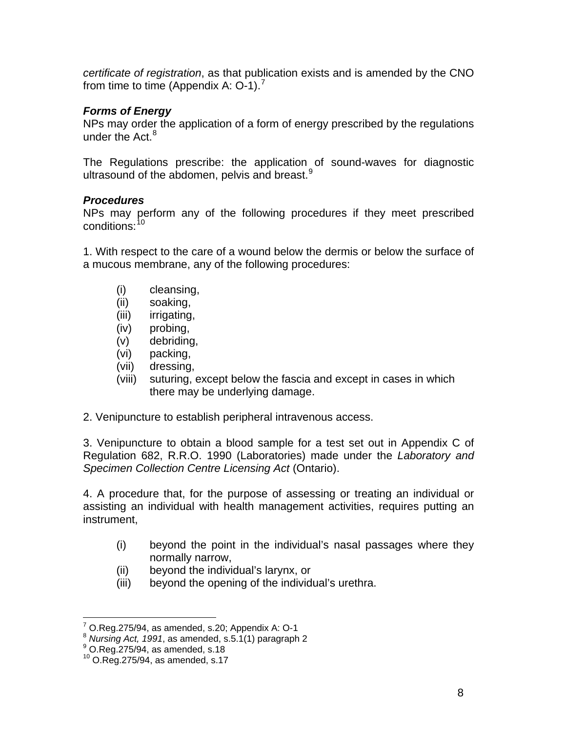*certificate of registration*, as that publication exists and is amended by the CNO from time to time (Appendix A:  $O-1$ ).<sup>[7](#page-7-0)</sup>

### *Forms of Energy*

NPs may order the application of a form of energy prescribed by the regulations under the Act. $8$ 

The Regulations prescribe: the application of sound-waves for diagnostic ultrasound of the abdomen, pelvis and breast.<sup>[9](#page-7-2)</sup>

### *Procedures*

NPs may perform any of the following procedures if they meet prescribed conditions: [1](#page-7-3)0

1. With respect to the care of a wound below the dermis or below the surface of a mucous membrane, any of the following procedures:

- (i) cleansing,
- (ii) soaking,
- (iii) irrigating,
- (iv) probing,
- (v) debriding,
- (vi) packing,
- (vii) dressing,
- (viii) suturing, except below the fascia and except in cases in which there may be underlying damage.
- 2. Venipuncture to establish peripheral intravenous access.

3. Venipuncture to obtain a blood sample for a test set out in Appendix C of Regulation 682, R.R.O. 1990 (Laboratories) made under the *Laboratory and Specimen Collection Centre Licensing Act* (Ontario).

4. A procedure that, for the purpose of assessing or treating an individual or assisting an individual with health management activities, requires putting an instrument,

- (i) beyond the point in the individual's nasal passages where they normally narrow,
- (ii) beyond the individual's larynx, or
- (iii) beyond the opening of the individual's urethra.

 7 O.Reg.275/94, as amended, s.20; Appendix A: O-1

<span id="page-7-1"></span><span id="page-7-0"></span><sup>8</sup> *Nursing Act, 1991*, as amended, s.5.1(1) paragraph 2 9

<span id="page-7-2"></span> $^9$  O.Reg.275/94, as amended, s.18

<span id="page-7-3"></span> $10$  O.Reg.275/94, as amended, s.17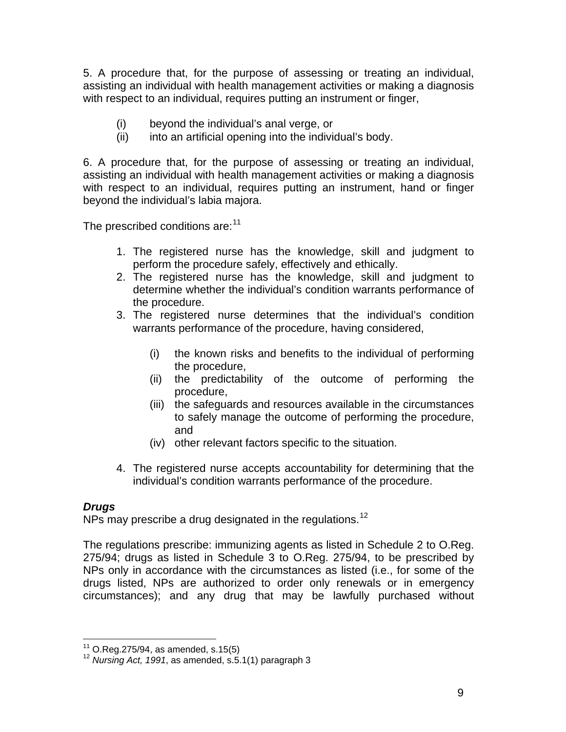5. A procedure that, for the purpose of assessing or treating an individual, assisting an individual with health management activities or making a diagnosis with respect to an individual, requires putting an instrument or finger,

- (i) beyond the individual's anal verge, or
- (ii) into an artificial opening into the individual's body.

6. A procedure that, for the purpose of assessing or treating an individual, assisting an individual with health management activities or making a diagnosis with respect to an individual, requires putting an instrument, hand or finger beyond the individual's labia majora.

The prescribed conditions are:<sup>[1](#page-8-0)1</sup>

- 1. The registered nurse has the knowledge, skill and judgment to perform the procedure safely, effectively and ethically.
- 2. The registered nurse has the knowledge, skill and judgment to determine whether the individual's condition warrants performance of the procedure.
- 3. The registered nurse determines that the individual's condition warrants performance of the procedure, having considered,
	- (i) the known risks and benefits to the individual of performing the procedure,
	- (ii) the predictability of the outcome of performing the procedure,
	- (iii) the safeguards and resources available in the circumstances to safely manage the outcome of performing the procedure, and
	- (iv) other relevant factors specific to the situation.
- 4. The registered nurse accepts accountability for determining that the individual's condition warrants performance of the procedure.

#### *Drugs*

NPs may prescribe a drug designated in the regulations.<sup>[12](#page-8-1)</sup>

The regulations prescribe: immunizing agents as listed in Schedule 2 to O.Reg. 275/94; drugs as listed in Schedule 3 to O.Reg. 275/94, to be prescribed by NPs only in accordance with the circumstances as listed (i.e., for some of the drugs listed, NPs are authorized to order only renewals or in emergency circumstances); and any drug that may be lawfully purchased without

 $11$  O.Reg.275/94, as amended, s.15(5)

<span id="page-8-1"></span><span id="page-8-0"></span><sup>&</sup>lt;sup>12</sup> Nursing Act, 1991, as amended, s.5.1(1) paragraph 3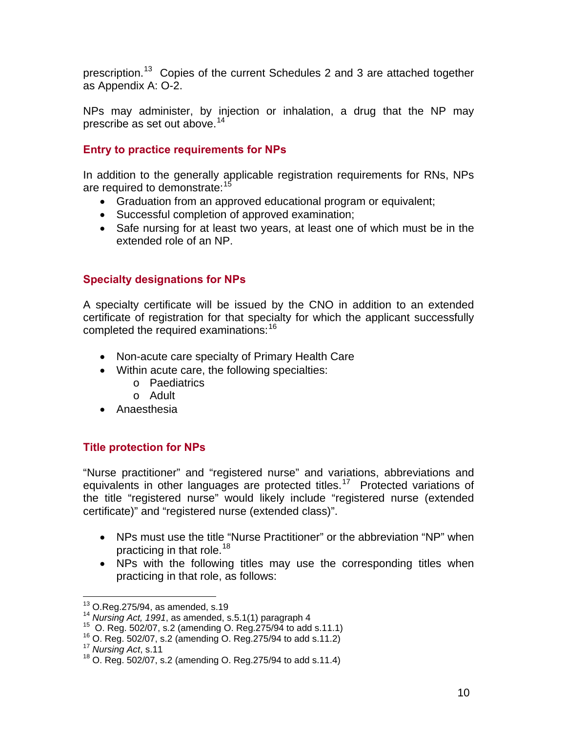prescription.<sup>[1](#page-9-0)3</sup> Copies of the current Schedules 2 and 3 are attached together as Appendix A: O-2.

NPs may administer, by injection or inhalation, a drug that the NP may prescribe as set out above.  $14$  $14$ 

## **Entry to practice requirements for NPs**

In addition to the generally applicable registration requirements for RNs, NPs are required to demonstrate:<sup>[1](#page-9-2)5</sup>

- Graduation from an approved educational program or equivalent;
- Successful completion of approved examination;
- Safe nursing for at least two years, at least one of which must be in the extended role of an NP.

# **Specialty designations for NPs**

A specialty certificate will be issued by the CNO in addition to an extended certificate of registration for that specialty for which the applicant successfully completed the required examinations:<sup>[1](#page-9-3)6</sup>

- Non-acute care specialty of Primary Health Care
- Within acute care, the following specialties:
	- o Paediatrics
	- o Adult
- Anaesthesia

## **Title protection for NPs**

"Nurse practitioner" and "registered nurse" and variations, abbreviations and equivalents in other languages are protected titles.<sup>[17](#page-9-4)</sup> Protected variations of the title "registered nurse" would likely include "registered nurse (extended certificate)" and "registered nurse (extended class)".

- NPs must use the title "Nurse Practitioner" or the abbreviation "NP" when practicing in that role.<sup>[18](#page-9-5)</sup>
- NPs with the following titles may use the corresponding titles when practicing in that role, as follows:

 $\overline{a}$ 

<span id="page-9-2"></span><span id="page-9-1"></span>

<span id="page-9-0"></span><sup>&</sup>lt;sup>13</sup> O.Reg.275/94, as amended, s.19<br><sup>14</sup> Nursing Act, 1991, as amended, s.5.1(1) paragraph 4<br><sup>15</sup> O. Reg. 502/07, s.2 (amending O. Reg.275/94 to add s.11.1)<br><sup>16</sup> O. Reg. 502/07, s.2 (amending O. Reg.275/94 to add s.11.2)<br>

<span id="page-9-3"></span>

<span id="page-9-4"></span>

<span id="page-9-5"></span><sup>18</sup> O. Reg. 502/07, s.2 (amending O. Reg.275/94 to add s.11.4)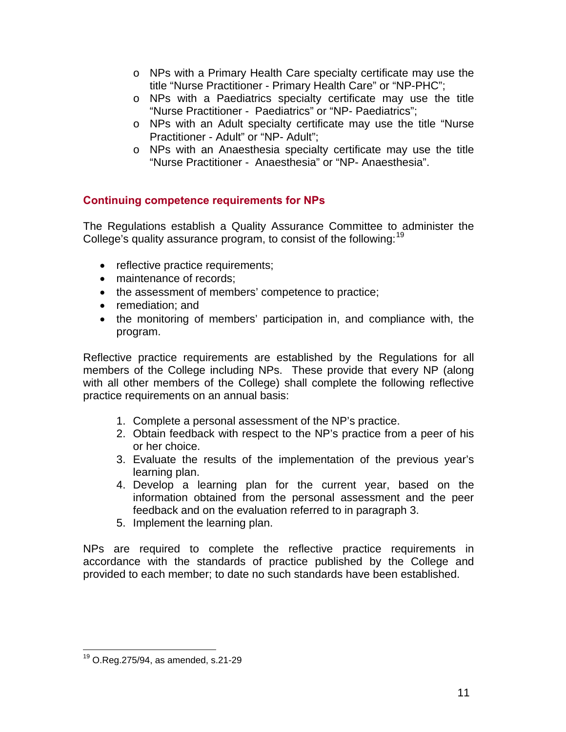- o NPs with a Primary Health Care specialty certificate may use the title "Nurse Practitioner - Primary Health Care" or "NP-PHC";
- o NPs with a Paediatrics specialty certificate may use the title "Nurse Practitioner - Paediatrics" or "NP- Paediatrics";
- o NPs with an Adult specialty certificate may use the title "Nurse Practitioner - Adult" or "NP- Adult";
- o NPs with an Anaesthesia specialty certificate may use the title "Nurse Practitioner - Anaesthesia" or "NP- Anaesthesia".

## **Continuing competence requirements for NPs**

The Regulations establish a Quality Assurance Committee to administer the College's quality assurance program, to consist of the following:<sup>[1](#page-10-0)9</sup>

- reflective practice requirements;
- maintenance of records:
- the assessment of members' competence to practice;
- remediation; and
- the monitoring of members' participation in, and compliance with, the program.

Reflective practice requirements are established by the Regulations for all members of the College including NPs. These provide that every NP (along with all other members of the College) shall complete the following reflective practice requirements on an annual basis:

- 1. Complete a personal assessment of the NP's practice.
- 2. Obtain feedback with respect to the NP's practice from a peer of his or her choice.
- 3. Evaluate the results of the implementation of the previous year's learning plan.
- 4. Develop a learning plan for the current year, based on the information obtained from the personal assessment and the peer feedback and on the evaluation referred to in paragraph 3.
- 5. Implement the learning plan.

NPs are required to complete the reflective practice requirements in accordance with the standards of practice published by the College and provided to each member; to date no such standards have been established.

 $\overline{a}$ 

<span id="page-10-0"></span> $19$  O.Reg.275/94, as amended, s.21-29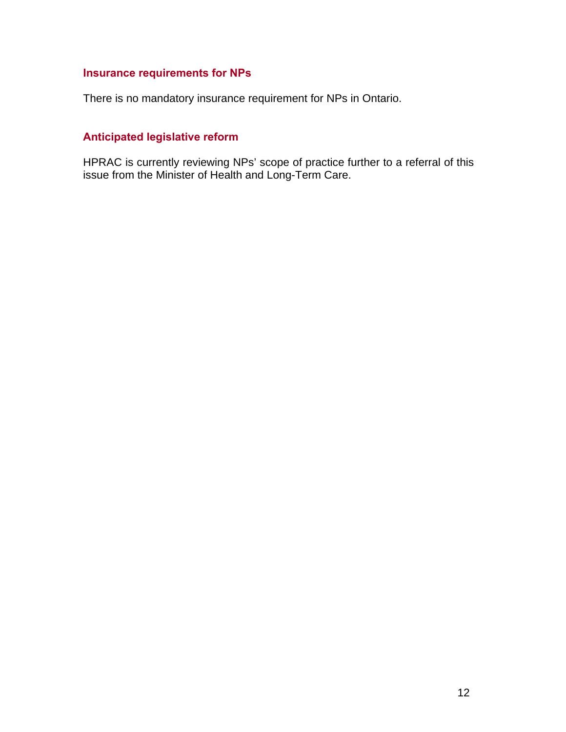## **Insurance requirements for NPs**

There is no mandatory insurance requirement for NPs in Ontario.

### **Anticipated legislative reform**

HPRAC is currently reviewing NPs' scope of practice further to a referral of this issue from the Minister of Health and Long-Term Care.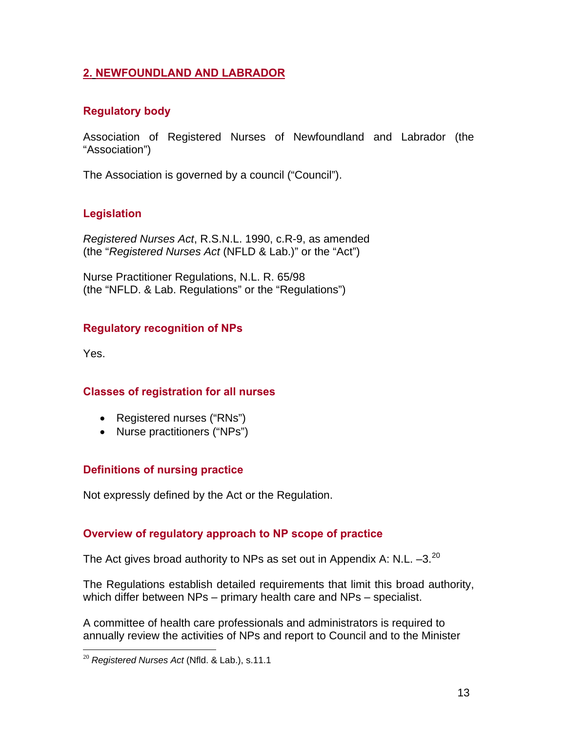### **2. NEWFOUNDLAND AND LABRADOR**

## **Regulatory body**

Association of Registered Nurses of Newfoundland and Labrador (the "Association")

The Association is governed by a council ("Council").

## **Legislation**

*Registered Nurses Act*, R.S.N.L. 1990, c.R-9, as amended (the "*Registered Nurses Act* (NFLD & Lab.)" or the "Act")

Nurse Practitioner Regulations, N.L. R. 65/98 (the "NFLD. & Lab. Regulations" or the "Regulations")

## **Regulatory recognition of NPs**

Yes.

 $\overline{a}$ 

### **Classes of registration for all nurses**

- Registered nurses ("RNs")
- Nurse practitioners ("NPs")

### **Definitions of nursing practice**

Not expressly defined by the Act or the Regulation.

### **Overview of regulatory approach to NP scope of practice**

The Act gives broad authority to NPs as set out in Appendix A: N.L.  $-3.^{20}$  $-3.^{20}$  $-3.^{20}$ 

The Regulations establish detailed requirements that limit this broad authority, which differ between NPs – primary health care and NPs – specialist.

A committee of health care professionals and administrators is required to annually review the activities of NPs and report to Council and to the Minister

<span id="page-12-0"></span><sup>20</sup> *Registered Nurses Act* (Nfld. & Lab.), s.11.1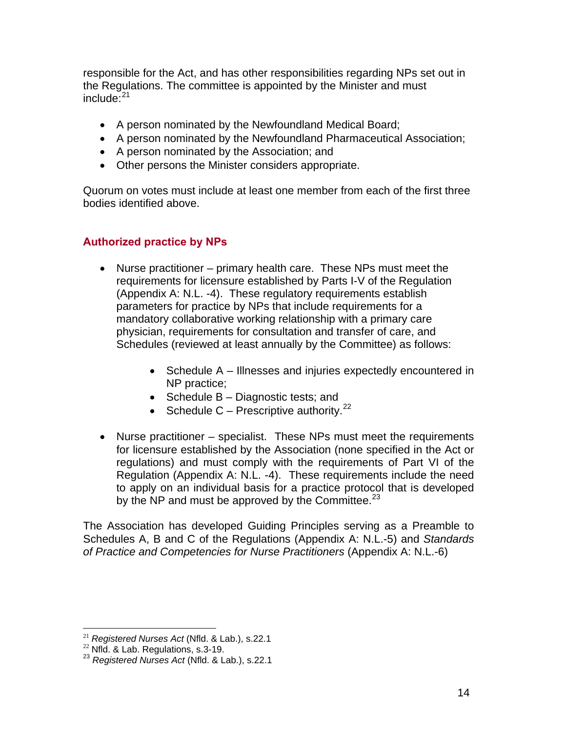responsible for the Act, and has other responsibilities regarding NPs set out in the Regulations. The committee is appointed by the Minister and must  $include:$ <sup>[2](#page-13-0)1</sup>

- A person nominated by the Newfoundland Medical Board;
- A person nominated by the Newfoundland Pharmaceutical Association;
- A person nominated by the Association; and
- Other persons the Minister considers appropriate.

Quorum on votes must include at least one member from each of the first three bodies identified above.

### **Authorized practice by NPs**

- Nurse practitioner primary health care. These NPs must meet the requirements for licensure established by Parts I-V of the Regulation (Appendix A: N.L. -4). These regulatory requirements establish parameters for practice by NPs that include requirements for a mandatory collaborative working relationship with a primary care physician, requirements for consultation and transfer of care, and Schedules (reviewed at least annually by the Committee) as follows:
	- Schedule A Illnesses and injuries expectedly encountered in NP practice;
	- Schedule B Diagnostic tests; and
	- Schedule C Prescriptive authority.<sup>[22](#page-13-1)</sup>
- Nurse practitioner specialist. These NPs must meet the requirements for licensure established by the Association (none specified in the Act or regulations) and must comply with the requirements of Part VI of the Regulation (Appendix A: N.L. -4). These requirements include the need to apply on an individual basis for a practice protocol that is developed by the NP and must be approved by the Committee.<sup>[2](#page-13-2)3</sup>

The Association has developed Guiding Principles serving as a Preamble to Schedules A, B and C of the Regulations (Appendix A: N.L.-5) and *Standards of Practice and Competencies for Nurse Practitioners* (Appendix A: N.L.-6)

 $21$  Registered Nurses Act (Nfld. & Lab.), s.22.1

<span id="page-13-2"></span><span id="page-13-1"></span><span id="page-13-0"></span><sup>&</sup>lt;sup>22</sup> Nfld. & Lab. Regulations, s.3-19.<br><sup>23</sup> Registered Nurses Act (Nfld. & Lab.), s.22.1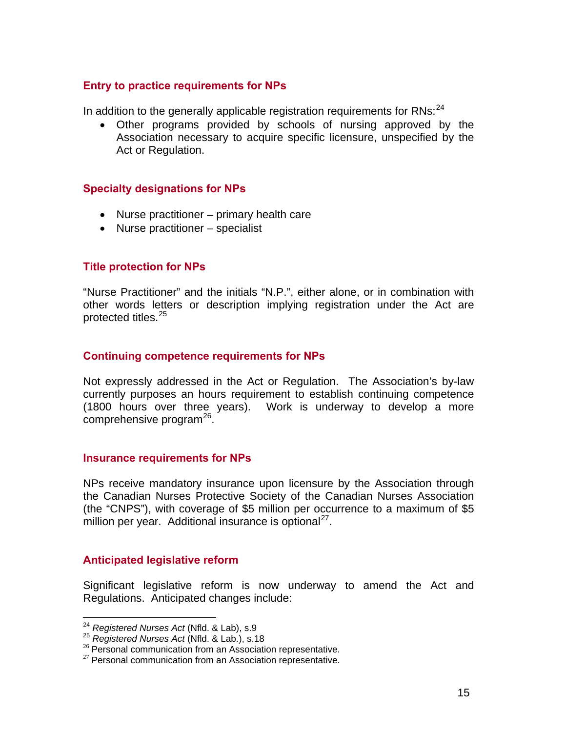#### **Entry to practice requirements for NPs**

In addition to the generally applicable registration requirements for  $RNs:^{24}$  $RNs:^{24}$  $RNs:^{24}$ 

• Other programs provided by schools of nursing approved by the Association necessary to acquire specific licensure, unspecified by the Act or Regulation.

#### **Specialty designations for NPs**

- Nurse practitioner primary health care
- Nurse practitioner specialist

#### **Title protection for NPs**

"Nurse Practitioner" and the initials "N.P.", either alone, or in combination with other words letters or description implying registration under the Act are protected titles.<sup>[2](#page-14-1)5</sup>

#### **Continuing competence requirements for NPs**

Not expressly addressed in the Act or Regulation. The Association's by-law currently purposes an hours requirement to establish continuing competence (1800 hours over three years). Work is underway to develop a more comprehensive program $^{26}$  $^{26}$  $^{26}$ .

#### **Insurance requirements for NPs**

NPs receive mandatory insurance upon licensure by the Association through the Canadian Nurses Protective Society of the Canadian Nurses Association (the "CNPS"), with coverage of \$5 million per occurrence to a maximum of \$5 million per year. Additional insurance is optional<sup>[27](#page-14-3)</sup>.

#### **Anticipated legislative reform**

Significant legislative reform is now underway to amend the Act and Regulations. Anticipated changes include:

<span id="page-14-0"></span><sup>&</sup>lt;sup>24</sup> Registered Nurses Act (Nfld. & Lab), s.9

<span id="page-14-1"></span><sup>&</sup>lt;sup>25</sup> Registered Nurses Act (Nfld. & Lab.), s.18<br><sup>25</sup> Personal communication from an Association representative.<br><sup>27</sup> Personal communication from an Association representative.

<span id="page-14-3"></span><span id="page-14-2"></span>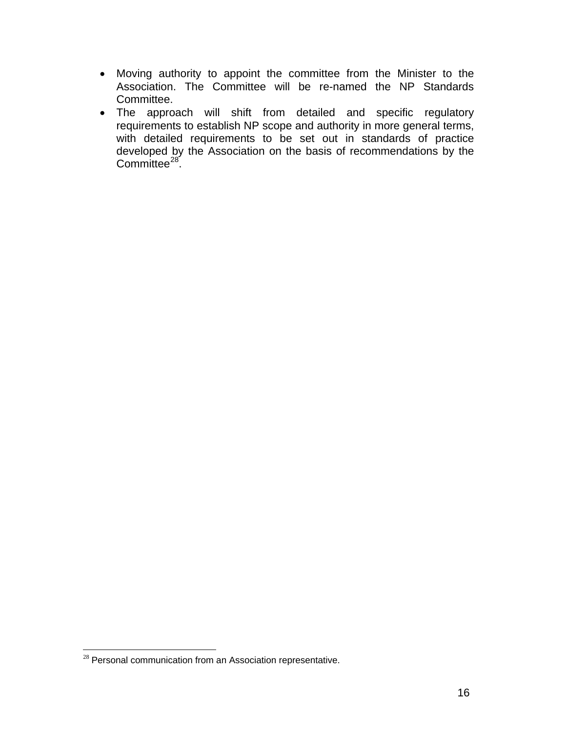- Moving authority to appoint the committee from the Minister to the Association. The Committee will be re-named the NP Standards Committee.
- The approach will shift from detailed and specific regulatory requirements to establish NP scope and authority in more general terms, with detailed requirements to be set out in standards of practice developed by the Association on the basis of recommendations by the Committee<sup>[28](#page-15-0)</sup>.

 $\overline{a}$ 

<span id="page-15-0"></span> $28$  Personal communication from an Association representative.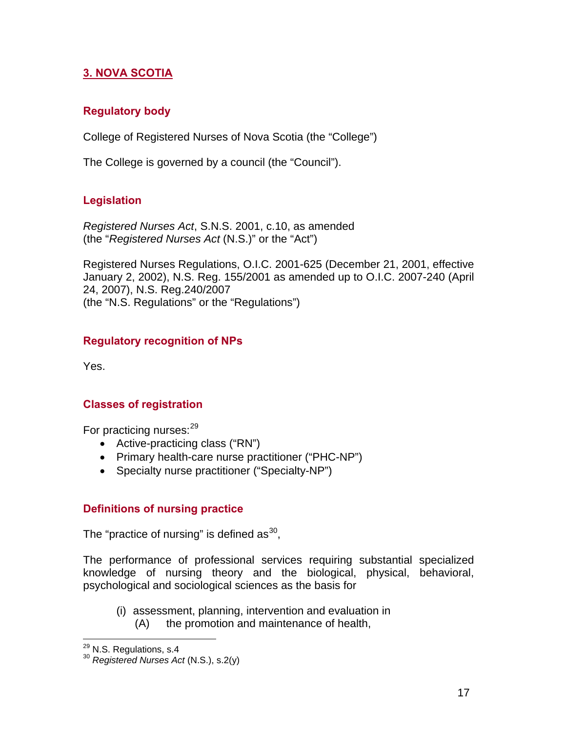## **3. NOVA SCOTIA**

### **Regulatory body**

College of Registered Nurses of Nova Scotia (the "College")

The College is governed by a council (the "Council").

### **Legislation**

*Registered Nurses Act*, S.N.S. 2001, c.10, as amended (the "*Registered Nurses Act* (N.S.)" or the "Act")

Registered Nurses Regulations, O.I.C. 2001-625 (December 21, 2001, effective January 2, 2002), N.S. Reg. 155/2001 as amended up to O.I.C. 2007-240 (April 24, 2007), N.S. Reg.240/2007 (the "N.S. Regulations" or the "Regulations")

### **Regulatory recognition of NPs**

Yes.

#### **Classes of registration**

For practicing nurses:<sup>[2](#page-16-0)9</sup>

- Active-practicing class ("RN")
- Primary health-care nurse practitioner ("PHC-NP")
- Specialty nurse practitioner ("Specialty-NP")

#### **Definitions of nursing practice**

The "practice of nursing" is defined as  $30$ ,

The performance of professional services requiring substantial specialized knowledge of nursing theory and the biological, physical, behavioral, psychological and sociological sciences as the basis for

(i) assessment, planning, intervention and evaluation in (A) the promotion and maintenance of health,

<span id="page-16-0"></span><sup>&</sup>lt;sup>29</sup> N.S. Regulations, s.4

<span id="page-16-1"></span><sup>&</sup>lt;sup>30</sup> Registered Nurses Act (N.S.), s.2(y)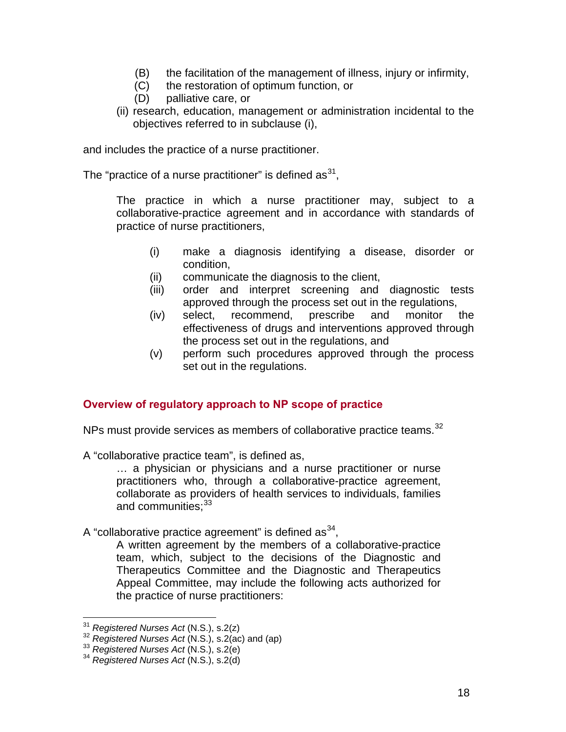- (B) the facilitation of the management of illness, injury or infirmity,
- (C) the restoration of optimum function, or
- (D) palliative care, or
- (ii) research, education, management or administration incidental to the objectives referred to in subclause (i),

and includes the practice of a nurse practitioner.

The "practice of a nurse practitioner" is defined as  $31$  $31$ ,

The practice in which a nurse practitioner may, subject to a collaborative-practice agreement and in accordance with standards of practice of nurse practitioners,

- (i) make a diagnosis identifying a disease, disorder or condition,
- (ii) communicate the diagnosis to the client,
- (iii) order and interpret screening and diagnostic tests approved through the process set out in the regulations,
- (iv) select, recommend, prescribe and monitor the effectiveness of drugs and interventions approved through the process set out in the regulations, and
- (v) perform such procedures approved through the process set out in the regulations.

#### **Overview of regulatory approach to NP scope of practice**

NPs must provide services as members of collaborative practice teams.<sup>[3](#page-17-1)2</sup>

A "collaborative practice team", is defined as,

… a physician or physicians and a nurse practitioner or nurse practitioners who, through a collaborative-practice agreement, collaborate as providers of health services to individuals, families and communities:  $33$ 

A "collaborative practice agreement" is defined as  $34$  $34$ ,

A written agreement by the members of a collaborative-practice team, which, subject to the decisions of the Diagnostic and Therapeutics Committee and the Diagnostic and Therapeutics Appeal Committee, may include the following acts authorized for the practice of nurse practitioners:

<span id="page-17-0"></span> $31$  Registered Nurses Act (N.S.), s.2(z)

<span id="page-17-2"></span><span id="page-17-1"></span><sup>31</sup> *Registered Nurses Act* (N.S.), s.2(z) 32 *Registered Nurses Act* (N.S.), s.2(ac) and (ap) 33 *Registered Nurses Act* (N.S.), s.2(e) 34 *Registered Nurses Act* (N.S.), s.2(d)

<span id="page-17-3"></span>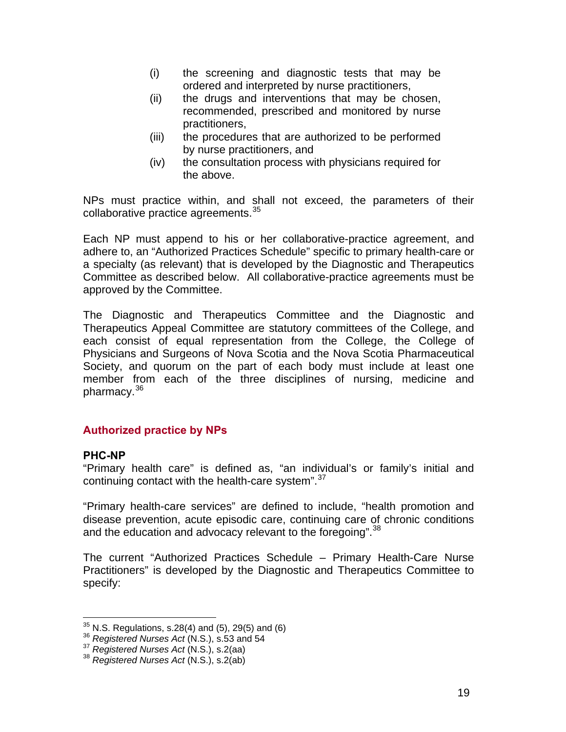- (i) the screening and diagnostic tests that may be ordered and interpreted by nurse practitioners,
- (ii) the drugs and interventions that may be chosen, recommended, prescribed and monitored by nurse practitioners,
- (iii) the procedures that are authorized to be performed by nurse practitioners, and
- (iv) the consultation process with physicians required for the above.

NPs must practice within, and shall not exceed, the parameters of their collaborative practice agreements.<sup>[35](#page-18-0)</sup>

Each NP must append to his or her collaborative-practice agreement, and adhere to, an "Authorized Practices Schedule" specific to primary health-care or a specialty (as relevant) that is developed by the Diagnostic and Therapeutics Committee as described below. All collaborative-practice agreements must be approved by the Committee.

The Diagnostic and Therapeutics Committee and the Diagnostic and Therapeutics Appeal Committee are statutory committees of the College, and each consist of equal representation from the College, the College of Physicians and Surgeons of Nova Scotia and the Nova Scotia Pharmaceutical Society, and quorum on the part of each body must include at least one member from each of the three disciplines of nursing, medicine and pharmacy.<sup>[36](#page-18-1)</sup>

### **Authorized practice by NPs**

#### **PHC-NP**

 $\overline{a}$ 

"Primary health care" is defined as, "an individual's or family's initial and continuing contact with the health-care system".<sup>[3](#page-18-2)7</sup>

"Primary health-care services" are defined to include, "health promotion and disease prevention, acute episodic care, continuing care of chronic conditions and the education and advocacy relevant to the foregoing".<sup>[38](#page-18-3)</sup>

The current "Authorized Practices Schedule – Primary Health-Care Nurse Practitioners" is developed by the Diagnostic and Therapeutics Committee to specify:

<span id="page-18-0"></span><sup>&</sup>lt;sup>35</sup> N.S. Regulations, s.28(4) and (5), 29(5) and (6)<br><sup>36</sup> *Registered Nurses Act* (N.S.), s.53 and 54<br><sup>37</sup> *Registered Nurses Act* (N.S.), s.2(aa)<br><sup>38</sup> *Registered Nurses Act* (N.S.), s.2(ab)

<span id="page-18-1"></span>

<span id="page-18-3"></span><span id="page-18-2"></span>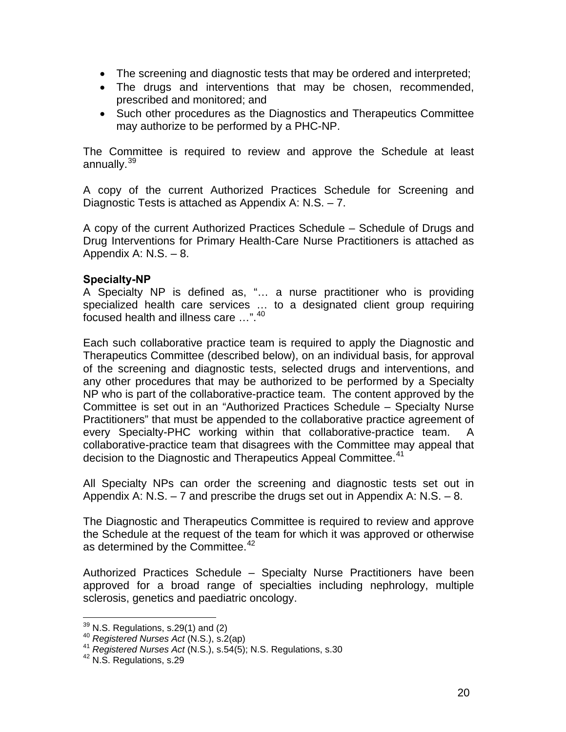- The screening and diagnostic tests that may be ordered and interpreted;
- The drugs and interventions that may be chosen, recommended, prescribed and monitored; and
- Such other procedures as the Diagnostics and Therapeutics Committee may authorize to be performed by a PHC-NP.

The Committee is required to review and approve the Schedule at least annually.<sup>[39](#page-19-0)</sup>

A copy of the current Authorized Practices Schedule for Screening and Diagnostic Tests is attached as Appendix A: N.S. – 7.

A copy of the current Authorized Practices Schedule – Schedule of Drugs and Drug Interventions for Primary Health-Care Nurse Practitioners is attached as Appendix A: N.S. – 8.

#### **Specialty-NP**

A Specialty NP is defined as, "… a nurse practitioner who is providing specialized health care services … to a designated client group requiring focused health and illness care …".<sup>[4](#page-19-1)0</sup>

Each such collaborative practice team is required to apply the Diagnostic and Therapeutics Committee (described below), on an individual basis, for approval of the screening and diagnostic tests, selected drugs and interventions, and any other procedures that may be authorized to be performed by a Specialty NP who is part of the collaborative-practice team. The content approved by the Committee is set out in an "Authorized Practices Schedule – Specialty Nurse Practitioners" that must be appended to the collaborative practice agreement of every Specialty-PHC working within that collaborative-practice team. A collaborative-practice team that disagrees with the Committee may appeal that decision to the Diagnostic and Therapeutics Appeal Committee.<sup>[4](#page-19-2)1</sup>

All Specialty NPs can order the screening and diagnostic tests set out in Appendix A: N.S. – 7 and prescribe the drugs set out in Appendix A: N.S. – 8.

The Diagnostic and Therapeutics Committee is required to review and approve the Schedule at the request of the team for which it was approved or otherwise as determined by the Committee.<sup>[42](#page-19-3)</sup>

Authorized Practices Schedule – Specialty Nurse Practitioners have been approved for a broad range of specialties including nephrology, multiple sclerosis, genetics and paediatric oncology.

<span id="page-19-0"></span> $39$  N.S. Regulations, s.29(1) and (2)

<span id="page-19-2"></span><span id="page-19-1"></span><sup>&</sup>lt;sup>40</sup> Registered Nurses Act (N.S.), s.2(ap)<br><sup>41</sup> *Registered Nurses Act* (N.S.), s.54(5); N.S. Regulations, s.30<br><sup>42</sup> N.S. Regulations, s.29

<span id="page-19-3"></span>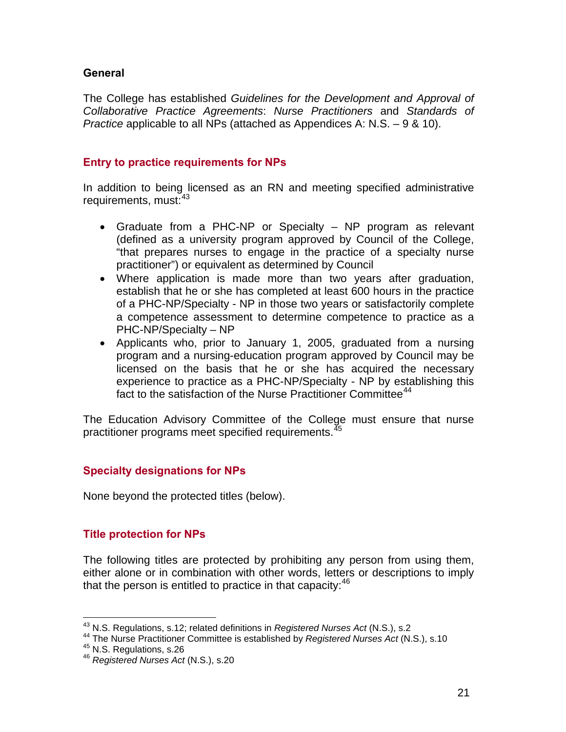#### **General**

The College has established *Guidelines for the Development and Approval of Collaborative Practice Agreements*: *Nurse Practitioners* and *Standards of Practice* applicable to all NPs (attached as Appendices A: N.S. – 9 & 10).

### **Entry to practice requirements for NPs**

In addition to being licensed as an RN and meeting specified administrative requirements, must:<sup>[43](#page-20-0)</sup>

- Graduate from a PHC-NP or Specialty NP program as relevant (defined as a university program approved by Council of the College, "that prepares nurses to engage in the practice of a specialty nurse practitioner") or equivalent as determined by Council
- Where application is made more than two years after graduation, establish that he or she has completed at least 600 hours in the practice of a PHC-NP/Specialty - NP in those two years or satisfactorily complete a competence assessment to determine competence to practice as a PHC-NP/Specialty – NP
- Applicants who, prior to January 1, 2005, graduated from a nursing program and a nursing-education program approved by Council may be licensed on the basis that he or she has acquired the necessary experience to practice as a PHC-NP/Specialty - NP by establishing this fact to the satisfaction of the Nurse Practitioner Committee<sup>[4](#page-20-1)4</sup>

The Education Advisory Committee of the College must ensure that nurse practitioner programs meet specified requirements.<sup>[45](#page-20-2)</sup>

### **Specialty designations for NPs**

None beyond the protected titles (below).

#### **Title protection for NPs**

The following titles are protected by prohibiting any person from using them, either alone or in combination with other words, letters or descriptions to imply that the person is entitled to practice in that capacity: $46$  $46$ 

<span id="page-20-0"></span><sup>&</sup>lt;sup>43</sup> N.S. Regulations, s.12; related definitions in Registered Nurses Act (N.S.), s.2

<span id="page-20-2"></span><span id="page-20-1"></span><sup>&</sup>lt;sup>44</sup> The Nurse Practitioner Committee is established by *Registered Nurses Act* (N.S.), s.10<br><sup>45</sup> N.S. Regulations, s.26<br><sup>46</sup> Registered Nurses Act (N.S.), s.20

<span id="page-20-3"></span>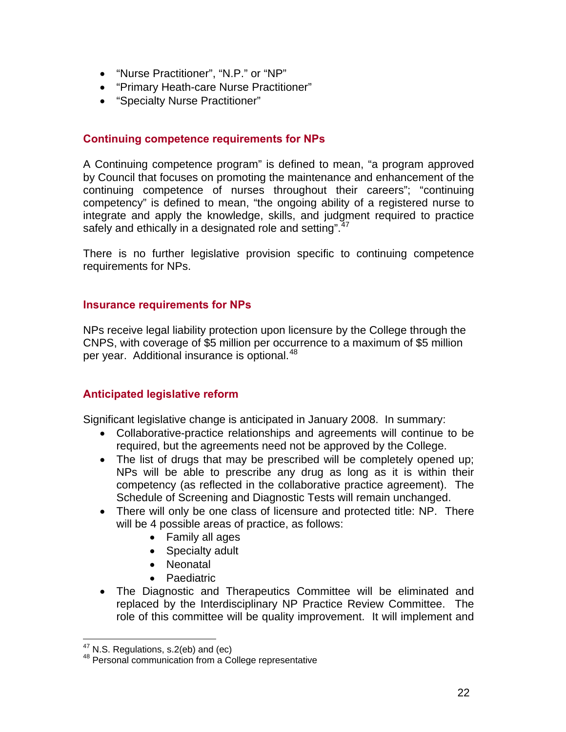- "Nurse Practitioner", "N.P." or "NP"
- "Primary Heath-care Nurse Practitioner"
- "Specialty Nurse Practitioner"

#### **Continuing competence requirements for NPs**

A Continuing competence program" is defined to mean, "a program approved by Council that focuses on promoting the maintenance and enhancement of the continuing competence of nurses throughout their careers"; "continuing competency" is defined to mean, "the ongoing ability of a registered nurse to integrate and apply the knowledge, skills, and judgment required to practice safely and ethically in a designated role and setting".<sup>[47](#page-21-0)</sup>

There is no further legislative provision specific to continuing competence requirements for NPs.

#### **Insurance requirements for NPs**

NPs receive legal liability protection upon licensure by the College through the CNPS, with coverage of \$5 million per occurrence to a maximum of \$5 million per year. Additional insurance is optional.<sup>[48](#page-21-1)</sup>

### **Anticipated legislative reform**

Significant legislative change is anticipated in January 2008. In summary:

- Collaborative-practice relationships and agreements will continue to be required, but the agreements need not be approved by the College.
- The list of drugs that may be prescribed will be completely opened up; NPs will be able to prescribe any drug as long as it is within their competency (as reflected in the collaborative practice agreement). The Schedule of Screening and Diagnostic Tests will remain unchanged.
- There will only be one class of licensure and protected title: NP. There will be 4 possible areas of practice, as follows:
	- Family all ages
	- Specialty adult
	- Neonatal
	- **Paediatric**
- The Diagnostic and Therapeutics Committee will be eliminated and replaced by the Interdisciplinary NP Practice Review Committee. The role of this committee will be quality improvement. It will implement and

<span id="page-21-0"></span><sup>&</sup>lt;sup>47</sup> N.S. Regulations, s.2(eb) and (ec)

<span id="page-21-1"></span><sup>48</sup> Personal communication from a College representative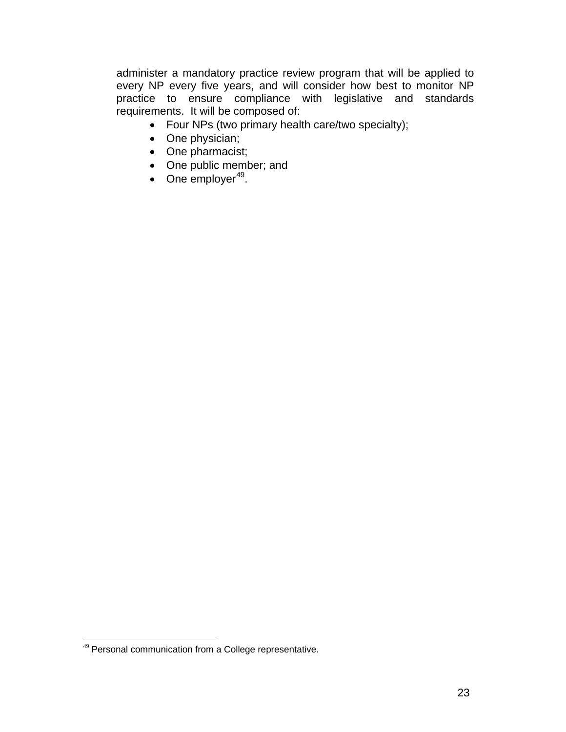administer a mandatory practice review program that will be applied to every NP every five years, and will consider how best to monitor NP practice to ensure compliance with legislative and standards requirements. It will be composed of:

- Four NPs (two primary health care/two specialty);
- One physician;
- One pharmacist;
- One public member; and
- One employer $49$  $49$ .

 $\overline{a}$ 

<span id="page-22-0"></span><sup>&</sup>lt;sup>49</sup> Personal communication from a College representative.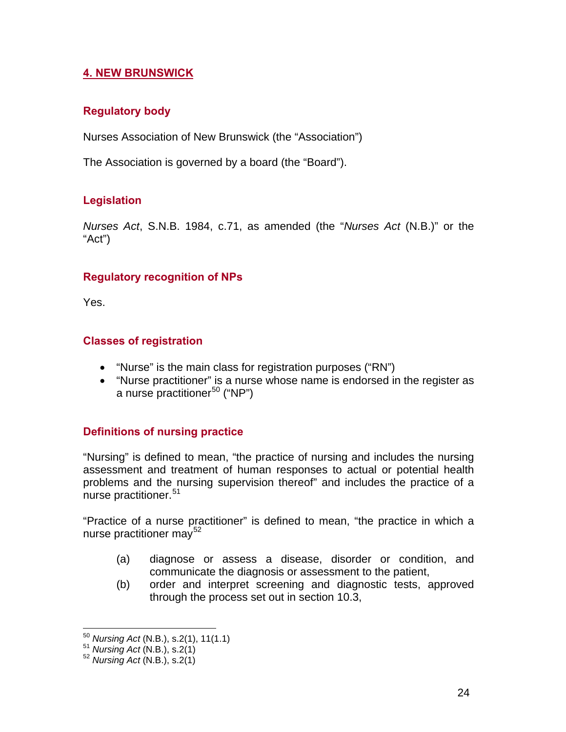## **4. NEW BRUNSWICK**

### **Regulatory body**

Nurses Association of New Brunswick (the "Association")

The Association is governed by a board (the "Board").

## **Legislation**

*Nurses Act*, S.N.B. 1984, c.71, as amended (the "*Nurses Act* (N.B.)" or the "Act")

### **Regulatory recognition of NPs**

Yes.

### **Classes of registration**

- "Nurse" is the main class for registration purposes ("RN")
- "Nurse practitioner" is a nurse whose name is endorsed in the register as a nurse practitioner<sup>[50](#page-23-0)</sup> ("NP")

### **Definitions of nursing practice**

"Nursing" is defined to mean, "the practice of nursing and includes the nursing assessment and treatment of human responses to actual or potential health problems and the nursing supervision thereof" and includes the practice of a nurse practitioner.<sup>[51](#page-23-1)</sup>

"Practice of a nurse practitioner" is defined to mean, "the practice in which a nurse practitioner may<sup>[52](#page-23-2)</sup>

- (a) diagnose or assess a disease, disorder or condition, and communicate the diagnosis or assessment to the patient,
- (b) order and interpret screening and diagnostic tests, approved through the process set out in section 10.3,

<span id="page-23-0"></span> $\overline{a}$ <sup>50</sup> *Nursing Act* (N.B.), s.2(1), 11(1.1) 51 *Nursing Act* (N.B.), s.2(1) 52 *Nursing Act* (N.B.), s.2(1)

<span id="page-23-1"></span>

<span id="page-23-2"></span>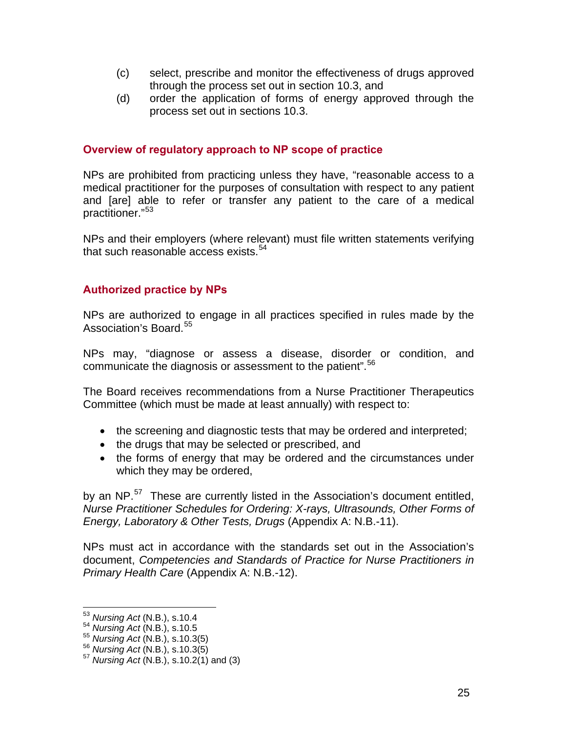- (c) select, prescribe and monitor the effectiveness of drugs approved through the process set out in section 10.3, and
- (d) order the application of forms of energy approved through the process set out in sections 10.3.

#### **Overview of regulatory approach to NP scope of practice**

NPs are prohibited from practicing unless they have, "reasonable access to a medical practitioner for the purposes of consultation with respect to any patient and [are] able to refer or transfer any patient to the care of a medical practitioner."[53](#page-24-0)

NPs and their employers (where relevant) must file written statements verifying that such reasonable access exists.  $54$  $54$ 

### **Authorized practice by NPs**

NPs are authorized to engage in all practices specified in rules made by the Association's Board.<sup>[55](#page-24-2)</sup>

NPs may, "diagnose or assess a disease, disorder or condition, and communicate the diagnosis or assessment to the patient".<sup>[56](#page-24-3)</sup>

The Board receives recommendations from a Nurse Practitioner Therapeutics Committee (which must be made at least annually) with respect to:

- the screening and diagnostic tests that may be ordered and interpreted;
- the drugs that may be selected or prescribed, and
- the forms of energy that may be ordered and the circumstances under which they may be ordered,

by an NP.<sup>[57](#page-24-4)</sup> These are currently listed in the Association's document entitled, *Nurse Practitioner Schedules for Ordering: X-rays, Ultrasounds, Other Forms of Energy, Laboratory & Other Tests, Drugs* (Appendix A: N.B.-11).

NPs must act in accordance with the standards set out in the Association's document, *Competencies and Standards of Practice for Nurse Practitioners in Primary Health Care* (Appendix A: N.B.-12).

<span id="page-24-0"></span><sup>&</sup>lt;sup>53</sup> Nursing Act (N.B.), s.10.4

<span id="page-24-1"></span><sup>53</sup> *Nursing Act* (N.B.), s.10.4 54 *Nursing Act* (N.B.), s.10.5

<span id="page-24-4"></span><span id="page-24-3"></span><span id="page-24-2"></span><sup>55</sup> *Nursing Act* (N.B.), s.10.3(5) 56 *Nursing Act* (N.B.), s.10.3(5) 57 *Nursing Act* (N.B.), s.10.2(1) and (3)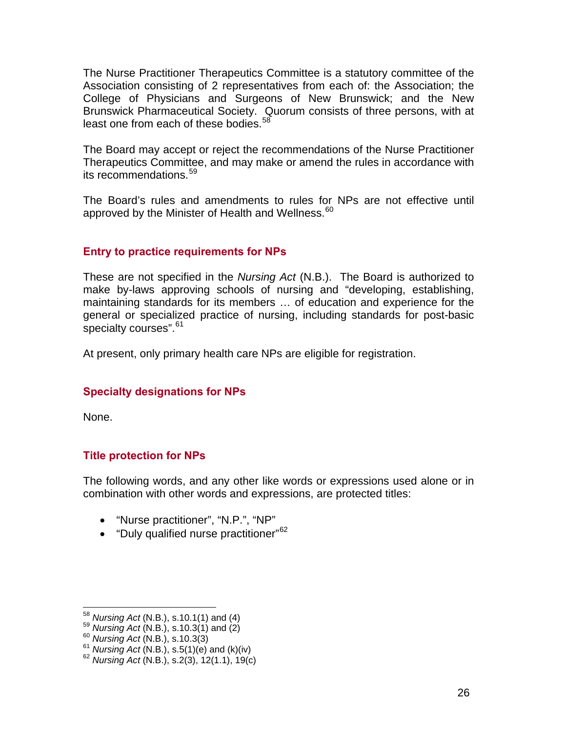The Nurse Practitioner Therapeutics Committee is a statutory committee of the Association consisting of 2 representatives from each of: the Association; the College of Physicians and Surgeons of New Brunswick; and the New Brunswick Pharmaceutical Society. Quorum consists of three persons, with at least one from each of these bodies.<sup>[5](#page-25-0)8</sup>

The Board may accept or reject the recommendations of the Nurse Practitioner Therapeutics Committee, and may make or amend the rules in accordance with its recommendations.<sup>[59](#page-25-1)</sup>

The Board's rules and amendments to rules for NPs are not effective until approved by the Minister of Health and Wellness.<sup>[6](#page-25-2)0</sup>

#### **Entry to practice requirements for NPs**

These are not specified in the *Nursing Act* (N.B.). The Board is authorized to make by-laws approving schools of nursing and "developing, establishing, maintaining standards for its members … of education and experience for the general or specialized practice of nursing, including standards for post-basic specialty courses".<sup>[6](#page-25-3)1</sup>

At present, only primary health care NPs are eligible for registration.

### **Specialty designations for NPs**

None.

#### **Title protection for NPs**

The following words, and any other like words or expressions used alone or in combination with other words and expressions, are protected titles:

- "Nurse practitioner", "N.P.", "NP"
- "Duly qualified nurse practitioner"<sup>[6](#page-25-4)2</sup>

<span id="page-25-0"></span> $^{58}$  Nursing Act (N.B.), s.10.1(1) and (4)

<span id="page-25-4"></span><span id="page-25-3"></span>

<span id="page-25-2"></span><span id="page-25-1"></span><sup>&</sup>lt;sup>59</sup> Nursing Act (N.B.), s.10.3(1) and (2)<br><sup>60</sup> Nursing Act (N.B.), s.10.3(3)<br><sup>61</sup> Nursing Act (N.B.), s.5(1)(e) and (k)(iv)<br><sup>62</sup> Nursing Act (N.B.), s.2(3), 12(1.1), 19(c)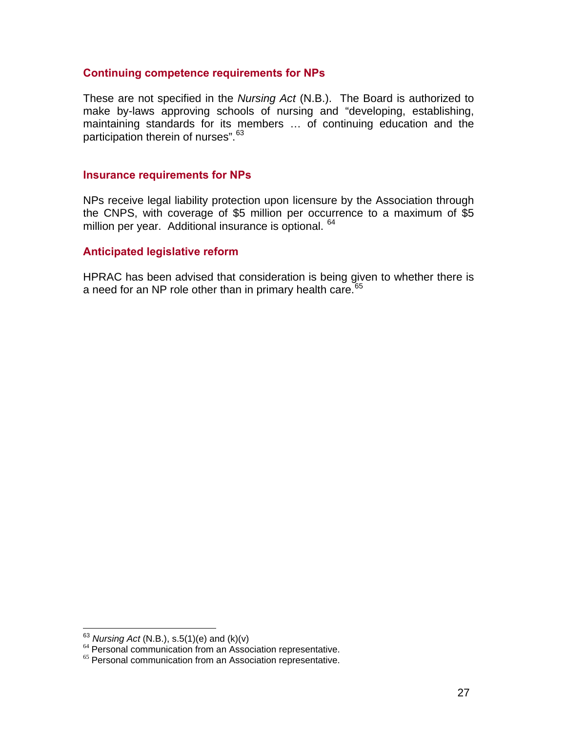#### **Continuing competence requirements for NPs**

These are not specified in the *Nursing Act* (N.B.). The Board is authorized to make by-laws approving schools of nursing and "developing, establishing, maintaining standards for its members … of continuing education and the participation therein of nurses".<sup>[63](#page-26-0)</sup>

#### **Insurance requirements for NPs**

NPs receive legal liability protection upon licensure by the Association through the CNPS, with coverage of \$5 million per occurrence to a maximum of \$5 million per year. Additional insurance is optional. [6](#page-26-1)4

#### **Anticipated legislative reform**

HPRAC has been advised that consideration is being given to whether there is a need for an NP role other than in primary health care.<sup>[6](#page-26-2)5</sup>

<span id="page-26-0"></span><sup>&</sup>lt;sup>63</sup> Nursing Act (N.B.), s.5(1)(e) and (k)(v)

<span id="page-26-2"></span><span id="page-26-1"></span><sup>&</sup>lt;sup>64</sup> Personal communication from an Association representative.<br><sup>65</sup> Personal communication from an Association representative.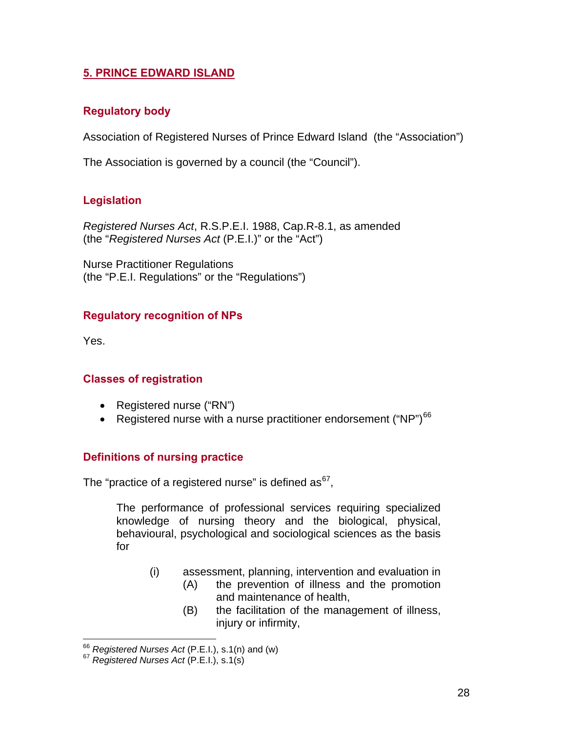### **5. PRINCE EDWARD ISLAND**

### **Regulatory body**

Association of Registered Nurses of Prince Edward Island (the "Association")

The Association is governed by a council (the "Council").

### **Legislation**

*Registered Nurses Act*, R.S.P.E.I. 1988, Cap.R-8.1, as amended (the "*Registered Nurses Act* (P.E.I.)" or the "Act")

Nurse Practitioner Regulations (the "P.E.I. Regulations" or the "Regulations")

### **Regulatory recognition of NPs**

Yes.

### **Classes of registration**

- Registered nurse ("RN")
- Registered nurse with a nurse practitioner endorsement ("NP")<sup>[6](#page-27-0)6</sup>

#### **Definitions of nursing practice**

The "practice of a registered nurse" is defined as $<sup>67</sup>$  $<sup>67</sup>$  $<sup>67</sup>$ .</sup>

The performance of professional services requiring specialized knowledge of nursing theory and the biological, physical, behavioural, psychological and sociological sciences as the basis for

- (i) assessment, planning, intervention and evaluation in
	- (A) the prevention of illness and the promotion and maintenance of health,
	- (B) the facilitation of the management of illness, injury or infirmity,

<span id="page-27-0"></span> $66$  Registered Nurses Act (P.E.I.), s.1(n) and (w)

<span id="page-27-1"></span><sup>&</sup>lt;sup>67</sup> Registered Nurses Act (P.E.I.), s.1(s)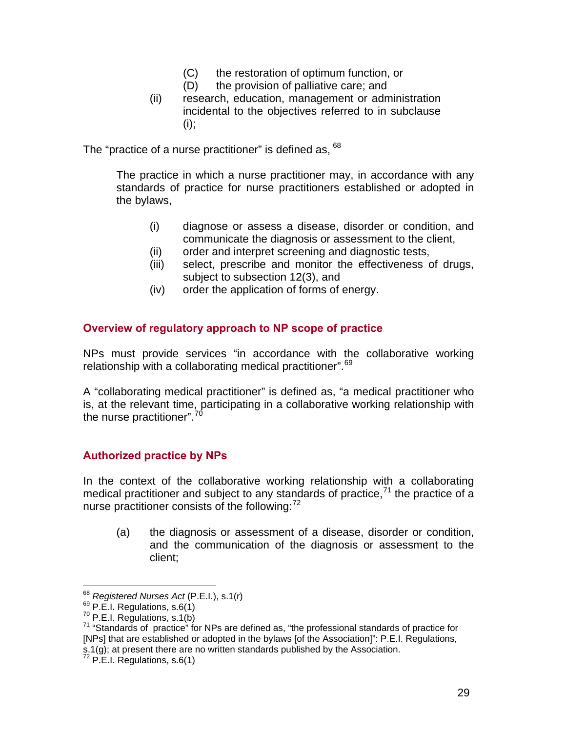- (C) the restoration of optimum function, or
- (D) the provision of palliative care; and
- (ii) research, education, management or administration incidental to the objectives referred to in subclause (i);

The "practice of a nurse practitioner" is defined as, <sup>[68](#page-28-0)</sup>

The practice in which a nurse practitioner may, in accordance with any standards of practice for nurse practitioners established or adopted in the bylaws,

- (i) diagnose or assess a disease, disorder or condition, and communicate the diagnosis or assessment to the client,
- (ii) order and interpret screening and diagnostic tests,
- (iii) select, prescribe and monitor the effectiveness of drugs, subject to subsection 12(3), and
- (iv) order the application of forms of energy.

### **Overview of regulatory approach to NP scope of practice**

NPs must provide services "in accordance with the collaborative working relationship with a collaborating medical practitioner".<sup>[6](#page-28-1)9</sup>

A "collaborating medical practitioner" is defined as, "a medical practitioner who is, at the relevant time, participating in a collaborative working relationship with the nurse practitioner".<sup>[7](#page-28-2)0</sup>

### **Authorized practice by NPs**

In the context of the collaborative working relationship with a collaborating medical practitioner and subject to any standards of practice, $71$  $71$  the practice of a nurse practitioner consists of the following: $72$  $72$ 

(a) the diagnosis or assessment of a disease, disorder or condition, and the communication of the diagnosis or assessment to the client;

<span id="page-28-0"></span><sup>&</sup>lt;sup>68</sup> Registered Nurses Act (P.E.I.), s.1(r)

<span id="page-28-3"></span>

<span id="page-28-2"></span><span id="page-28-1"></span><sup>69</sup> P.E.I. Regulations, s.6(1)<br><sup>69</sup> P.E.I. Regulations, s.6(1)<br><sup>70</sup> P.E.I. Regulations, s.1(b)<br><sup>71</sup> "Standards of practice" for NPs are defined as, "the professional standards of practice for [NPs] that are established or adopted in the bylaws [of the Association]": P.E.I. Regulations, s.1(g); at present there are no written standards published by the Association.<br><sup>72</sup> P.E.I. Regulations, s.6(1)

<span id="page-28-4"></span>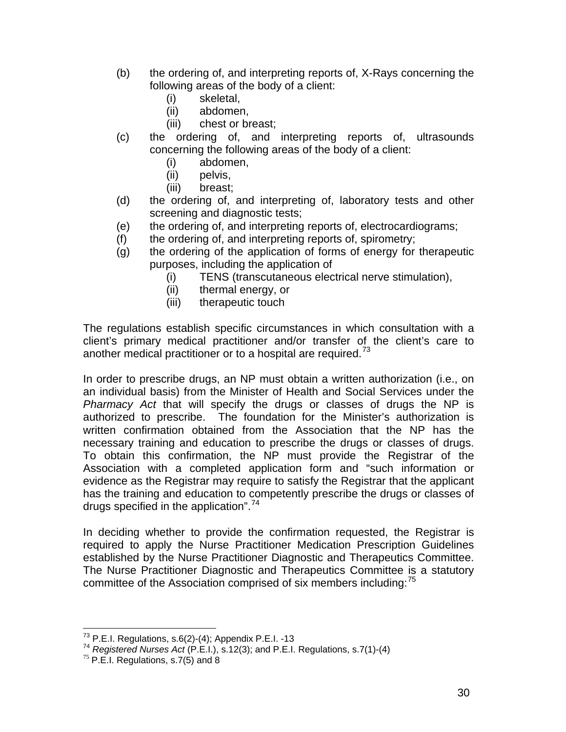- (b) the ordering of, and interpreting reports of, X-Rays concerning the following areas of the body of a client:
	- (i) skeletal,
	- (ii) abdomen,
	- (iii) chest or breast;
- (c) the ordering of, and interpreting reports of, ultrasounds concerning the following areas of the body of a client:
	- (i) abdomen,
	- (ii) pelvis,
	- (iii) breast;
- (d) the ordering of, and interpreting of, laboratory tests and other screening and diagnostic tests;
- (e) the ordering of, and interpreting reports of, electrocardiograms;
- (f) the ordering of, and interpreting reports of, spirometry;
- (g) the ordering of the application of forms of energy for therapeutic purposes, including the application of
	- (i) TENS (transcutaneous electrical nerve stimulation),
	- (ii) thermal energy, or
	- (iii) therapeutic touch

The regulations establish specific circumstances in which consultation with a client's primary medical practitioner and/or transfer of the client's care to another medical practitioner or to a hospital are required.<sup>[7](#page-29-0)3</sup>

In order to prescribe drugs, an NP must obtain a written authorization (i.e., on an individual basis) from the Minister of Health and Social Services under the *Pharmacy Act* that will specify the drugs or classes of drugs the NP is authorized to prescribe. The foundation for the Minister's authorization is written confirmation obtained from the Association that the NP has the necessary training and education to prescribe the drugs or classes of drugs. To obtain this confirmation, the NP must provide the Registrar of the Association with a completed application form and "such information or evidence as the Registrar may require to satisfy the Registrar that the applicant has the training and education to competently prescribe the drugs or classes of drugs specified in the application".[7](#page-29-1)4

In deciding whether to provide the confirmation requested, the Registrar is required to apply the Nurse Practitioner Medication Prescription Guidelines established by the Nurse Practitioner Diagnostic and Therapeutics Committee. The Nurse Practitioner Diagnostic and Therapeutics Committee is a statutory committee of the Association comprised of six members including: $<sup>75</sup>$  $<sup>75</sup>$  $<sup>75</sup>$ </sup>

 $\overline{a}$ 

<span id="page-29-1"></span><span id="page-29-0"></span><sup>&</sup>lt;sup>73</sup> P.E.I. Regulations, s.6(2)-(4); Appendix P.E.I. -13<br><sup>74</sup> *Registered Nurses Act* (P.E.I.), s.12(3); and P.E.I. Regulations, s.7(1)-(4) <sup>75</sup> P.E.I. Regulations, s.7(5) and 8

<span id="page-29-2"></span>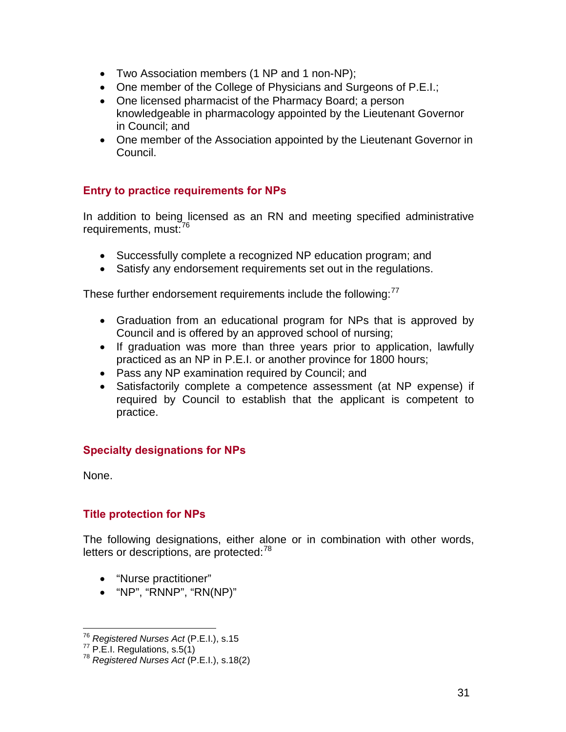- Two Association members (1 NP and 1 non-NP);
- One member of the College of Physicians and Surgeons of P.E.I.;
- One licensed pharmacist of the Pharmacy Board; a person knowledgeable in pharmacology appointed by the Lieutenant Governor in Council; and
- One member of the Association appointed by the Lieutenant Governor in Council.

### **Entry to practice requirements for NPs**

In addition to being licensed as an RN and meeting specified administrative requirements, must:<sup>[76](#page-30-0)</sup>

- Successfully complete a recognized NP education program; and
- Satisfy any endorsement requirements set out in the regulations.

These further endorsement requirements include the following:<sup>[77](#page-30-1)</sup>

- Graduation from an educational program for NPs that is approved by Council and is offered by an approved school of nursing;
- If graduation was more than three years prior to application, lawfully practiced as an NP in P.E.I. or another province for 1800 hours;
- Pass any NP examination required by Council; and
- Satisfactorily complete a competence assessment (at NP expense) if required by Council to establish that the applicant is competent to practice.

### **Specialty designations for NPs**

None.

### **Title protection for NPs**

The following designations, either alone or in combination with other words, letters or descriptions, are protected:<sup>[78](#page-30-2)</sup>

- "Nurse practitioner"
- "NP", "RNNP", "RN(NP)"

<span id="page-30-0"></span><sup>&</sup>lt;sup>76</sup> Registered Nurses Act (P.E.I.), s.15

<span id="page-30-2"></span><span id="page-30-1"></span><sup>76</sup> *Registered Nurses Act* (P.E.I.), s.15 77 P.E.I. Regulations, s.5(1) 78 *Registered Nurses Act* (P.E.I.), s.18(2)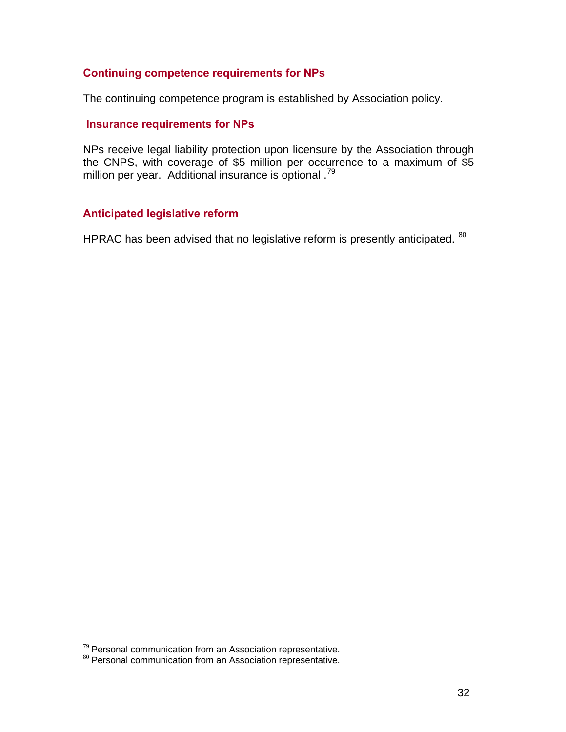### **Continuing competence requirements for NPs**

The continuing competence program is established by Association policy.

### **Insurance requirements for NPs**

NPs receive legal liability protection upon licensure by the Association through the CNPS, with coverage of \$5 million per occurrence to a maximum of \$5 million per year. Additional insurance is optional .<sup>[7](#page-31-0)9</sup>

#### **Anticipated legislative reform**

HPRAC has been advised that no legislative reform is presently anticipated. <sup>[80](#page-31-1)</sup>

<span id="page-31-0"></span><sup>79</sup> Personal communication from an Association representative.

<span id="page-31-1"></span><sup>&</sup>lt;sup>80</sup> Personal communication from an Association representative.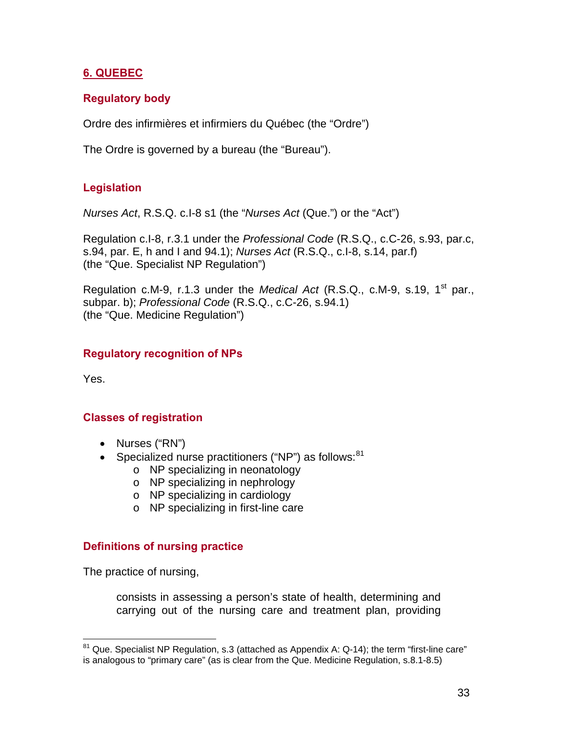## **6. QUEBEC**

## **Regulatory body**

Ordre des infirmières et infirmiers du Québec (the "Ordre")

The Ordre is governed by a bureau (the "Bureau").

## **Legislation**

*Nurses Act*, R.S.Q. c.I-8 s1 (the "*Nurses Act* (Que.") or the "Act")

Regulation c.I-8, r.3.1 under the *Professional Code* (R.S.Q., c.C-26, s.93, par.c, s.94, par. E, h and I and 94.1); *Nurses Act* (R.S.Q., c.I-8, s.14, par.f) (the "Que. Specialist NP Regulation")

Regulation c.M-9, r.1.3 under the *Medical Act* (R.S.Q., c.M-9, s.19, 1<sup>st</sup> par., subpar. b); *Professional Code* (R.S.Q., c.C-26, s.94.1) (the "Que. Medicine Regulation")

### **Regulatory recognition of NPs**

Yes.

 $\overline{a}$ 

#### **Classes of registration**

- Nurses ("RN")
- Specialized nurse practitioners ("NP") as follows:  $81$ 
	- o NP specializing in neonatology
	- o NP specializing in nephrology
	- o NP specializing in cardiology
	- o NP specializing in first-line care

#### **Definitions of nursing practice**

The practice of nursing,

consists in assessing a person's state of health, determining and carrying out of the nursing care and treatment plan, providing

<span id="page-32-0"></span> $81$  Que. Specialist NP Regulation, s.3 (attached as Appendix A: Q-14); the term "first-line care" is analogous to "primary care" (as is clear from the Que. Medicine Regulation, s.8.1-8.5)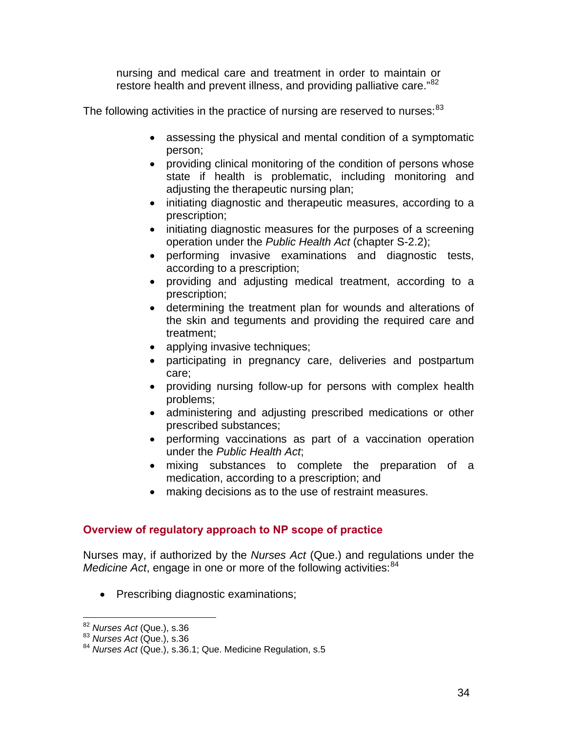nursing and medical care and treatment in order to maintain or restore health and prevent illness, and providing palliative care."<sup>[82](#page-33-0)</sup>

The following activities in the practice of nursing are reserved to nurses:  $83$ 

- assessing the physical and mental condition of a symptomatic person;
- providing clinical monitoring of the condition of persons whose state if health is problematic, including monitoring and adjusting the therapeutic nursing plan;
- initiating diagnostic and therapeutic measures, according to a prescription;
- initiating diagnostic measures for the purposes of a screening operation under the *Public Health Act* (chapter S-2.2);
- performing invasive examinations and diagnostic tests, according to a prescription;
- providing and adjusting medical treatment, according to a prescription;
- determining the treatment plan for wounds and alterations of the skin and teguments and providing the required care and treatment;
- applying invasive techniques;
- participating in pregnancy care, deliveries and postpartum care;
- providing nursing follow-up for persons with complex health problems;
- administering and adjusting prescribed medications or other prescribed substances;
- performing vaccinations as part of a vaccination operation under the *Public Health Act*;
- mixing substances to complete the preparation of a medication, according to a prescription; and
- making decisions as to the use of restraint measures.

### **Overview of regulatory approach to NP scope of practice**

Nurses may, if authorized by the *Nurses Act* (Que.) and regulations under the *Medicine Act*, engage in one or more of the following activities:<sup>[8](#page-33-2)4</sup>

• Prescribing diagnostic examinations;

<span id="page-33-0"></span><sup>&</sup>lt;sup>82</sup> Nurses Act (Que.), s.36

<span id="page-33-2"></span><span id="page-33-1"></span><sup>82</sup> *Nurses Act* (Que.), s.36 83 *Nurses Act* (Que.), s.36 <sup>84</sup> *Nurses Act* (Que.), s.36.1; Que. Medicine Regulation, s.5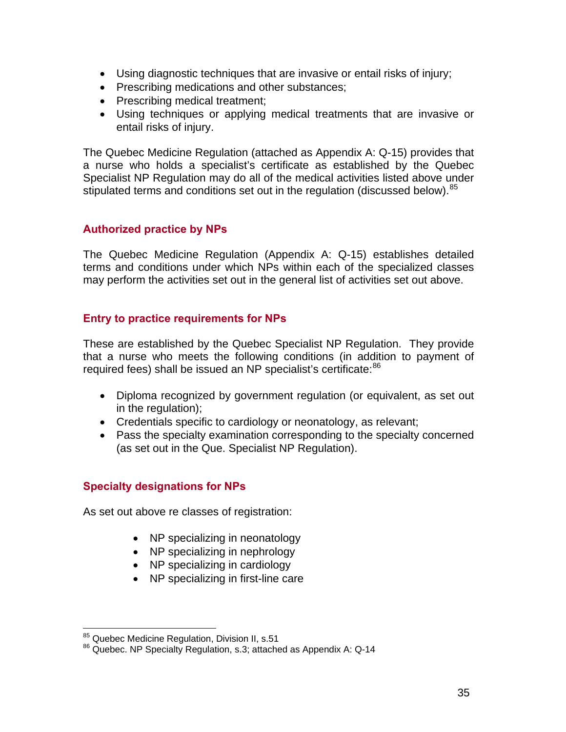- Using diagnostic techniques that are invasive or entail risks of injury;
- Prescribing medications and other substances;
- Prescribing medical treatment;
- Using techniques or applying medical treatments that are invasive or entail risks of injury.

The Quebec Medicine Regulation (attached as Appendix A: Q-15) provides that a nurse who holds a specialist's certificate as established by the Quebec Specialist NP Regulation may do all of the medical activities listed above under stipulated terms and conditions set out in the regulation (discussed below).<sup>[8](#page-34-0)5</sup>

### **Authorized practice by NPs**

The Quebec Medicine Regulation (Appendix A: Q-15) establishes detailed terms and conditions under which NPs within each of the specialized classes may perform the activities set out in the general list of activities set out above.

### **Entry to practice requirements for NPs**

These are established by the Quebec Specialist NP Regulation. They provide that a nurse who meets the following conditions (in addition to payment of required fees) shall be issued an NP specialist's certificate:<sup>[86](#page-34-1)</sup>

- Diploma recognized by government regulation (or equivalent, as set out in the regulation);
- Credentials specific to cardiology or neonatology, as relevant;
- Pass the specialty examination corresponding to the specialty concerned (as set out in the Que. Specialist NP Regulation).

#### **Specialty designations for NPs**

As set out above re classes of registration:

- NP specializing in neonatology
- NP specializing in nephrology
- NP specializing in cardiology
- NP specializing in first-line care

<span id="page-34-0"></span><sup>&</sup>lt;sup>85</sup> Quebec Medicine Regulation, Division II, s.51

<span id="page-34-1"></span><sup>86</sup> Quebec. NP Specialty Regulation, s.3; attached as Appendix A: Q-14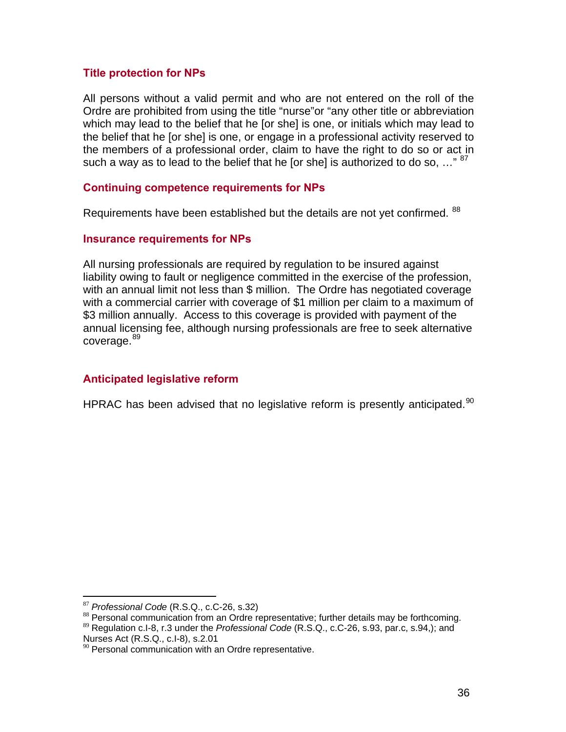#### **Title protection for NPs**

All persons without a valid permit and who are not entered on the roll of the Ordre are prohibited from using the title "nurse"or "any other title or abbreviation which may lead to the belief that he [or she] is one, or initials which may lead to the belief that he [or she] is one, or engage in a professional activity reserved to the members of a professional order, claim to have the right to do so or act in such a way as to lead to the belief that he [or she] is authorized to do so,  $\ldots$ <sup>[8](#page-35-0)7</sup>

#### **Continuing competence requirements for NPs**

Requirements have been established but the details are not yet confirmed. <sup>[88](#page-35-1)</sup>

#### **Insurance requirements for NPs**

All nursing professionals are required by regulation to be insured against liability owing to fault or negligence committed in the exercise of the profession, with an annual limit not less than \$ million. The Ordre has negotiated coverage with a commercial carrier with coverage of \$1 million per claim to a maximum of \$3 million annually. Access to this coverage is provided with payment of the annual licensing fee, although nursing professionals are free to seek alternative coverage.<sup>[89](#page-35-2)</sup>

#### **Anticipated legislative reform**

HPRAC has been advised that no legislative reform is presently anticipated.<sup>[90](#page-35-3)</sup>

<span id="page-35-0"></span><sup>87</sup> Professional Code (R.S.Q., c.C-26, s.32)

<sup>&</sup>lt;sup>88</sup> Personal communication from an Ordre representative; further details may be forthcoming.

<span id="page-35-2"></span><span id="page-35-1"></span><sup>89</sup> Regulation c.I-8, r.3 under the *Professional Code* (R.S.Q., c.C-26, s.93, par.c, s.94,); and Nurses Act (R.S.Q., c.I-8), s.2.01

<span id="page-35-3"></span> $90$  Personal communication with an Ordre representative.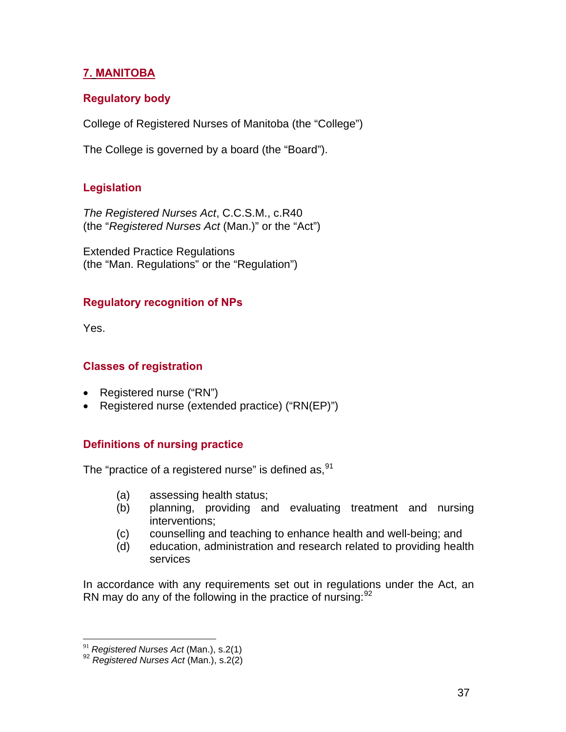# **7. MANITOBA**

# **Regulatory body**

College of Registered Nurses of Manitoba (the "College")

The College is governed by a board (the "Board").

# **Legislation**

*The Registered Nurses Act*, C.C.S.M., c.R40 (the "*Registered Nurses Act* (Man.)" or the "Act")

Extended Practice Regulations (the "Man. Regulations" or the "Regulation")

## **Regulatory recognition of NPs**

Yes.

## **Classes of registration**

- Registered nurse ("RN")
- Registered nurse (extended practice) ("RN(EP)")

## **Definitions of nursing practice**

The "practice of a registered nurse" is defined as,  $91$  $91$ 

- (a) assessing health status;
- (b) planning, providing and evaluating treatment and nursing interventions;
- (c) counselling and teaching to enhance health and well-being; and
- (d) education, administration and research related to providing health services

In accordance with any requirements set out in regulations under the Act, an RN may do any of the following in the practice of nursing:  $92$  $92$ 

<span id="page-36-0"></span> $91$  Registered Nurses Act (Man.), s.2(1)

<span id="page-36-1"></span><sup>&</sup>lt;sup>92</sup> Registered Nurses Act (Man.), s.2(2)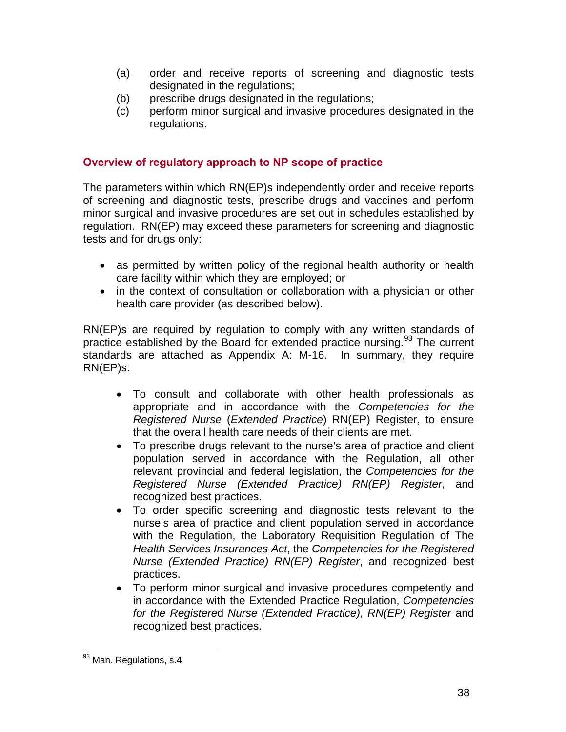- (a) order and receive reports of screening and diagnostic tests designated in the regulations;
- (b) prescribe drugs designated in the regulations;
- (c) perform minor surgical and invasive procedures designated in the regulations.

### **Overview of regulatory approach to NP scope of practice**

The parameters within which RN(EP)s independently order and receive reports of screening and diagnostic tests, prescribe drugs and vaccines and perform minor surgical and invasive procedures are set out in schedules established by regulation. RN(EP) may exceed these parameters for screening and diagnostic tests and for drugs only:

- as permitted by written policy of the regional health authority or health care facility within which they are employed; or
- in the context of consultation or collaboration with a physician or other health care provider (as described below).

RN(EP)s are required by regulation to comply with any written standards of practice established by the Board for extended practice nursing.<sup>[93](#page-37-0)</sup> The current standards are attached as Appendix A: M-16. In summary, they require RN(EP)s:

- To consult and collaborate with other health professionals as appropriate and in accordance with the *Competencies for the Registered Nurse* (*Extended Practice*) RN(EP) Register, to ensure that the overall health care needs of their clients are met.
- To prescribe drugs relevant to the nurse's area of practice and client population served in accordance with the Regulation, all other relevant provincial and federal legislation, the *Competencies for the Registered Nurse (Extended Practice) RN(EP) Register*, and recognized best practices.
- To order specific screening and diagnostic tests relevant to the nurse's area of practice and client population served in accordance with the Regulation, the Laboratory Requisition Regulation of The *Health Services Insurances Act*, the *Competencies for the Registered Nurse (Extended Practice) RN(EP) Register*, and recognized best practices.
- To perform minor surgical and invasive procedures competently and in accordance with the Extended Practice Regulation, *Competencies for the Registere*d *Nurse (Extended Practice), RN(EP) Register* and recognized best practices.

 $\overline{a}$ 

<span id="page-37-0"></span><sup>&</sup>lt;sup>93</sup> Man. Regulations, s.4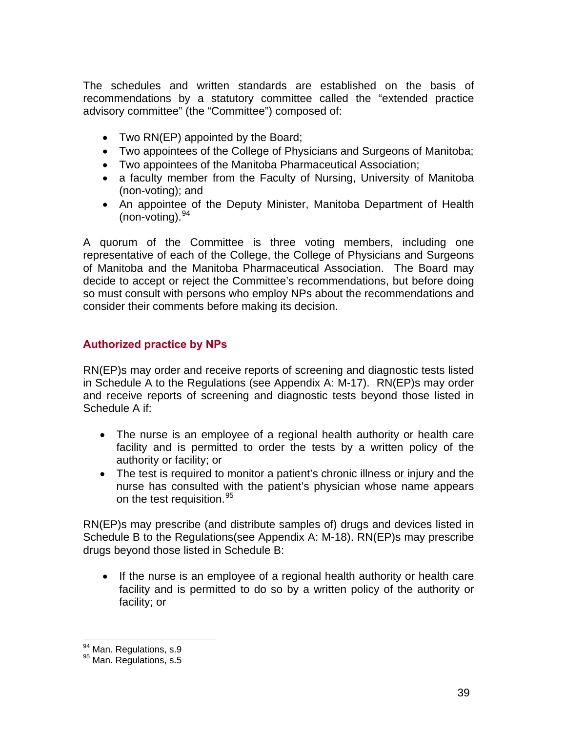The schedules and written standards are established on the basis of recommendations by a statutory committee called the "extended practice advisory committee" (the "Committee") composed of:

- Two RN(EP) appointed by the Board;
- Two appointees of the College of Physicians and Surgeons of Manitoba;
- Two appointees of the Manitoba Pharmaceutical Association;
- a faculty member from the Faculty of Nursing, University of Manitoba (non-voting); and
- An appointee of the Deputy Minister, Manitoba Department of Health (non-voting).  $94$  $94$

A quorum of the Committee is three voting members, including one representative of each of the College, the College of Physicians and Surgeons of Manitoba and the Manitoba Pharmaceutical Association. The Board may decide to accept or reject the Committee's recommendations, but before doing so must consult with persons who employ NPs about the recommendations and consider their comments before making its decision.

### **Authorized practice by NPs**

RN(EP)s may order and receive reports of screening and diagnostic tests listed in Schedule A to the Regulations (see Appendix A: M-17). RN(EP)s may order and receive reports of screening and diagnostic tests beyond those listed in Schedule A if:

- The nurse is an employee of a regional health authority or health care facility and is permitted to order the tests by a written policy of the authority or facility; or
- The test is required to monitor a patient's chronic illness or injury and the nurse has consulted with the patient's physician whose name appears on the test requisition.<sup>[9](#page-38-1)5</sup>

RN(EP)s may prescribe (and distribute samples of) drugs and devices listed in Schedule B to the Regulations(see Appendix A: M-18). RN(EP)s may prescribe drugs beyond those listed in Schedule B:

• If the nurse is an employee of a regional health authority or health care facility and is permitted to do so by a written policy of the authority or facility; or

<span id="page-38-0"></span><sup>94</sup> Man. Regulations, s.9

<span id="page-38-1"></span><sup>95</sup> Man. Regulations, s.5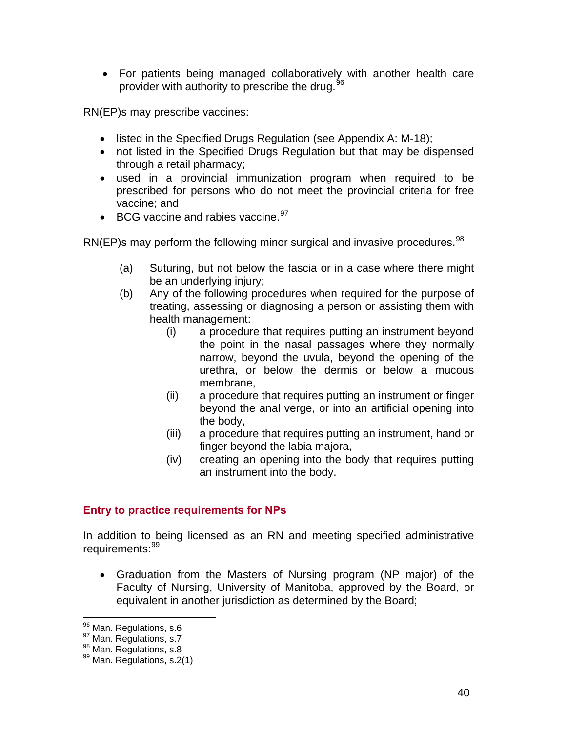• For patients being managed collaboratively with another health care provider with authority to prescribe the drug.<sup>[9](#page-39-0)6</sup>

RN(EP)s may prescribe vaccines:

- listed in the Specified Drugs Regulation (see Appendix A: M-18);
- not listed in the Specified Drugs Regulation but that may be dispensed through a retail pharmacy;
- used in a provincial immunization program when required to be prescribed for persons who do not meet the provincial criteria for free vaccine; and
- BCG vaccine and rabies vaccine. [97](#page-39-1)

RN(EP)s may perform the following minor surgical and invasive procedures.  $98$ 

- (a) Suturing, but not below the fascia or in a case where there might be an underlying injury;
- (b) Any of the following procedures when required for the purpose of treating, assessing or diagnosing a person or assisting them with health management:
	- (i) a procedure that requires putting an instrument beyond the point in the nasal passages where they normally narrow, beyond the uvula, beyond the opening of the urethra, or below the dermis or below a mucous membrane,
	- (ii) a procedure that requires putting an instrument or finger beyond the anal verge, or into an artificial opening into the body,
	- (iii) a procedure that requires putting an instrument, hand or finger beyond the labia majora,
	- (iv) creating an opening into the body that requires putting an instrument into the body.

## **Entry to practice requirements for NPs**

In addition to being licensed as an RN and meeting specified administrative requirements: [9](#page-39-3)9

• Graduation from the Masters of Nursing program (NP major) of the Faculty of Nursing, University of Manitoba, approved by the Board, or equivalent in another jurisdiction as determined by the Board;

<span id="page-39-0"></span><sup>&</sup>lt;sup>96</sup> Man. Regulations, s.6

<span id="page-39-3"></span>

<span id="page-39-2"></span><span id="page-39-1"></span><sup>97</sup> Man. Regulations, s.7<br><sup>98</sup> Man. Regulations, s.8<br><sup>99</sup> Man. Regulations, s.2(1)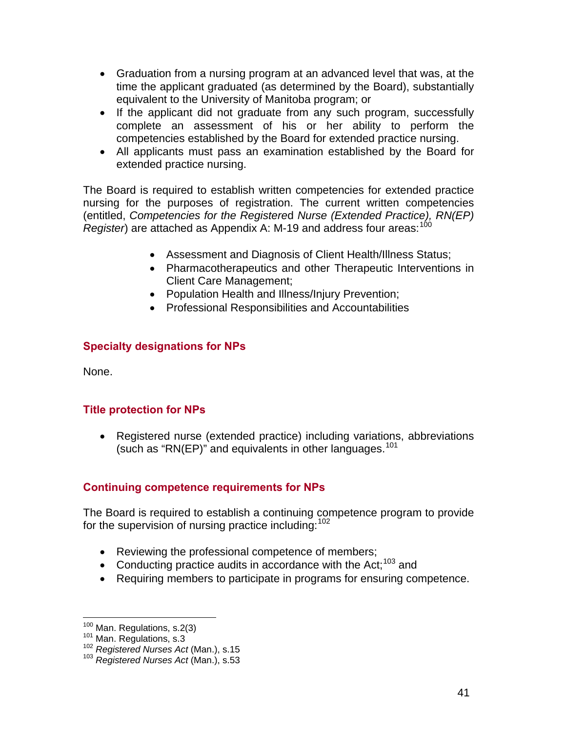- Graduation from a nursing program at an advanced level that was, at the time the applicant graduated (as determined by the Board), substantially equivalent to the University of Manitoba program; or
- If the applicant did not graduate from any such program, successfully complete an assessment of his or her ability to perform the competencies established by the Board for extended practice nursing.
- All applicants must pass an examination established by the Board for extended practice nursing.

The Board is required to establish written competencies for extended practice nursing for the purposes of registration. The current written competencies (entitled, *Competencies for the Registere*d *Nurse (Extended Practice), RN(EP) Register*) are attached as Appendix A: M-19 and address four areas:<sup>[10](#page-40-0)0</sup>

- Assessment and Diagnosis of Client Health/Illness Status;
- Pharmacotherapeutics and other Therapeutic Interventions in Client Care Management;
- Population Health and Illness/Injury Prevention;
- Professional Responsibilities and Accountabilities

# **Specialty designations for NPs**

None.

## **Title protection for NPs**

• Registered nurse (extended practice) including variations, abbreviations (such as "RN(EP)" and equivalents in other languages.<sup>[10](#page-40-1)1</sup>

# **Continuing competence requirements for NPs**

The Board is required to establish a continuing competence program to provide for the supervision of nursing practice including: [1](#page-40-2)02

- Reviewing the professional competence of members;
- Conducting practice audits in accordance with the Act;<sup>[1](#page-40-3)03</sup> and
- Requiring members to participate in programs for ensuring competence.

<span id="page-40-0"></span><sup>&</sup>lt;sup>100</sup> Man. Regulations, s.2(3)

<span id="page-40-3"></span>

<span id="page-40-2"></span><span id="page-40-1"></span><sup>101</sup> Man. Regulations, s.3<br><sup>102</sup> *Registered Nurses Act* (Man.), s.15<br><sup>103</sup> *Registered Nurses Act* (Man.), s.53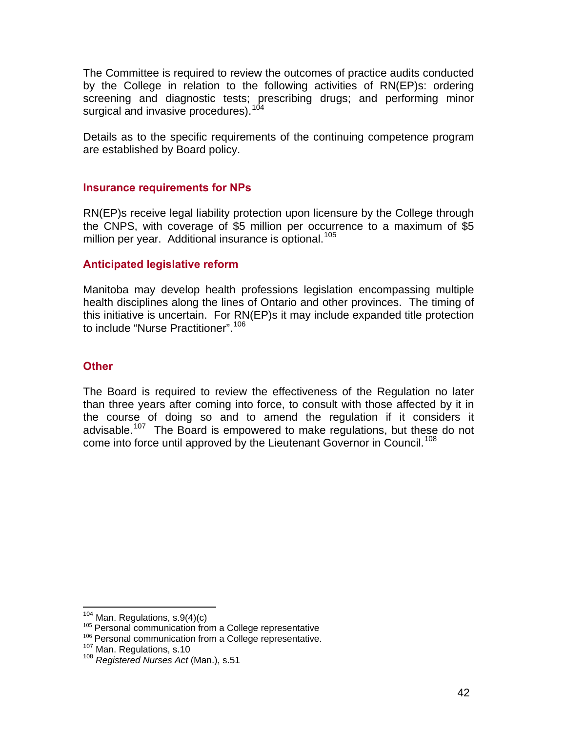The Committee is required to review the outcomes of practice audits conducted by the College in relation to the following activities of RN(EP)s: ordering screening and diagnostic tests; prescribing drugs; and performing minor surgical and invasive procedures).<sup>[1](#page-41-0)04</sup>

Details as to the specific requirements of the continuing competence program are established by Board policy.

#### **Insurance requirements for NPs**

RN(EP)s receive legal liability protection upon licensure by the College through the CNPS, with coverage of \$5 million per occurrence to a maximum of \$5 million per year. Additional insurance is optional.<sup>[1](#page-41-1)05</sup>

#### **Anticipated legislative reform**

Manitoba may develop health professions legislation encompassing multiple health disciplines along the lines of Ontario and other provinces. The timing of this initiative is uncertain. For RN(EP)s it may include expanded title protection to include "Nurse Practitioner".<sup>[10](#page-41-2)6</sup>

#### **Other**

The Board is required to review the effectiveness of the Regulation no later than three years after coming into force, to consult with those affected by it in the course of doing so and to amend the regulation if it considers it advisable.<sup>[10](#page-41-3)7</sup> The Board is empowered to make regulations, but these do not come into force until approved by the Lieutenant Governor in Council.<sup>[10](#page-41-4)8</sup>

<span id="page-41-0"></span> $104$  Man. Regulations, s.9(4)(c)

<span id="page-41-2"></span><span id="page-41-1"></span><sup>&</sup>lt;sup>105</sup> Personal communication from a College representative <sup>106</sup> Personal communication from a College representative.<br><sup>107</sup> Man. Regulations, s.10 <sup>108</sup> *Registered Nurses Act* (Man.), s.51

<span id="page-41-3"></span>

<span id="page-41-4"></span>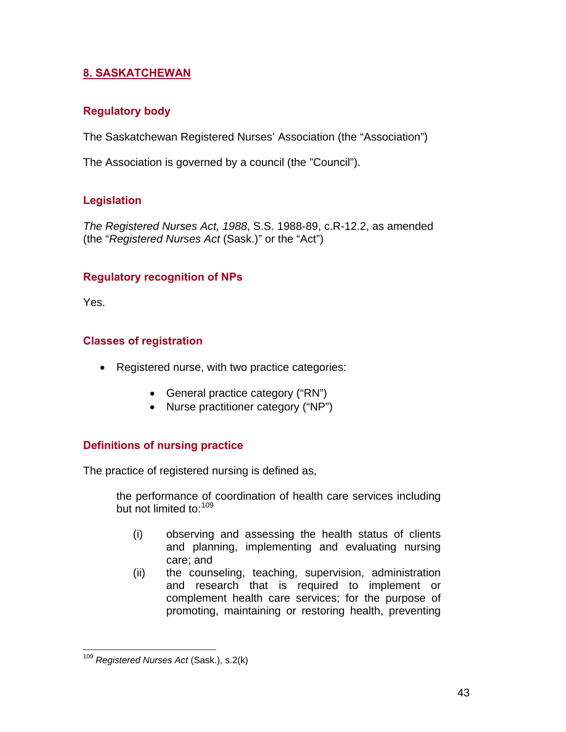# **8. SASKATCHEWAN**

## **Regulatory body**

The Saskatchewan Registered Nurses' Association (the "Association")

The Association is governed by a council (the "Council").

# **Legislation**

*The Registered Nurses Act, 1988*, S.S. 1988-89, c.R-12.2, as amended (the "*Registered Nurses Act* (Sask.)" or the "Act")

## **Regulatory recognition of NPs**

Yes.

 $\overline{a}$ 

## **Classes of registration**

- Registered nurse, with two practice categories:
	- General practice category ("RN")
	- Nurse practitioner category ("NP")

## **Definitions of nursing practice**

The practice of registered nursing is defined as,

the performance of coordination of health care services including but not limited to: [1](#page-42-0)09

- (i) observing and assessing the health status of clients and planning, implementing and evaluating nursing care; and
- (ii) the counseling, teaching, supervision, administration and research that is required to implement or complement health care services; for the purpose of promoting, maintaining or restoring health, preventing

<span id="page-42-0"></span><sup>109</sup> *Registered Nurses Act* (Sask.), s.2(k)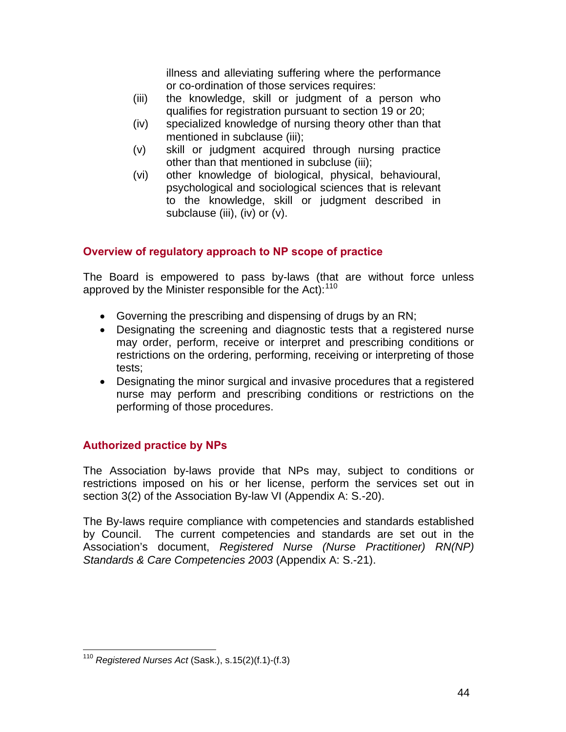illness and alleviating suffering where the performance or co-ordination of those services requires:

- (iii) the knowledge, skill or judgment of a person who qualifies for registration pursuant to section 19 or 20;
- (iv) specialized knowledge of nursing theory other than that mentioned in subclause (iii);
- (v) skill or judgment acquired through nursing practice other than that mentioned in subcluse (iii);
- (vi) other knowledge of biological, physical, behavioural, psychological and sociological sciences that is relevant to the knowledge, skill or judgment described in subclause (iii), (iv) or (v).

## **Overview of regulatory approach to NP scope of practice**

The Board is empowered to pass by-laws (that are without force unless approved by the Minister responsible for the Act):<sup>[1](#page-43-0)10</sup>

- Governing the prescribing and dispensing of drugs by an RN;
- Designating the screening and diagnostic tests that a registered nurse may order, perform, receive or interpret and prescribing conditions or restrictions on the ordering, performing, receiving or interpreting of those tests;
- Designating the minor surgical and invasive procedures that a registered nurse may perform and prescribing conditions or restrictions on the performing of those procedures.

## **Authorized practice by NPs**

The Association by-laws provide that NPs may, subject to conditions or restrictions imposed on his or her license, perform the services set out in section 3(2) of the Association By-law VI (Appendix A: S.-20).

The By-laws require compliance with competencies and standards established by Council. The current competencies and standards are set out in the Association's document, *Registered Nurse (Nurse Practitioner) RN(NP) Standards & Care Competencies 2003* (Appendix A: S.-21).

<u>.</u>

<span id="page-43-0"></span><sup>110</sup> *Registered Nurses Act* (Sask.), s.15(2)(f.1)-(f.3)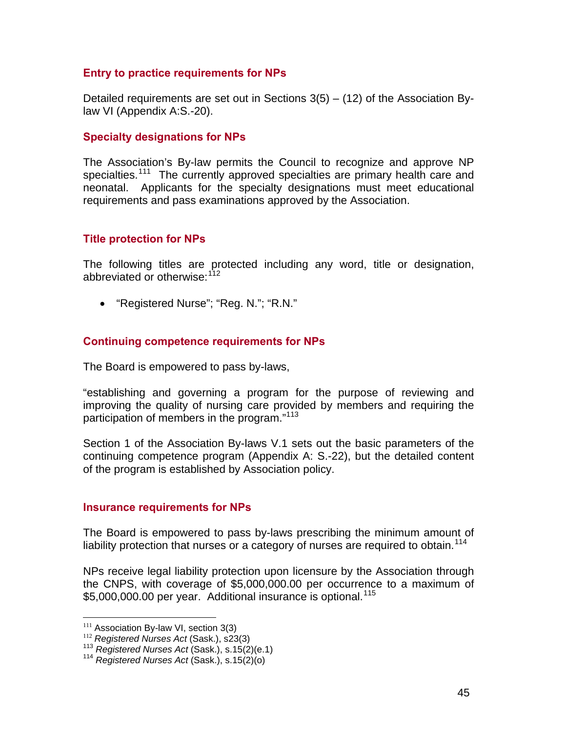#### **Entry to practice requirements for NPs**

Detailed requirements are set out in Sections  $3(5) - (12)$  of the Association Bylaw VI (Appendix A:S.-20).

#### **Specialty designations for NPs**

The Association's By-law permits the Council to recognize and approve NP specialties.<sup>[1](#page-44-0)11</sup> The currently approved specialties are primary health care and neonatal. Applicants for the specialty designations must meet educational requirements and pass examinations approved by the Association.

#### **Title protection for NPs**

The following titles are protected including any word, title or designation, abbreviated or otherwise:<sup>[11](#page-44-1)2</sup>

• "Registered Nurse"; "Reg. N."; "R.N."

#### **Continuing competence requirements for NPs**

The Board is empowered to pass by-laws,

"establishing and governing a program for the purpose of reviewing and improving the quality of nursing care provided by members and requiring the participation of members in the program."[1](#page-44-2)13

Section 1 of the Association By-laws V.1 sets out the basic parameters of the continuing competence program (Appendix A: S.-22), but the detailed content of the program is established by Association policy.

#### **Insurance requirements for NPs**

The Board is empowered to pass by-laws prescribing the minimum amount of liability protection that nurses or a category of nurses are required to obtain.<sup>[1](#page-44-3)14</sup>

NPs receive legal liability protection upon licensure by the Association through the CNPS, with coverage of \$5,000,000.00 per occurrence to a maximum of \$5,000,000.00 per year. Additional insurance is optional.<sup>[11](#page-44-1)5</sup>

<span id="page-44-0"></span><sup>&</sup>lt;sup>111</sup> Association By-law VI, section 3(3)

<span id="page-44-2"></span><span id="page-44-1"></span><sup>&</sup>lt;sup>112</sup> Registered Nurses Act (Sask.), s23(3)<br><sup>113</sup> *Registered Nurses Act* (Sask.), s.15(2)(e.1)<br><sup>114</sup> *Registered Nurses Act* (Sask.), s.15(2)(o)

<span id="page-44-3"></span>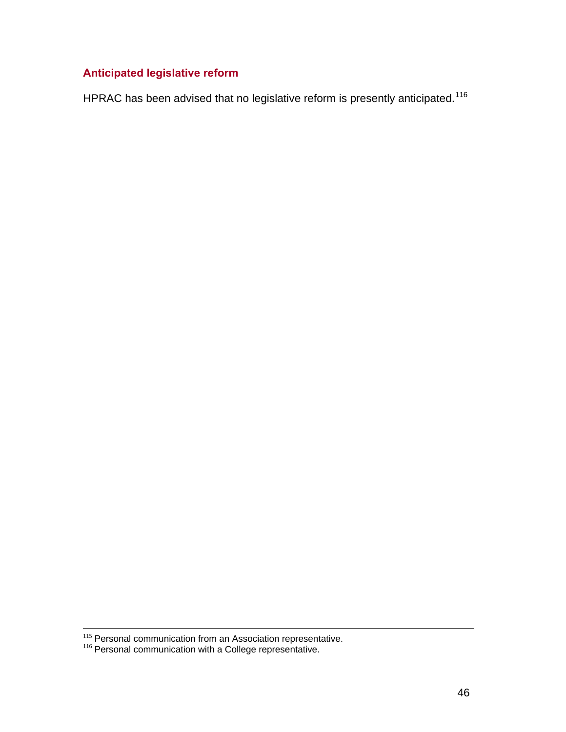# **Anticipated legislative reform**

HPRAC has been advised that no legislative reform is presently anticipated.<sup>[1](#page-45-0)16</sup>

<span id="page-45-0"></span><sup>115</sup> Personal communication from an Association representative.<br>116 Personal communication with a College representative.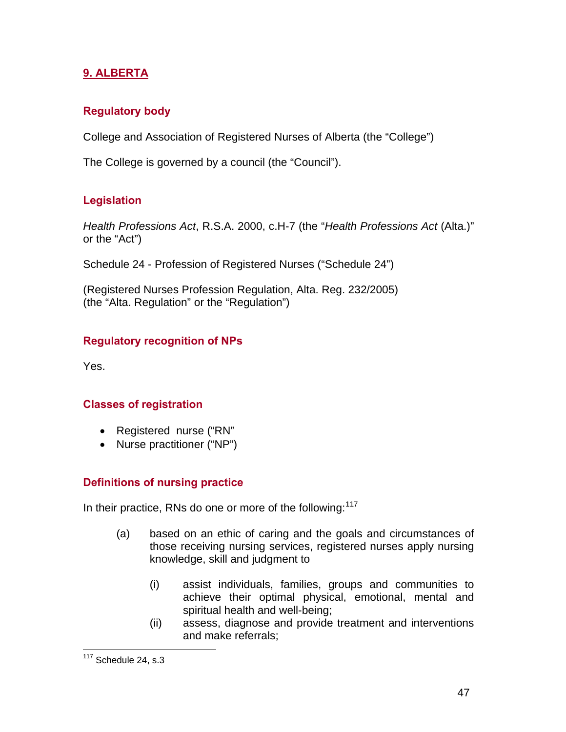# **9. ALBERTA**

### **Regulatory body**

College and Association of Registered Nurses of Alberta (the "College")

The College is governed by a council (the "Council").

## **Legislation**

*Health Professions Act*, R.S.A. 2000, c.H-7 (the "*Health Professions Act* (Alta.)" or the "Act")

Schedule 24 - Profession of Registered Nurses ("Schedule 24")

(Registered Nurses Profession Regulation, Alta. Reg. 232/2005) (the "Alta. Regulation" or the "Regulation")

## **Regulatory recognition of NPs**

Yes.

#### **Classes of registration**

- Registered nurse ("RN"
- Nurse practitioner ("NP")

## **Definitions of nursing practice**

In their practice, RNs do one or more of the following:  $117$  $117$ 

- (a) based on an ethic of caring and the goals and circumstances of those receiving nursing services, registered nurses apply nursing knowledge, skill and judgment to
	- (i) assist individuals, families, groups and communities to achieve their optimal physical, emotional, mental and spiritual health and well-being;
	- (ii) assess, diagnose and provide treatment and interventions and make referrals;

<span id="page-46-0"></span><sup>&</sup>lt;u>.</u>  $117$  Schedule 24, s.3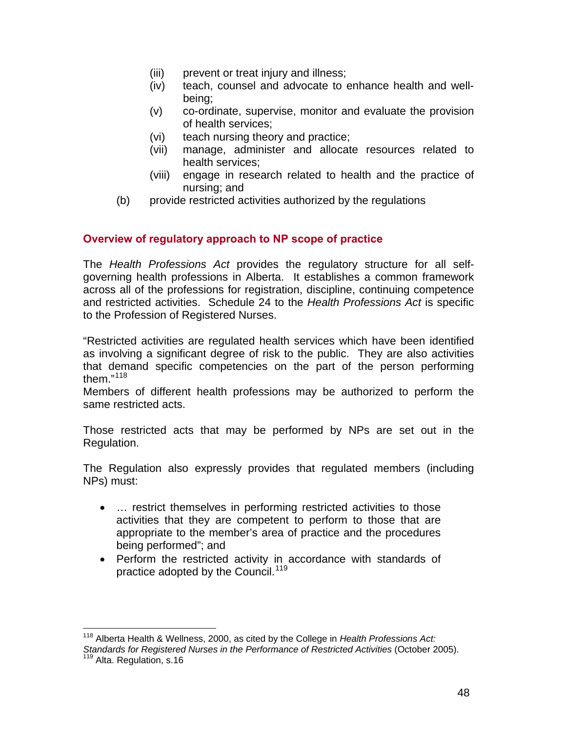- (iii) prevent or treat injury and illness;
- (iv) teach, counsel and advocate to enhance health and wellbeing;
- (v) co-ordinate, supervise, monitor and evaluate the provision of health services;
- (vi) teach nursing theory and practice;
- (vii) manage, administer and allocate resources related to health services;
- (viii) engage in research related to health and the practice of nursing; and
- (b) provide restricted activities authorized by the regulations

#### **Overview of regulatory approach to NP scope of practice**

The *Health Professions Act* provides the regulatory structure for all selfgoverning health professions in Alberta. It establishes a common framework across all of the professions for registration, discipline, continuing competence and restricted activities. Schedule 24 to the *Health Professions Act* is specific to the Profession of Registered Nurses.

"Restricted activities are regulated health services which have been identified as involving a significant degree of risk to the public. They are also activities that demand specific competencies on the part of the person performing them  $"^{118}$  $"^{118}$  $"^{118}$ 

Members of different health professions may be authorized to perform the same restricted acts.

Those restricted acts that may be performed by NPs are set out in the Regulation.

The Regulation also expressly provides that regulated members (including NPs) must:

- ... restrict themselves in performing restricted activities to those activities that they are competent to perform to those that are appropriate to the member's area of practice and the procedures being performed"; and
- Perform the restricted activity in accordance with standards of practice adopted by the Council.<sup>[1](#page-47-1)19</sup>

<span id="page-47-1"></span><span id="page-47-0"></span> $\overline{a}$ 118 Alberta Health & Wellness, 2000, as cited by the College in *Health Professions Act: Standards for Registered Nurses in the Performance of Restricted Activities* (October 2005). 119 Alta. Regulation, s.16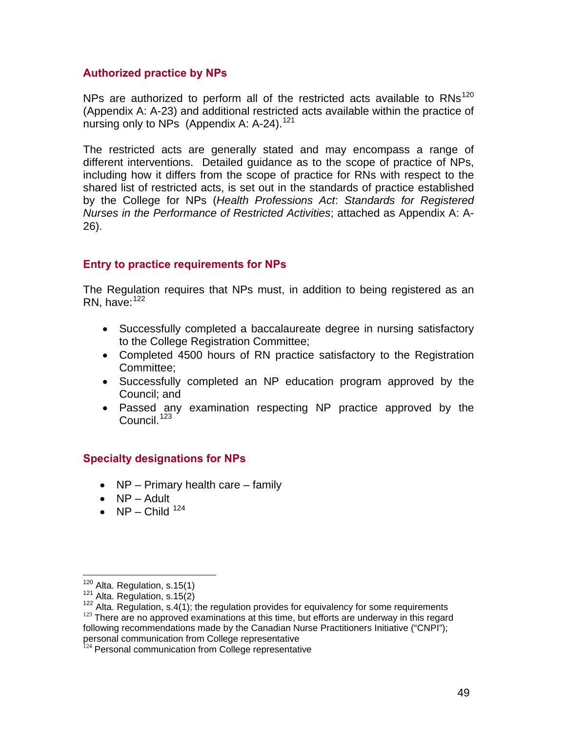#### **Authorized practice by NPs**

NPs are authorized to perform all of the restricted acts available to  $RNs^{120}$  $RNs^{120}$  $RNs^{120}$ (Appendix A: A-23) and additional restricted acts available within the practice of nursing only to NPs (Appendix A: A-24).<sup>[1](#page-48-1)21</sup>

The restricted acts are generally stated and may encompass a range of different interventions. Detailed guidance as to the scope of practice of NPs, including how it differs from the scope of practice for RNs with respect to the shared list of restricted acts, is set out in the standards of practice established by the College for NPs (*Health Professions Act*: *Standards for Registered Nurses in the Performance of Restricted Activities*; attached as Appendix A: A-26).

#### **Entry to practice requirements for NPs**

The Regulation requires that NPs must, in addition to being registered as an RN, have: $122$  $122$ 

- Successfully completed a baccalaureate degree in nursing satisfactory to the College Registration Committee;
- Completed 4500 hours of RN practice satisfactory to the Registration Committee;
- Successfully completed an NP education program approved by the Council; and
- Passed any examination respecting NP practice approved by the Council.<sup>[1](#page-48-3)23</sup>

#### **Specialty designations for NPs**

- NP Primary health care family
- NP Adult
- NP Child  $124$  $124$

<span id="page-48-0"></span> $120$  Alta. Regulation, s.15(1)

<span id="page-48-3"></span><span id="page-48-2"></span><span id="page-48-1"></span> $121$  Alta. Regulation, s.15(2)<br> $122$  Alta. Regulation, s.4(1); the regulation provides for equivalency for some requirements<br> $123$  There are no approved examinations at this time, but efforts are underway in this regard following recommendations made by the Canadian Nurse Practitioners Initiative ("CNPI"); personal communication from College representative

<span id="page-48-4"></span> $124$  Personal communication from College representative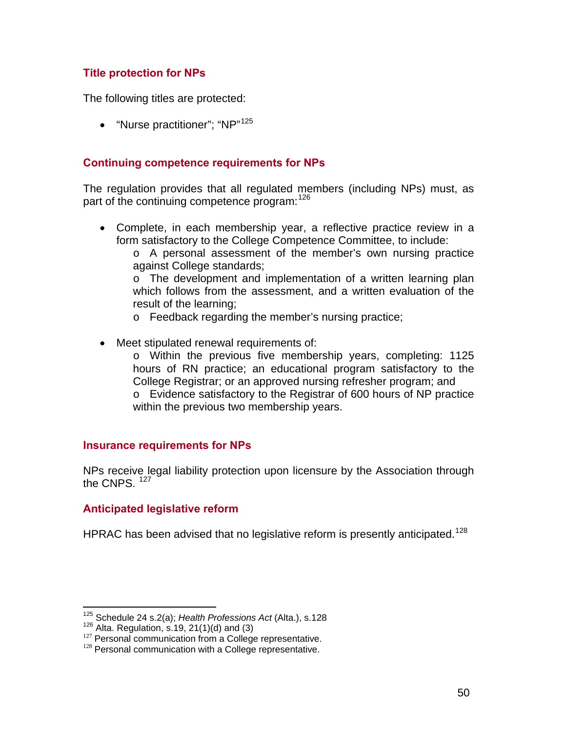## **Title protection for NPs**

The following titles are protected:

• "Nurse practitioner": "NP"<sup>[1](#page-49-0)25</sup>

### **Continuing competence requirements for NPs**

The regulation provides that all regulated members (including NPs) must, as part of the continuing competence program: [1](#page-49-1)26

• Complete, in each membership year, a reflective practice review in a form satisfactory to the College Competence Committee, to include:

o A personal assessment of the member's own nursing practice against College standards;

o The development and implementation of a written learning plan which follows from the assessment, and a written evaluation of the result of the learning;

- o Feedback regarding the member's nursing practice;
- Meet stipulated renewal requirements of:

o Within the previous five membership years, completing: 1125 hours of RN practice; an educational program satisfactory to the College Registrar; or an approved nursing refresher program; and o Evidence satisfactory to the Registrar of 600 hours of NP practice within the previous two membership years.

#### **Insurance requirements for NPs**

NPs receive legal liability protection upon licensure by the Association through the CNPS.  $127$  $127$ 

#### **Anticipated legislative reform**

HPRAC has been advised that no legislative reform is presently anticipated.<sup>[1](#page-49-3)28</sup>

1

<span id="page-49-0"></span><sup>&</sup>lt;sup>125</sup> Schedule 24 s.2(a); *Health Professions Act* (Alta.), s.128<br><sup>126</sup> Alta. Regulation, s.19, 21(1)(d) and (3)<br><sup>127</sup> Personal communication from a College representative.<br><sup>128</sup> Personal communication with a College repr

<span id="page-49-3"></span><span id="page-49-2"></span><span id="page-49-1"></span>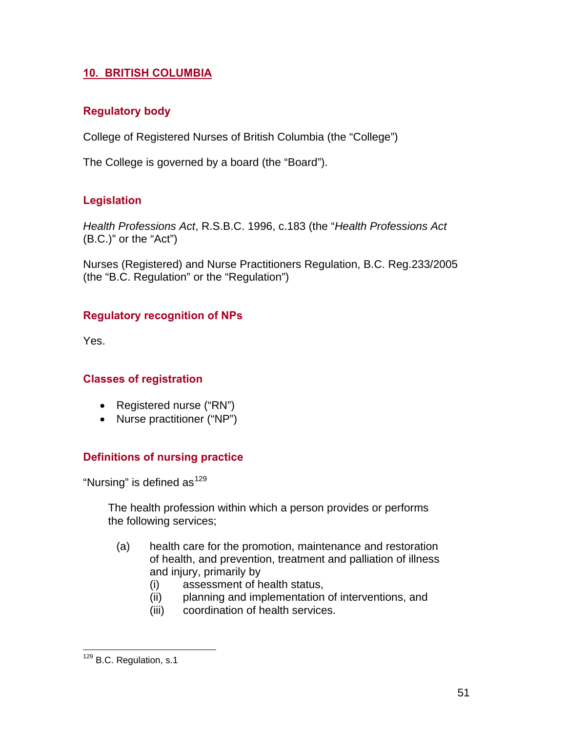# **10. BRITISH COLUMBIA**

## **Regulatory body**

College of Registered Nurses of British Columbia (the "College")

The College is governed by a board (the "Board").

# **Legislation**

*Health Professions Act*, R.S.B.C. 1996, c.183 (the "*Health Professions Act* (B.C.)" or the "Act")

Nurses (Registered) and Nurse Practitioners Regulation, B.C. Reg.233/2005 (the "B.C. Regulation" or the "Regulation")

# **Regulatory recognition of NPs**

Yes.

## **Classes of registration**

- Registered nurse ("RN")
- Nurse practitioner ("NP")

# **Definitions of nursing practice**

"Nursing" is defined as  $129$  $129$ 

The health profession within which a person provides or performs the following services;

- (a) health care for the promotion, maintenance and restoration of health, and prevention, treatment and palliation of illness and injury, primarily by
	- (i) assessment of health status,
	- (ii) planning and implementation of interventions, and
	- (iii) coordination of health services.

<span id="page-50-0"></span><sup>&</sup>lt;u>.</u> <sup>129</sup> B.C. Regulation, s.1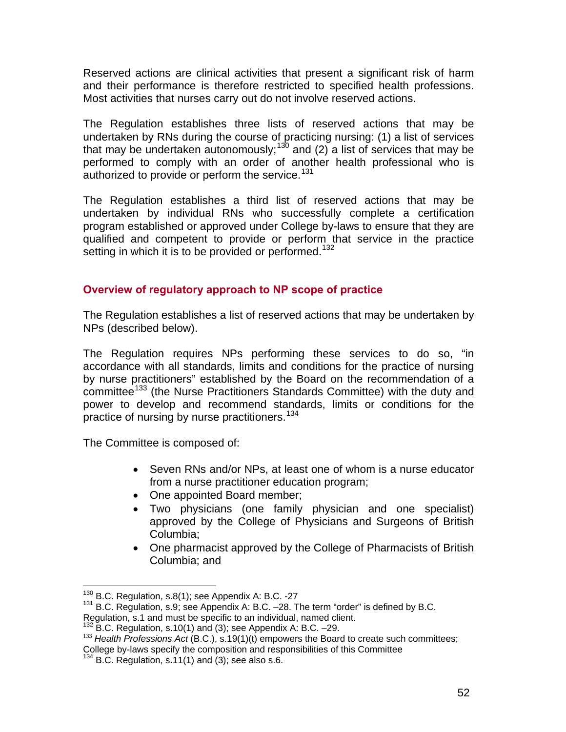Reserved actions are clinical activities that present a significant risk of harm and their performance is therefore restricted to specified health professions. Most activities that nurses carry out do not involve reserved actions.

The Regulation establishes three lists of reserved actions that may be undertaken by RNs during the course of practicing nursing: (1) a list of services that may be undertaken autonomously;<sup>[1](#page-51-0)30</sup> and (2) a list of services that may be performed to comply with an order of another health professional who is authorized to provide or perform the service.<sup>[1](#page-51-1)31</sup>

The Regulation establishes a third list of reserved actions that may be undertaken by individual RNs who successfully complete a certification program established or approved under College by-laws to ensure that they are qualified and competent to provide or perform that service in the practice setting in which it is to be provided or performed.<sup>[1](#page-51-2)32</sup>

### **Overview of regulatory approach to NP scope of practice**

The Regulation establishes a list of reserved actions that may be undertaken by NPs (described below).

The Regulation requires NPs performing these services to do so, "in accordance with all standards, limits and conditions for the practice of nursing by nurse practitioners" established by the Board on the recommendation of a committee<sup>[1](#page-51-3)33</sup> (the Nurse Practitioners Standards Committee) with the duty and power to develop and recommend standards, limits or conditions for the practice of nursing by nurse practitioners.<sup>[1](#page-51-4)34</sup>

The Committee is composed of:

- Seven RNs and/or NPs, at least one of whom is a nurse educator from a nurse practitioner education program;
- One appointed Board member;
- Two physicians (one family physician and one specialist) approved by the College of Physicians and Surgeons of British Columbia;
- One pharmacist approved by the College of Pharmacists of British Columbia; and

<span id="page-51-0"></span><sup>&</sup>lt;sup>130</sup> B.C. Regulation, s.8(1); see Appendix A: B.C. -27

<span id="page-51-1"></span> $131$  B.C. Regulation, s.9; see Appendix A: B.C. -28. The term "order" is defined by B.C.

Regulation, s.1 and must be specific to an individual, named client.<br><sup>132</sup> B.C. Regulation, s.10(1) and (3); see Appendix A: B.C. -29.

<span id="page-51-3"></span><span id="page-51-2"></span><sup>&</sup>lt;sup>133</sup> Health Professions Act (B.C.), s.19(1)(t) empowers the Board to create such committees; College by-laws specify the composition and responsibilities of this Committee

<span id="page-51-4"></span>B.C. Regulation,  $s.11(1)$  and  $(3)$ ; see also  $s.6$ .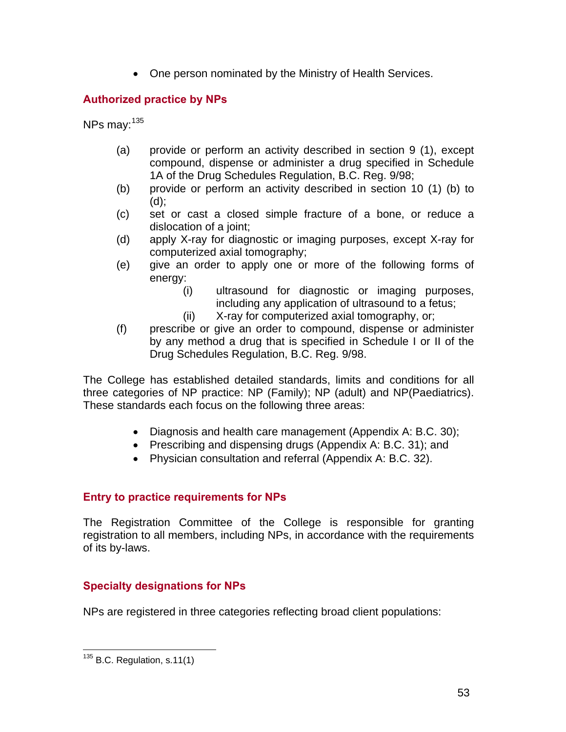• One person nominated by the Ministry of Health Services.

# **Authorized practice by NPs**

NPs may:  $135$  $135$ 

- (a) provide or perform an activity described in section 9 (1), except compound, dispense or administer a drug specified in Schedule 1A of the Drug Schedules Regulation, B.C. Reg. 9/98;
- (b) provide or perform an activity described in section 10 (1) (b) to (d);
- (c) set or cast a closed simple fracture of a bone, or reduce a dislocation of a joint;
- (d) apply X-ray for diagnostic or imaging purposes, except X-ray for computerized axial tomography;
- (e) give an order to apply one or more of the following forms of energy:
	- (i) ultrasound for diagnostic or imaging purposes, including any application of ultrasound to a fetus;
	- (ii) X-ray for computerized axial tomography, or;
- (f) prescribe or give an order to compound, dispense or administer by any method a drug that is specified in Schedule I or II of the Drug Schedules Regulation, B.C. Reg. 9/98.

The College has established detailed standards, limits and conditions for all three categories of NP practice: NP (Family); NP (adult) and NP(Paediatrics). These standards each focus on the following three areas:

- Diagnosis and health care management (Appendix A: B.C. 30);
- Prescribing and dispensing drugs (Appendix A: B.C. 31); and
- Physician consultation and referral (Appendix A: B.C. 32).

## **Entry to practice requirements for NPs**

The Registration Committee of the College is responsible for granting registration to all members, including NPs, in accordance with the requirements of its by-laws.

# **Specialty designations for NPs**

NPs are registered in three categories reflecting broad client populations:

<span id="page-52-0"></span> $\overline{a}$  $135$  B.C. Regulation, s.11(1)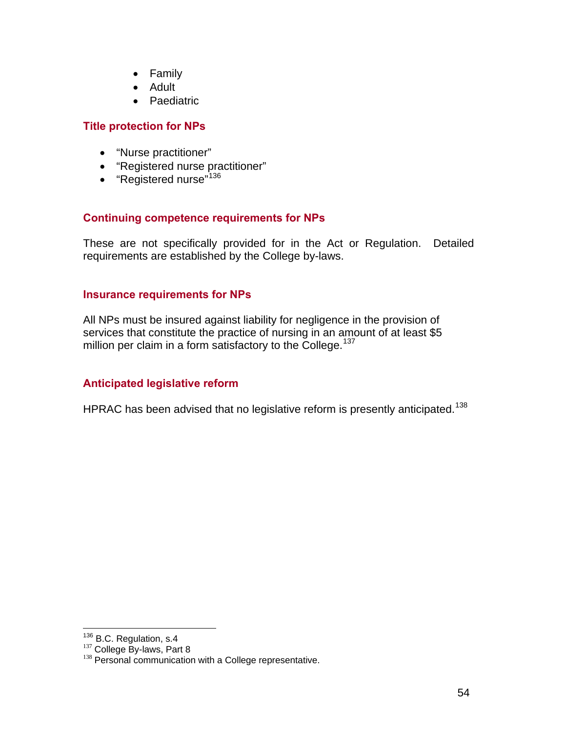- Family
- Adult
- Paediatric

#### **Title protection for NPs**

- "Nurse practitioner"
- "Registered nurse practitioner"
- "Registered nurse"<sup>[1](#page-53-0)36</sup>

#### **Continuing competence requirements for NPs**

These are not specifically provided for in the Act or Regulation. Detailed requirements are established by the College by-laws.

#### **Insurance requirements for NPs**

All NPs must be insured against liability for negligence in the provision of services that constitute the practice of nursing in an amount of at least \$5 million per claim in a form satisfactory to the College.<sup>[13](#page-53-1)7</sup>

#### **Anticipated legislative reform**

HPRAC has been advised that no legislative reform is presently anticipated.<sup>[1](#page-53-2)38</sup>

<span id="page-53-0"></span><sup>&</sup>lt;sup>136</sup> B.C. Regulation, s.4

<span id="page-53-2"></span><span id="page-53-1"></span> $137$  College By-laws, Part 8<br> $138$  Personal communication with a College representative.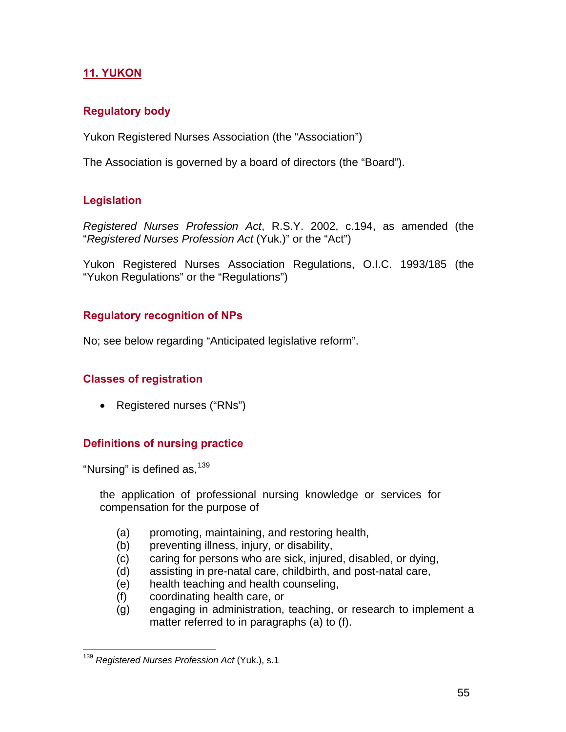# **11. YUKON**

## **Regulatory body**

Yukon Registered Nurses Association (the "Association")

The Association is governed by a board of directors (the "Board").

## **Legislation**

*Registered Nurses Profession Act*, R.S.Y. 2002, c.194, as amended (the "*Registered Nurses Profession Act* (Yuk.)" or the "Act")

Yukon Registered Nurses Association Regulations, O.I.C. 1993/185 (the "Yukon Regulations" or the "Regulations")

## **Regulatory recognition of NPs**

No; see below regarding "Anticipated legislative reform".

## **Classes of registration**

• Registered nurses ("RNs")

## **Definitions of nursing practice**

"Nursing" is defined as,  $139$  $139$ 

 $\overline{a}$ 

the application of professional nursing knowledge or services for compensation for the purpose of

- (a) promoting, maintaining, and restoring health,
- (b) preventing illness, injury, or disability,
- (c) caring for persons who are sick, injured, disabled, or dying,
- (d) assisting in pre-natal care, childbirth, and post-natal care,
- (e) health teaching and health counseling,
- (f) coordinating health care, or
- (g) engaging in administration, teaching, or research to implement a matter referred to in paragraphs (a) to (f).

<span id="page-54-0"></span><sup>139</sup> *Registered Nurses Profession Act* (Yuk.), s.1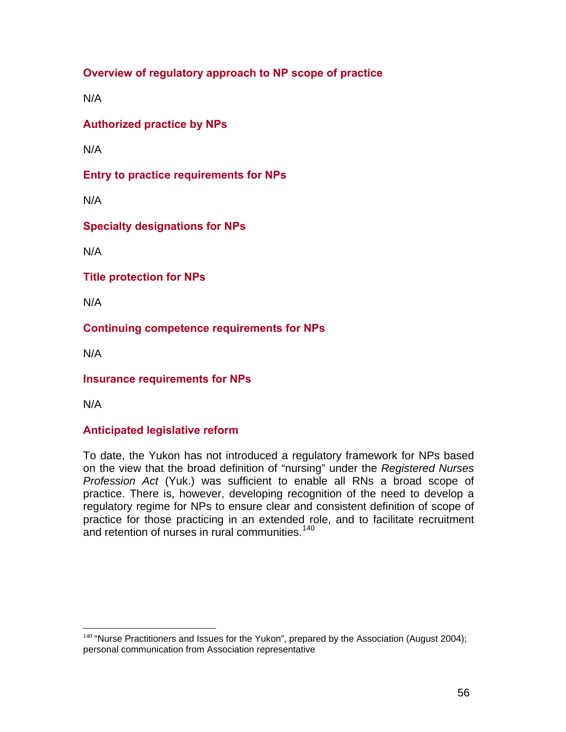**Overview of regulatory approach to NP scope of practice** 

N/A

**Authorized practice by NPs** 

N/A

**Entry to practice requirements for NPs** 

N/A

**Specialty designations for NPs** 

N/A

**Title protection for NPs** 

N/A

**Continuing competence requirements for NPs** 

N/A

**Insurance requirements for NPs** 

N/A

 $\overline{a}$ 

## **Anticipated legislative reform**

To date, the Yukon has not introduced a regulatory framework for NPs based on the view that the broad definition of "nursing" under the *Registered Nurses Profession Act* (Yuk.) was sufficient to enable all RNs a broad scope of practice. There is, however, developing recognition of the need to develop a regulatory regime for NPs to ensure clear and consistent definition of scope of practice for those practicing in an extended role, and to facilitate recruitment and retention of nurses in rural communities.<sup>[14](#page-55-0)0</sup>

<span id="page-55-0"></span> $140$  "Nurse Practitioners and Issues for the Yukon", prepared by the Association (August 2004); personal communication from Association representative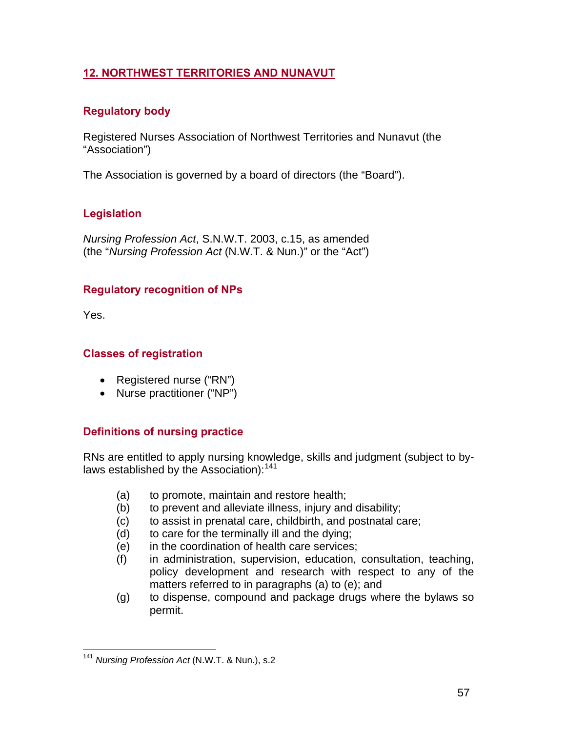# **12. NORTHWEST TERRITORIES AND NUNAVUT**

## **Regulatory body**

Registered Nurses Association of Northwest Territories and Nunavut (the "Association")

The Association is governed by a board of directors (the "Board").

# **Legislation**

*Nursing Profession Act*, S.N.W.T. 2003, c.15, as amended (the "*Nursing Profession Act* (N.W.T. & Nun.)" or the "Act")

## **Regulatory recognition of NPs**

Yes.

### **Classes of registration**

- Registered nurse ("RN")
- Nurse practitioner ("NP")

## **Definitions of nursing practice**

RNs are entitled to apply nursing knowledge, skills and judgment (subject to by-laws established by the Association):<sup>[14](#page-56-0)1</sup>

- (a) to promote, maintain and restore health;
- (b) to prevent and alleviate illness, injury and disability;
- (c) to assist in prenatal care, childbirth, and postnatal care;
- (d) to care for the terminally ill and the dying;
- (e) in the coordination of health care services;
- (f) in administration, supervision, education, consultation, teaching, policy development and research with respect to any of the matters referred to in paragraphs (a) to (e); and
- (g) to dispense, compound and package drugs where the bylaws so permit.

<span id="page-56-0"></span><sup>&</sup>lt;u>.</u> <sup>141</sup> *Nursing Profession Act* (N.W.T. & Nun.), s.2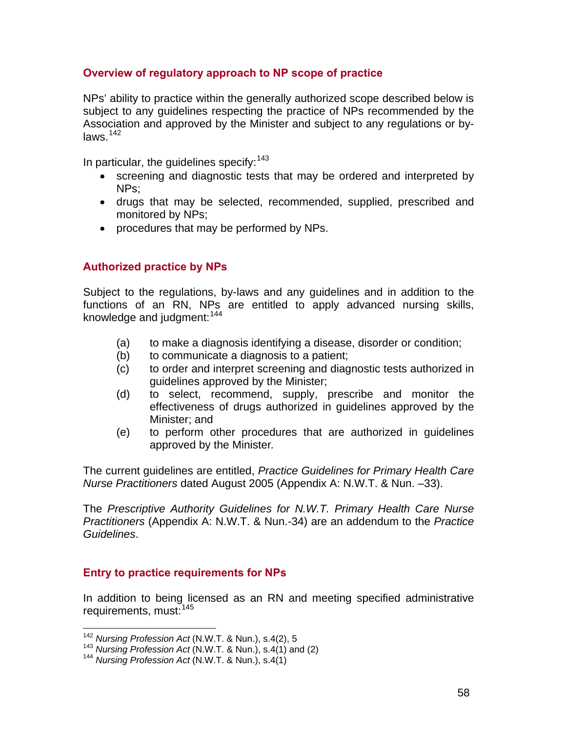### **Overview of regulatory approach to NP scope of practice**

NPs' ability to practice within the generally authorized scope described below is subject to any guidelines respecting the practice of NPs recommended by the Association and approved by the Minister and subject to any regulations or bylaws.[1](#page-57-0)42

In particular, the guidelines specify:  $143$  $143$ 

- screening and diagnostic tests that may be ordered and interpreted by NPs;
- drugs that may be selected, recommended, supplied, prescribed and monitored by NPs;
- procedures that may be performed by NPs.

### **Authorized practice by NPs**

Subject to the regulations, by-laws and any guidelines and in addition to the functions of an RN, NPs are entitled to apply advanced nursing skills, knowledge and judgment: [14](#page-57-2)4

- (a) to make a diagnosis identifying a disease, disorder or condition;
- (b) to communicate a diagnosis to a patient;
- (c) to order and interpret screening and diagnostic tests authorized in guidelines approved by the Minister;
- (d) to select, recommend, supply, prescribe and monitor the effectiveness of drugs authorized in guidelines approved by the Minister; and
- (e) to perform other procedures that are authorized in guidelines approved by the Minister*.*

The current guidelines are entitled, *Practice Guidelines for Primary Health Care Nurse Practitioners* dated August 2005 (Appendix A: N.W.T. & Nun. –33).

The *Prescriptive Authority Guidelines for N.W.T. Primary Health Care Nurse Practitioners* (Appendix A: N.W.T. & Nun.-34) are an addendum to the *Practice Guidelines*.

#### **Entry to practice requirements for NPs**

In addition to being licensed as an RN and meeting specified administrative requirements, must:<sup>[14](#page-57-3)5</sup>

<span id="page-57-3"></span><span id="page-57-0"></span><sup>&</sup>lt;sup>142</sup> Nursing Profession Act (N.W.T. & Nun.), s.4(2), 5

<span id="page-57-1"></span><sup>&</sup>lt;sup>143</sup> *Nursing Profession Act* (N.W.T. & Nun.), s.4(1) and (2)<br><sup>144</sup> *Nursing Profession Act* (N.W.T. & Nun.), s.4(1)

<span id="page-57-2"></span>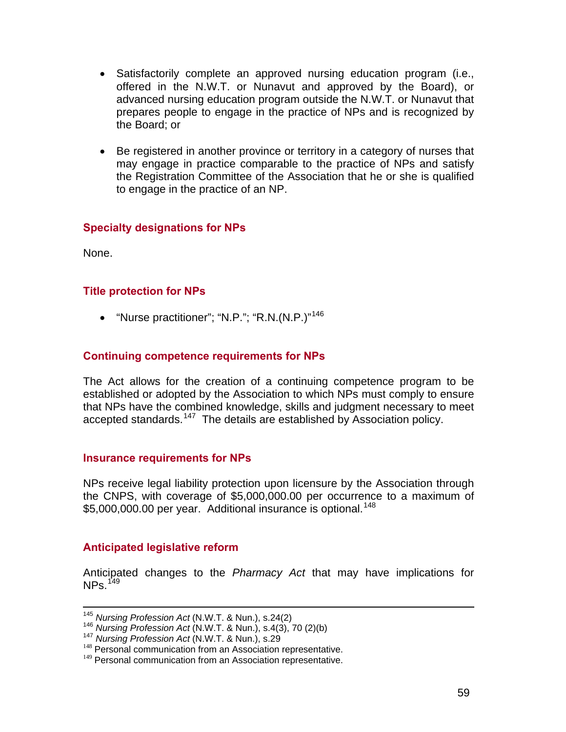- Satisfactorily complete an approved nursing education program (i.e., offered in the N.W.T. or Nunavut and approved by the Board), or advanced nursing education program outside the N.W.T. or Nunavut that prepares people to engage in the practice of NPs and is recognized by the Board; or
- Be registered in another province or territory in a category of nurses that may engage in practice comparable to the practice of NPs and satisfy the Registration Committee of the Association that he or she is qualified to engage in the practice of an NP.

### **Specialty designations for NPs**

None.

#### **Title protection for NPs**

• "Nurse practitioner"; "N.P."; "R.N.(N.P.)"[14](#page-58-0)6

#### **Continuing competence requirements for NPs**

The Act allows for the creation of a continuing competence program to be established or adopted by the Association to which NPs must comply to ensure that NPs have the combined knowledge, skills and judgment necessary to meet accepted standards.<sup>[1](#page-58-1)47</sup> The details are established by Association policy.

#### **Insurance requirements for NPs**

NPs receive legal liability protection upon licensure by the Association through the CNPS, with coverage of \$5,000,000.00 per occurrence to a maximum of \$5,000,000.00 per year. Additional insurance is optional.<sup>[14](#page-58-2)8</sup>

#### **Anticipated legislative reform**

Anticipated changes to the *Pharmacy Act* that may have implications for  $NPs.$ <sup>[14](#page-58-3)9</sup>

<span id="page-58-0"></span><sup>&</sup>lt;sup>145</sup> Nursing Profession Act (N.W.T. & Nun.), s.24(2)<br><sup>146</sup> Nursing Profession Act (N.W.T. & Nun.), s.4(3), 70 (2)(b)<br><sup>147</sup> Nursing Profession Act (N.W.T. & Nun.), s.29<br><sup>148</sup> Personal communication from an Association rep

<span id="page-58-1"></span>

<span id="page-58-2"></span>

<span id="page-58-3"></span><sup>&</sup>lt;sup>149</sup> Personal communication from an Association representative.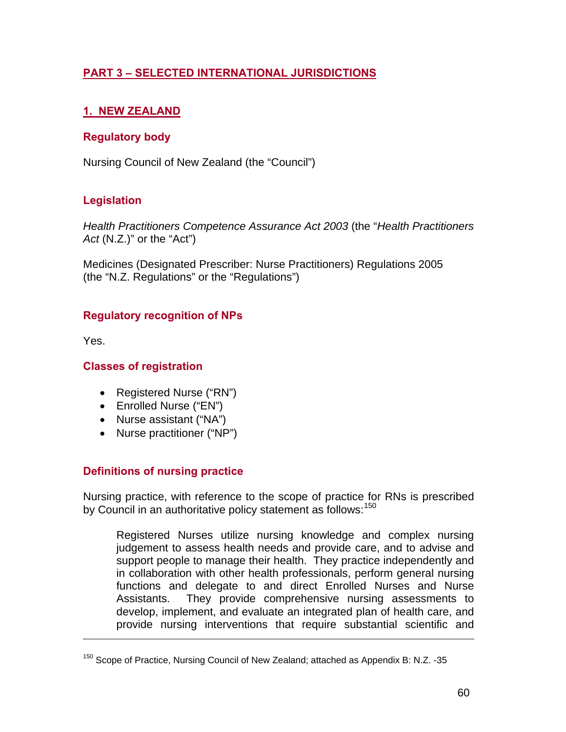# **PART 3 – SELECTED INTERNATIONAL JURISDICTIONS**

# **1. NEW ZEALAND**

### **Regulatory body**

Nursing Council of New Zealand (the "Council")

### **Legislation**

*Health Practitioners Competence Assurance Act 2003* (the "*Health Practitioners Act* (N.Z.)" or the "Act")

Medicines (Designated Prescriber: Nurse Practitioners) Regulations 2005 (the "N.Z. Regulations" or the "Regulations")

### **Regulatory recognition of NPs**

Yes.

 $\overline{a}$ 

#### **Classes of registration**

- Registered Nurse ("RN")
- Enrolled Nurse ("EN")
- Nurse assistant ("NA")
- Nurse practitioner ("NP")

## **Definitions of nursing practice**

Nursing practice, with reference to the scope of practice for RNs is prescribed by Council in an authoritative policy statement as follows:<sup>[1](#page-59-0)50</sup>

Registered Nurses utilize nursing knowledge and complex nursing judgement to assess health needs and provide care, and to advise and support people to manage their health. They practice independently and in collaboration with other health professionals, perform general nursing functions and delegate to and direct Enrolled Nurses and Nurse Assistants. They provide comprehensive nursing assessments to develop, implement, and evaluate an integrated plan of health care, and provide nursing interventions that require substantial scientific and

<span id="page-59-0"></span><sup>&</sup>lt;sup>150</sup> Scope of Practice, Nursing Council of New Zealand; attached as Appendix B: N.Z. -35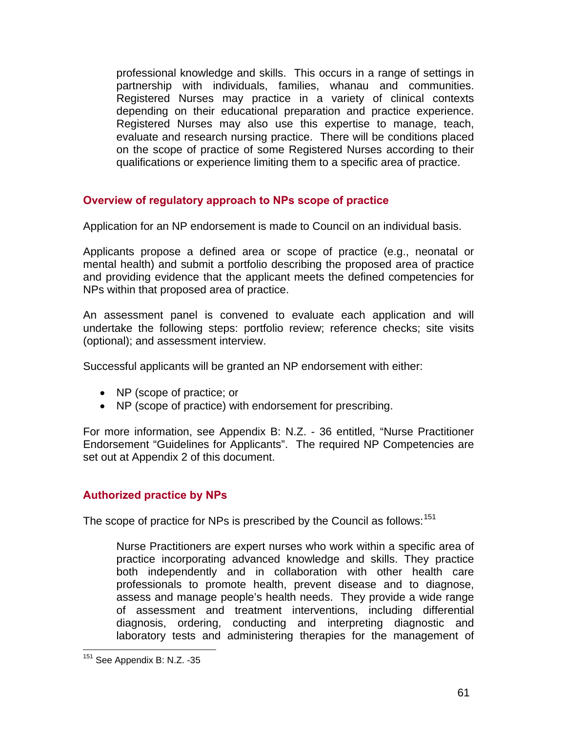professional knowledge and skills. This occurs in a range of settings in partnership with individuals, families, whanau and communities. Registered Nurses may practice in a variety of clinical contexts depending on their educational preparation and practice experience. Registered Nurses may also use this expertise to manage, teach, evaluate and research nursing practice. There will be conditions placed on the scope of practice of some Registered Nurses according to their qualifications or experience limiting them to a specific area of practice.

### **Overview of regulatory approach to NPs scope of practice**

Application for an NP endorsement is made to Council on an individual basis.

Applicants propose a defined area or scope of practice (e.g., neonatal or mental health) and submit a portfolio describing the proposed area of practice and providing evidence that the applicant meets the defined competencies for NPs within that proposed area of practice.

An assessment panel is convened to evaluate each application and will undertake the following steps: portfolio review; reference checks; site visits (optional); and assessment interview.

Successful applicants will be granted an NP endorsement with either:

- NP (scope of practice; or
- NP (scope of practice) with endorsement for prescribing.

For more information, see Appendix B: N.Z. - 36 entitled, "Nurse Practitioner Endorsement "Guidelines for Applicants". The required NP Competencies are set out at Appendix 2 of this document.

#### **Authorized practice by NPs**

The scope of practice for NPs is prescribed by the Council as follows:<sup>[1](#page-60-0)51</sup>

Nurse Practitioners are expert nurses who work within a specific area of practice incorporating advanced knowledge and skills. They practice both independently and in collaboration with other health care professionals to promote health, prevent disease and to diagnose, assess and manage people's health needs. They provide a wide range of assessment and treatment interventions, including differential diagnosis, ordering, conducting and interpreting diagnostic and laboratory tests and administering therapies for the management of

<span id="page-60-0"></span> $\overline{a}$ <sup>151</sup> See Appendix B: N.Z. -35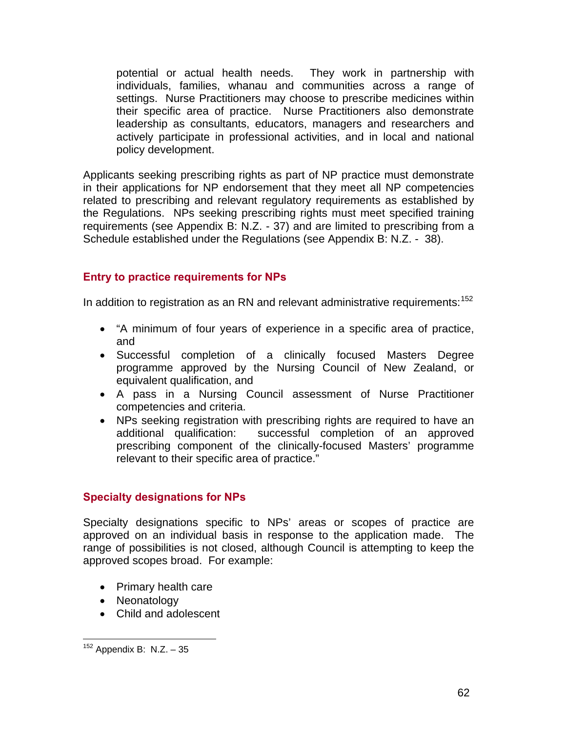potential or actual health needs. They work in partnership with individuals, families, whanau and communities across a range of settings. Nurse Practitioners may choose to prescribe medicines within their specific area of practice. Nurse Practitioners also demonstrate leadership as consultants, educators, managers and researchers and actively participate in professional activities, and in local and national policy development.

Applicants seeking prescribing rights as part of NP practice must demonstrate in their applications for NP endorsement that they meet all NP competencies related to prescribing and relevant regulatory requirements as established by the Regulations. NPs seeking prescribing rights must meet specified training requirements (see Appendix B: N.Z. - 37) and are limited to prescribing from a Schedule established under the Regulations (see Appendix B: N.Z. - 38).

### **Entry to practice requirements for NPs**

In addition to registration as an RN and relevant administrative requirements:  $152$  $152$ 

- "A minimum of four years of experience in a specific area of practice, and
- Successful completion of a clinically focused Masters Degree programme approved by the Nursing Council of New Zealand, or equivalent qualification, and
- A pass in a Nursing Council assessment of Nurse Practitioner competencies and criteria.
- NPs seeking registration with prescribing rights are required to have an additional qualification: successful completion of an approved prescribing component of the clinically-focused Masters' programme relevant to their specific area of practice."

#### **Specialty designations for NPs**

Specialty designations specific to NPs' areas or scopes of practice are approved on an individual basis in response to the application made. The range of possibilities is not closed, although Council is attempting to keep the approved scopes broad. For example:

- Primary health care
- Neonatology
- Child and adolescent

<span id="page-61-0"></span><sup>1</sup>  $152$  Appendix B: N.Z.  $-35$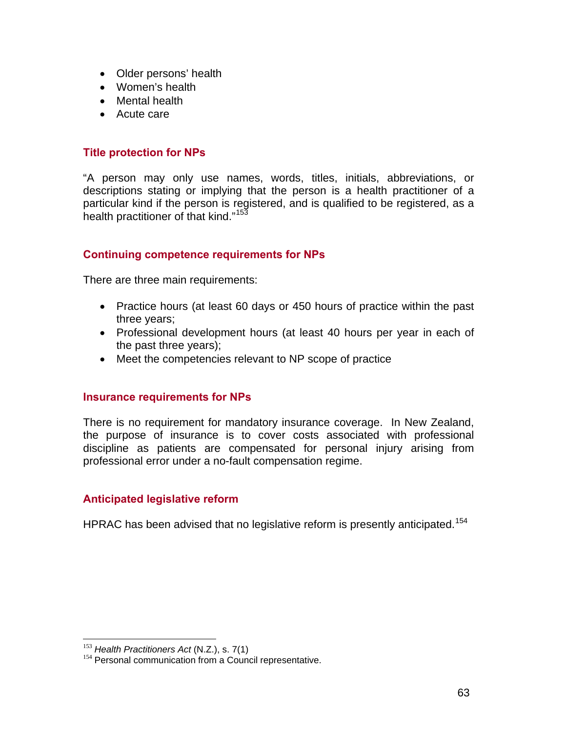- Older persons' health
- Women's health
- Mental health
- Acute care

#### **Title protection for NPs**

"A person may only use names, words, titles, initials, abbreviations, or descriptions stating or implying that the person is a health practitioner of a particular kind if the person is registered, and is qualified to be registered, as a health practitioner of that kind."<sup>[15](#page-62-0)3</sup>

#### **Continuing competence requirements for NPs**

There are three main requirements:

- Practice hours (at least 60 days or 450 hours of practice within the past three years;
- Professional development hours (at least 40 hours per year in each of the past three years);
- Meet the competencies relevant to NP scope of practice

#### **Insurance requirements for NPs**

There is no requirement for mandatory insurance coverage. In New Zealand, the purpose of insurance is to cover costs associated with professional discipline as patients are compensated for personal injury arising from professional error under a no-fault compensation regime.

#### **Anticipated legislative reform**

HPRAC has been advised that no legislative reform is presently anticipated.<sup>[1](#page-62-1)54</sup>

<span id="page-62-0"></span> $153$  Health Practitioners Act (N.Z.), s. 7(1)

<span id="page-62-1"></span><sup>&</sup>lt;sup>154</sup> Personal communication from a Council representative.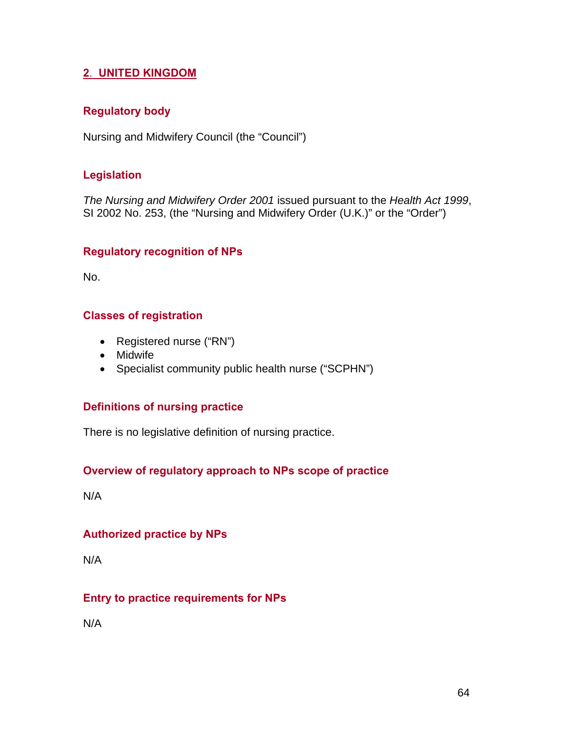## **2**. **UNITED KINGDOM**

### **Regulatory body**

Nursing and Midwifery Council (the "Council")

### **Legislation**

*The Nursing and Midwifery Order 2001* issued pursuant to the *Health Act 1999*, SI 2002 No. 253, (the "Nursing and Midwifery Order (U.K.)" or the "Order")

#### **Regulatory recognition of NPs**

No.

### **Classes of registration**

- Registered nurse ("RN")
- Midwife
- Specialist community public health nurse ("SCPHN")

## **Definitions of nursing practice**

There is no legislative definition of nursing practice.

## **Overview of regulatory approach to NPs scope of practice**

N/A

## **Authorized practice by NPs**

N/A

## **Entry to practice requirements for NPs**

N/A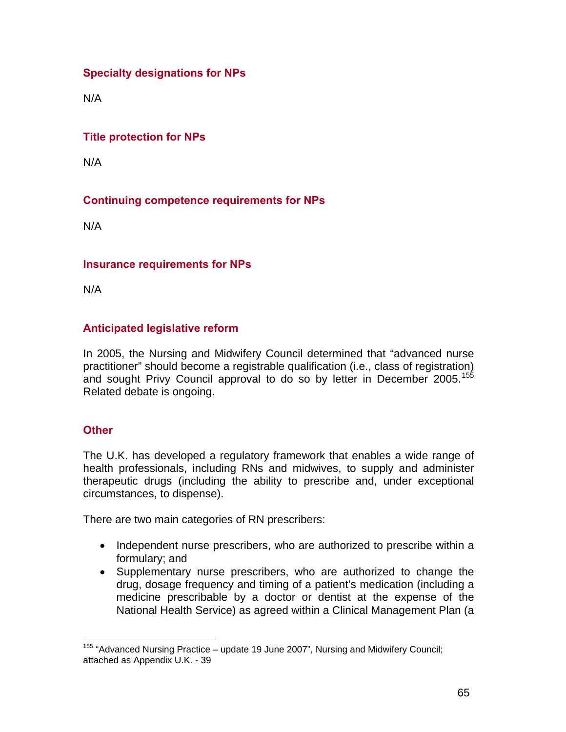# **Specialty designations for NPs**

N/A

## **Title protection for NPs**

N/A

# **Continuing competence requirements for NPs**

N/A

### **Insurance requirements for NPs**

N/A

## **Anticipated legislative reform**

In 2005, the Nursing and Midwifery Council determined that "advanced nurse practitioner" should become a registrable qualification (i.e., class of registration) and sought Privy Council approval to do so by letter in December 2005.<sup>[1](#page-64-0)55</sup> Related debate is ongoing.

#### **Other**

The U.K. has developed a regulatory framework that enables a wide range of health professionals, including RNs and midwives, to supply and administer therapeutic drugs (including the ability to prescribe and, under exceptional circumstances, to dispense).

There are two main categories of RN prescribers:

- Independent nurse prescribers, who are authorized to prescribe within a formulary; and
- Supplementary nurse prescribers, who are authorized to change the drug, dosage frequency and timing of a patient's medication (including a medicine prescribable by a doctor or dentist at the expense of the National Health Service) as agreed within a Clinical Management Plan (a

<span id="page-64-0"></span><sup>1</sup> <sup>155</sup> "Advanced Nursing Practice – update 19 June 2007", Nursing and Midwifery Council; attached as Appendix U.K. - 39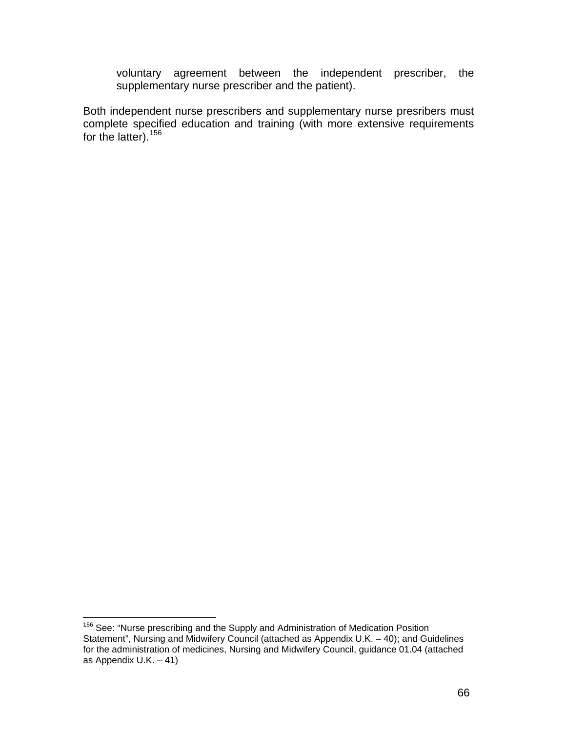voluntary agreement between the independent prescriber, the supplementary nurse prescriber and the patient).

Both independent nurse prescribers and supplementary nurse presribers must complete specified education and training (with more extensive requirements for the latter).<sup>[1](#page-65-0)56</sup>

<span id="page-65-0"></span> $\overline{a}$ <sup>156</sup> See: "Nurse prescribing and the Supply and Administration of Medication Position Statement", Nursing and Midwifery Council (attached as Appendix U.K. – 40); and Guidelines for the administration of medicines, Nursing and Midwifery Council, guidance 01.04 (attached as Appendix U.K. – 41)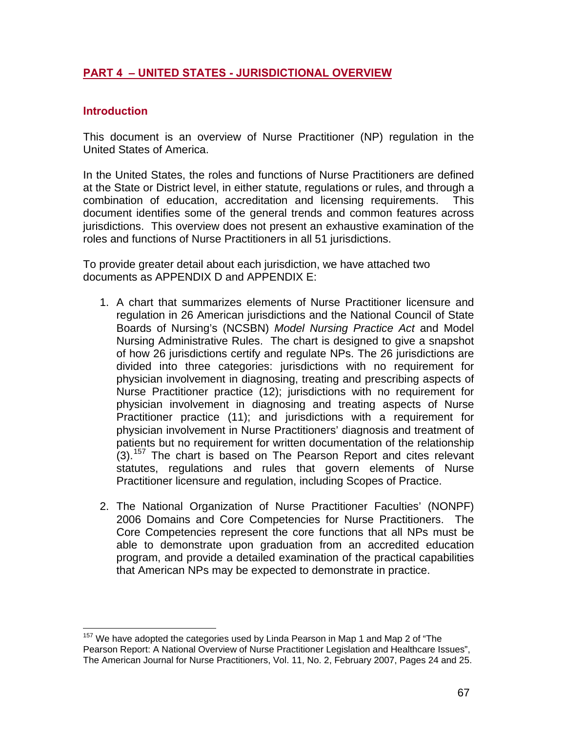## **PART 4 – UNITED STATES - JURISDICTIONAL OVERVIEW**

#### **Introduction**

This document is an overview of Nurse Practitioner (NP) regulation in the United States of America.

In the United States, the roles and functions of Nurse Practitioners are defined at the State or District level, in either statute, regulations or rules, and through a combination of education, accreditation and licensing requirements. This document identifies some of the general trends and common features across jurisdictions. This overview does not present an exhaustive examination of the roles and functions of Nurse Practitioners in all 51 jurisdictions.

To provide greater detail about each jurisdiction, we have attached two documents as APPENDIX D and APPENDIX E:

- 1. A chart that summarizes elements of Nurse Practitioner licensure and regulation in 26 American jurisdictions and the National Council of State Boards of Nursing's (NCSBN) *Model Nursing Practice Act* and Model Nursing Administrative Rules. The chart is designed to give a snapshot of how 26 jurisdictions certify and regulate NPs. The 26 jurisdictions are divided into three categories: jurisdictions with no requirement for physician involvement in diagnosing, treating and prescribing aspects of Nurse Practitioner practice (12); jurisdictions with no requirement for physician involvement in diagnosing and treating aspects of Nurse Practitioner practice (11); and jurisdictions with a requirement for physician involvement in Nurse Practitioners' diagnosis and treatment of patients but no requirement for written documentation of the relationship (3).[15](#page-66-0)7 The chart is based on The Pearson Report and cites relevant statutes, regulations and rules that govern elements of Nurse Practitioner licensure and regulation, including Scopes of Practice.
- 2. The National Organization of Nurse Practitioner Faculties' (NONPF) 2006 Domains and Core Competencies for Nurse Practitioners. The Core Competencies represent the core functions that all NPs must be able to demonstrate upon graduation from an accredited education program, and provide a detailed examination of the practical capabilities that American NPs may be expected to demonstrate in practice.

<span id="page-66-0"></span> $\overline{a}$  $157$  We have adopted the categories used by Linda Pearson in Map 1 and Map 2 of "The Pearson Report: A National Overview of Nurse Practitioner Legislation and Healthcare Issues", The American Journal for Nurse Practitioners, Vol. 11, No. 2, February 2007, Pages 24 and 25.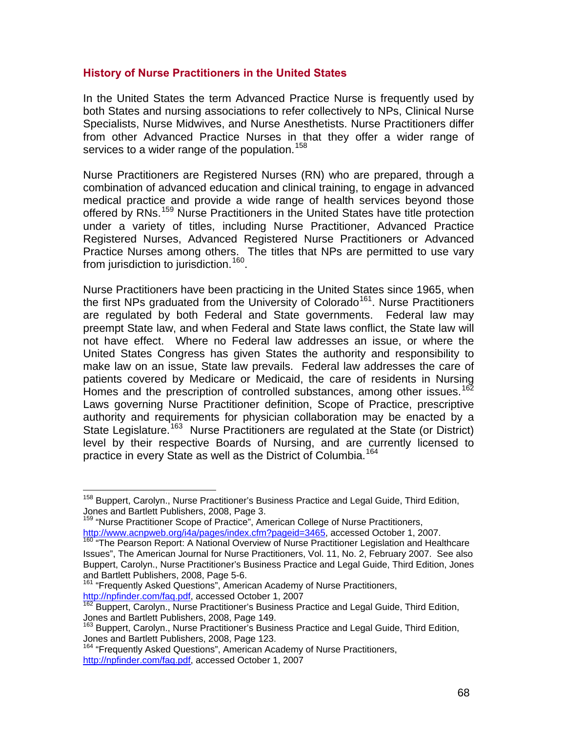#### **History of Nurse Practitioners in the United States**

In the United States the term Advanced Practice Nurse is frequently used by both States and nursing associations to refer collectively to NPs, Clinical Nurse Specialists, Nurse Midwives, and Nurse Anesthetists. Nurse Practitioners differ from other Advanced Practice Nurses in that they offer a wider range of services to a wider range of the population.<sup>[15](#page-67-0)8</sup>

Nurse Practitioners are Registered Nurses (RN) who are prepared, through a combination of advanced education and clinical training, to engage in advanced medical practice and provide a wide range of health services beyond those offered by RNs.<sup>[1](#page-67-1)59</sup> Nurse Practitioners in the United States have title protection under a variety of titles, including Nurse Practitioner, Advanced Practice Registered Nurses, Advanced Registered Nurse Practitioners or Advanced Practice Nurses among others. The titles that NPs are permitted to use vary from jurisdiction to jurisdiction.<sup>[16](#page-67-2)0</sup>.

Nurse Practitioners have been practicing in the United States since 1965, when the first NPs graduated from the University of Colorado<sup>[16](#page-67-3)1</sup>. Nurse Practitioners are regulated by both Federal and State governments. Federal law may preempt State law, and when Federal and State laws conflict, the State law will not have effect. Where no Federal law addresses an issue, or where the United States Congress has given States the authority and responsibility to make law on an issue, State law prevails. Federal law addresses the care of patients covered by Medicare or Medicaid, the care of residents in Nursing Homes and the prescription of controlled substances, among other issues.<sup>[1](#page-67-4)62</sup> Laws governing Nurse Practitioner definition, Scope of Practice, prescriptive authority and requirements for physician collaboration may be enacted by a State Legislature.<sup>[16](#page-67-5)3</sup> Nurse Practitioners are regulated at the State (or District) level by their respective Boards of Nursing, and are currently licensed to practice in every State as well as the District of Columbia.<sup>[1](#page-67-6)64</sup>

<span id="page-67-1"></span><sup>159</sup> "Nurse Practitioner Scope of Practice", American College of Nurse Practitioners, http://www.acnpweb.org/i4a/pages/index.cfm?pageid=3465, accessed October 1, 2007.

<span id="page-67-3"></span><sup>161</sup> "Frequently Asked Questions", American Academy of Nurse Practitioners, http://npfinder.com/faq.pdf, accessed October 1, 2007

 $\overline{a}$ 

<span id="page-67-0"></span><sup>&</sup>lt;sup>158</sup> Buppert, Carolyn., Nurse Practitioner's Business Practice and Legal Guide, Third Edition, Jones and Bartlett Publishers, 2008, Page 3.

<span id="page-67-2"></span><sup>&</sup>lt;sup>160</sup> "The Pearson Report: A National Overview of Nurse Practitioner Legislation and Healthcare Issues", The American Journal for Nurse Practitioners, Vol. 11, No. 2, February 2007. See also Buppert, Carolyn., Nurse Practitioner's Business Practice and Legal Guide, Third Edition, Jones

<span id="page-67-4"></span><sup>&</sup>lt;sup>162</sup> Buppert, Carolyn., Nurse Practitioner's Business Practice and Legal Guide, Third Edition, Jones and Bartlett Publishers, 2008, Page 149.

<span id="page-67-5"></span><sup>&</sup>lt;sup>163</sup> Buppert, Carolyn., Nurse Practitioner's Business Practice and Legal Guide, Third Edition, Jones and Bartlett Publishers, 2008, Page 123.

<span id="page-67-6"></span><sup>164 &</sup>quot;Frequently Asked Questions", American Academy of Nurse Practitioners, http://npfinder.com/faq.pdf, accessed October 1, 2007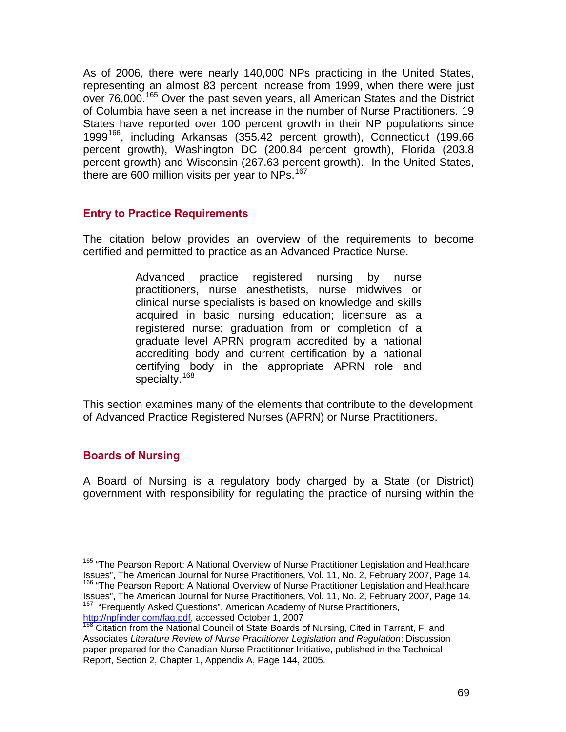As of 2006, there were nearly 140,000 NPs practicing in the United States, representing an almost 83 percent increase from 1999, when there were just over 76,000.<sup>[1](#page-68-0)65</sup> Over the past seven years, all American States and the District of Columbia have seen a net increase in the number of Nurse Practitioners. 19 States have reported over 100 percent growth in their NP populations since 1999[16](#page-68-1)6, including Arkansas (355.42 percent growth), Connecticut (199.66 percent growth), Washington DC (200.84 percent growth), Florida (203.8 percent growth) and Wisconsin (267.63 percent growth). In the United States, there are 600 million visits per year to NPs. $167$  $167$ 

### **Entry to Practice Requirements**

The citation below provides an overview of the requirements to become certified and permitted to practice as an Advanced Practice Nurse.

> Advanced practice registered nursing by nurse practitioners, nurse anesthetists, nurse midwives or clinical nurse specialists is based on knowledge and skills acquired in basic nursing education; licensure as a registered nurse; graduation from or completion of a graduate level APRN program accredited by a national accrediting body and current certification by a national certifying body in the appropriate APRN role and specialty.<sup>[16](#page-68-3)8</sup>

This section examines many of the elements that contribute to the development of Advanced Practice Registered Nurses (APRN) or Nurse Practitioners.

## **Boards of Nursing**

A Board of Nursing is a regulatory body charged by a State (or District) government with responsibility for regulating the practice of nursing within the

<span id="page-68-0"></span> $\overline{a}$ <sup>165</sup> "The Pearson Report: A National Overview of Nurse Practitioner Legislation and Healthcare Issues", The American Journal for Nurse Practitioners, Vol. 11, No. 2, February 2007, Page 14.<br><sup>166</sup> "The Pearson Report: A National Overview of Nurse Practitioner Legislation and Healthcare

<span id="page-68-1"></span>Issues", The American Journal for Nurse Practitioners, Vol. 11, No. 2, February 2007, Page 14.<br><sup>167</sup> "Frequently Asked Questions", American Academy of Nurse Practitioners,

<span id="page-68-2"></span>http://npfinder.com/faq.pdf, accessed October 1, 2007

<span id="page-68-3"></span><sup>168</sup> Citation from the National Council of State Boards of Nursing, Cited in Tarrant, F. and Associates *Literature Review of Nurse Practitioner Legislation and Regulation*: Discussion paper prepared for the Canadian Nurse Practitioner Initiative, published in the Technical Report, Section 2, Chapter 1, Appendix A, Page 144, 2005.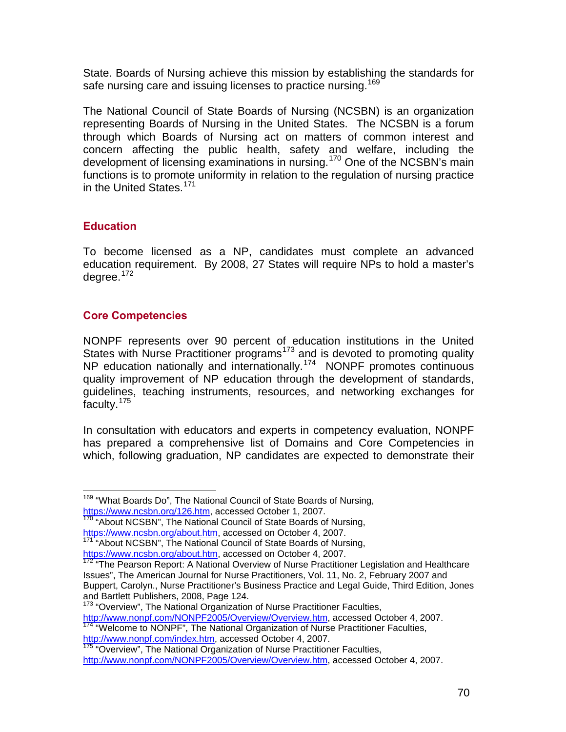State. Boards of Nursing achieve this mission by establishing the standards for safe nursing care and issuing licenses to practice nursing.<sup>[1](#page-69-0)69</sup>

The National Council of State Boards of Nursing (NCSBN) is an organization representing Boards of Nursing in the United States. The NCSBN is a forum through which Boards of Nursing act on matters of common interest and concern affecting the public health, safety and welfare, including the development of licensing examinations in nursing.<sup>[17](#page-69-1)0</sup> One of the NCSBN's main functions is to promote uniformity in relation to the regulation of nursing practice in the United States.<sup>[1](#page-69-2)71</sup>

### **Education**

 $\overline{a}$ 

To become licensed as a NP, candidates must complete an advanced education requirement. By 2008, 27 States will require NPs to hold a master's degree.<sup>[17](#page-69-3)2</sup>

## **Core Competencies**

NONPF represents over 90 percent of education institutions in the United States with Nurse Practitioner programs<sup>[1](#page-69-4)73</sup> and is devoted to promoting quality NP education nationally and internationally.<sup>[17](#page-69-5)4</sup> NONPF promotes continuous quality improvement of NP education through the development of standards, guidelines, teaching instruments, resources, and networking exchanges for faculty.<sup>[17](#page-69-6)5</sup>

In consultation with educators and experts in competency evaluation, NONPF has prepared a comprehensive list of Domains and Core Competencies in which, following graduation, NP candidates are expected to demonstrate their

<span id="page-69-0"></span><sup>&</sup>lt;sup>169</sup> "What Boards Do", The National Council of State Boards of Nursing, https://www.ncsbn.org/126.htm, accessed October 1, 2007.

<span id="page-69-1"></span><sup>&</sup>lt;sup>170</sup> "About NCSBN", The National Council of State Boards of Nursing, https://www.ncsbn.org/about.htm, accessed on October 4, 2007.

<span id="page-69-2"></span><sup>&</sup>lt;sup>171</sup> "About NCSBN", The National Council of State Boards of Nursing,

https://www.ncsbn.org/about.htm, accessed on October 4, 2007.

<span id="page-69-3"></span> $172$  "The Pearson Report: A National Overview of Nurse Practitioner Legislation and Healthcare Issues", The American Journal for Nurse Practitioners, Vol. 11, No. 2, February 2007 and Buppert, Carolyn., Nurse Practitioner's Business Practice and Legal Guide, Third Edition, Jones and Bartlett Publishers, 2008, Page 124.

<span id="page-69-4"></span><sup>&</sup>lt;sup>173</sup> "Overview", The National Organization of Nurse Practitioner Faculties, http://www.nonpf.com/NONPF2005/Overview/Overview.htm, accessed October 4, 2007.

<span id="page-69-5"></span><sup>&</sup>lt;sup>174</sup> "Welcome to NONPF", The National Organization of Nurse Practitioner Faculties, http://www.nonpf.com/index.htm, accessed October 4, 2007. 175 "Overview", The National Organization of Nurse Practitioner Faculties,

<span id="page-69-6"></span>http://www.nonpf.com/NONPF2005/Overview/Overview.htm, accessed October 4, 2007.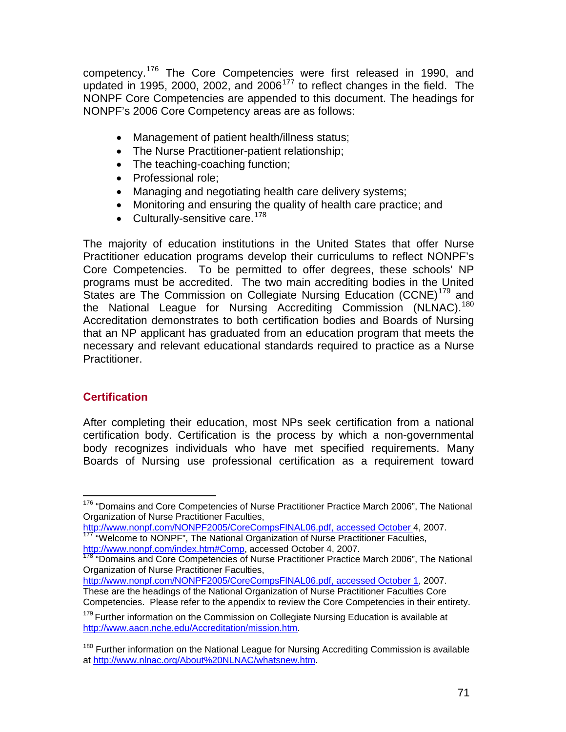competency.<sup>[17](#page-70-0)6</sup> The Core Competencies were first released in 1990, and updated in 1995, 2000, 2002, and 2006 $177$  $177$  to reflect changes in the field. The NONPF Core Competencies are appended to this document. The headings for NONPF's 2006 Core Competency areas are as follows:

- Management of patient health/illness status;
- The Nurse Practitioner-patient relationship;
- The teaching-coaching function;
- Professional role:
- Managing and negotiating health care delivery systems;
- Monitoring and ensuring the quality of health care practice; and
- $\bullet$  Culturally-sensitive care.<sup>[17](#page-70-2)8</sup>

The majority of education institutions in the United States that offer Nurse Practitioner education programs develop their curriculums to reflect NONPF's Core Competencies. To be permitted to offer degrees, these schools' NP programs must be accredited. The two main accrediting bodies in the United States are The Commission on Collegiate Nursing Education (CCNE)<sup>[17](#page-70-3)9</sup> and the National League for Nursing Accrediting Commission (NLNAC).<sup>[1](#page-70-4)80</sup> Accreditation demonstrates to both certification bodies and Boards of Nursing that an NP applicant has graduated from an education program that meets the necessary and relevant educational standards required to practice as a Nurse Practitioner.

## **Certification**

After completing their education, most NPs seek certification from a national certification body. Certification is the process by which a non-governmental body recognizes individuals who have met specified requirements. Many Boards of Nursing use professional certification as a requirement toward

http://www.nonpf.com/NONPF2005/CoreCompsFINAL06.pdf, accessed October 4, 2007.  $177$  "Welcome to NONPF", The National Organization of Nurse Practitioner Faculties,

<span id="page-70-1"></span>http://www.nonpf.com/index.htm#Comp, accessed October 4, 2007.

<span id="page-70-2"></span><sup>178</sup> "Domains and Core Competencies of Nurse Practitioner Practice March 2006", The National Organization of Nurse Practitioner Faculties,

http://www.nonpf.com/NONPF2005/CoreCompsFINAL06.pdf, accessed October 1, 2007. These are the headings of the National Organization of Nurse Practitioner Faculties Core Competencies. Please refer to the appendix to review the Core Competencies in their entirety.

<span id="page-70-0"></span><sup>1</sup> <sup>176</sup> "Domains and Core Competencies of Nurse Practitioner Practice March 2006", The National Organization of Nurse Practitioner Faculties,

<span id="page-70-3"></span> $179$  Further information on the Commission on Collegiate Nursing Education is available at http://www.aacn.nche.edu/Accreditation/mission.htm.

<span id="page-70-4"></span><sup>&</sup>lt;sup>180</sup> Further information on the National League for Nursing Accrediting Commission is available at http://www.nlnac.org/About%20NLNAC/whatsnew.htm.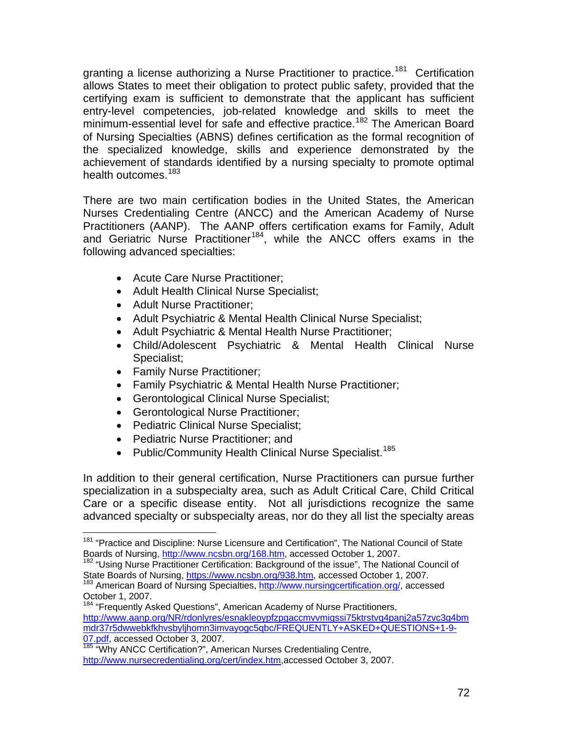granting a license authorizing a Nurse Practitioner to practice.<sup>[18](#page-71-0)1</sup> Certification allows States to meet their obligation to protect public safety, provided that the certifying exam is sufficient to demonstrate that the applicant has sufficient entry-level competencies, job-related knowledge and skills to meet the minimum-essential level for safe and effective practice.<sup>[1](#page-71-1)82</sup> The American Board of Nursing Specialties (ABNS) defines certification as the formal recognition of the specialized knowledge, skills and experience demonstrated by the achievement of standards identified by a nursing specialty to promote optimal health outcomes.<sup>[1](#page-71-2)83</sup>

There are two main certification bodies in the United States, the American Nurses Credentialing Centre (ANCC) and the American Academy of Nurse Practitioners (AANP). The AANP offers certification exams for Family, Adult and Geriatric Nurse Practitioner<sup>[18](#page-71-3)4</sup>, while the ANCC offers exams in the following advanced specialties:

- Acute Care Nurse Practitioner;
- Adult Health Clinical Nurse Specialist;
- Adult Nurse Practitioner;
- Adult Psychiatric & Mental Health Clinical Nurse Specialist;
- Adult Psychiatric & Mental Health Nurse Practitioner;
- Child/Adolescent Psychiatric & Mental Health Clinical Nurse Specialist;
- Family Nurse Practitioner;

 $\overline{a}$ 

- Family Psychiatric & Mental Health Nurse Practitioner;
- Gerontological Clinical Nurse Specialist;
- Gerontological Nurse Practitioner;
- Pediatric Clinical Nurse Specialist;
- Pediatric Nurse Practitioner; and
- Public/Community Health Clinical Nurse Specialist.<sup>[1](#page-71-4)85</sup>

In addition to their general certification, Nurse Practitioners can pursue further specialization in a subspecialty area, such as Adult Critical Care, Child Critical Care or a specific disease entity. Not all jurisdictions recognize the same advanced specialty or subspecialty areas, nor do they all list the specialty areas

<span id="page-71-0"></span><sup>&</sup>lt;sup>181</sup> "Practice and Discipline: Nurse Licensure and Certification", The National Council of State Boards of Nursing, http://www.ncsbn.org/168.htm, accessed October 1, 2007.

<span id="page-71-1"></span><sup>&</sup>lt;sup>182</sup> "Using Nurse Practitioner Certification: Background of the issue", The National Council of State Boards of Nursing, https://www.ncsbn.org/938.htm, accessed October 1, 2007.

<span id="page-71-2"></span><sup>&</sup>lt;sup>183</sup> American Board of Nursing Specialties, http://www.nursingcertification.org/, accessed October 1, 2007.

<span id="page-71-3"></span><sup>&</sup>lt;sup>184</sup> "Frequently Asked Questions", American Academy of Nurse Practitioners, http://www.aanp.org/NR/rdonlyres/esnakleoypfzpgaccmvvmigssi75ktrstvq4panj2a57zvc3g4bm mdr37r5dwwebkfkhvsbyljhomn3imvayogc5qbc/FREQUENTLY+ASKED+QUESTIONS+1-9- 07.pdf, accessed October 3, 2007.

<span id="page-71-4"></span><sup>185 &</sup>quot;Why ANCC Certification?", American Nurses Credentialing Centre, http://www.nursecredentialing.org/cert/index.htm,accessed October 3, 2007.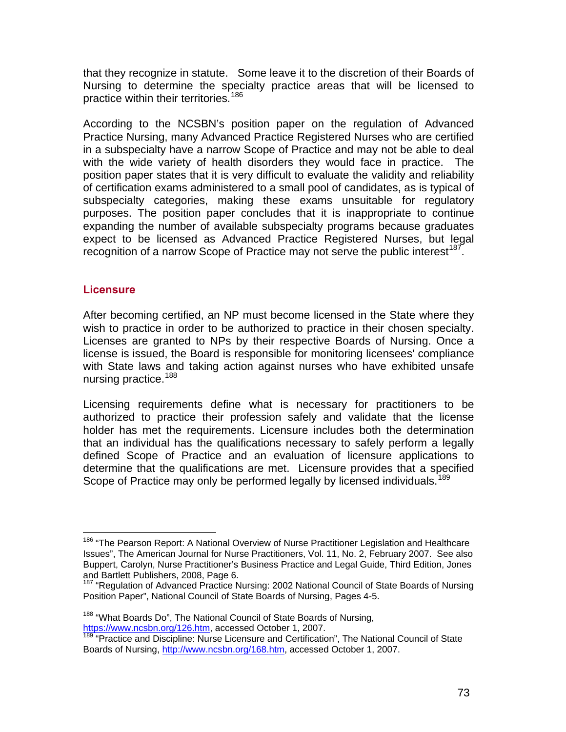that they recognize in statute. Some leave it to the discretion of their Boards of Nursing to determine the specialty practice areas that will be licensed to practice within their territories.<sup>[1](#page-72-0)86</sup>

According to the NCSBN's position paper on the regulation of Advanced Practice Nursing, many Advanced Practice Registered Nurses who are certified in a subspecialty have a narrow Scope of Practice and may not be able to deal with the wide variety of health disorders they would face in practice. The position paper states that it is very difficult to evaluate the validity and reliability of certification exams administered to a small pool of candidates, as is typical of subspecialty categories, making these exams unsuitable for regulatory purposes. The position paper concludes that it is inappropriate to continue expanding the number of available subspecialty programs because graduates expect to be licensed as Advanced Practice Registered Nurses, but legal recognition of a narrow Scope of Practice may not serve the public interest<sup>[1](#page-72-1)87</sup>.

#### **Licensure**

 $\overline{a}$ 

After becoming certified, an NP must become licensed in the State where they wish to practice in order to be authorized to practice in their chosen specialty. Licenses are granted to NPs by their respective Boards of Nursing. Once a license is issued, the Board is responsible for monitoring licensees' compliance with State laws and taking action against nurses who have exhibited unsafe nursing practice.<sup>[18](#page-72-2)8</sup>

Licensing requirements define what is necessary for practitioners to be authorized to practice their profession safely and validate that the license holder has met the requirements. Licensure includes both the determination that an individual has the qualifications necessary to safely perform a legally defined Scope of Practice and an evaluation of licensure applications to determine that the qualifications are met. Licensure provides that a specified Scope of Practice may only be performed legally by licensed individuals.<sup>[1](#page-72-3)89</sup>

<span id="page-72-0"></span><sup>&</sup>lt;sup>186</sup> "The Pearson Report: A National Overview of Nurse Practitioner Legislation and Healthcare Issues", The American Journal for Nurse Practitioners, Vol. 11, No. 2, February 2007. See also Buppert, Carolyn, Nurse Practitioner's Business Practice and Legal Guide, Third Edition, Jones and Bartlett Publishers, 2008, Page 6.

<span id="page-72-1"></span><sup>&</sup>lt;sup>187</sup> "Regulation of Advanced Practice Nursing: 2002 National Council of State Boards of Nursing Position Paper", National Council of State Boards of Nursing, Pages 4-5.

<span id="page-72-2"></span><sup>&</sup>lt;sup>188</sup> "What Boards Do", The National Council of State Boards of Nursing, https://www.ncsbn.org/126.htm, accessed October 1, 2007.

<span id="page-72-3"></span><sup>&</sup>lt;sup>189</sup> "Practice and Discipline: Nurse Licensure and Certification", The National Council of State Boards of Nursing, http://www.ncsbn.org/168.htm, accessed October 1, 2007.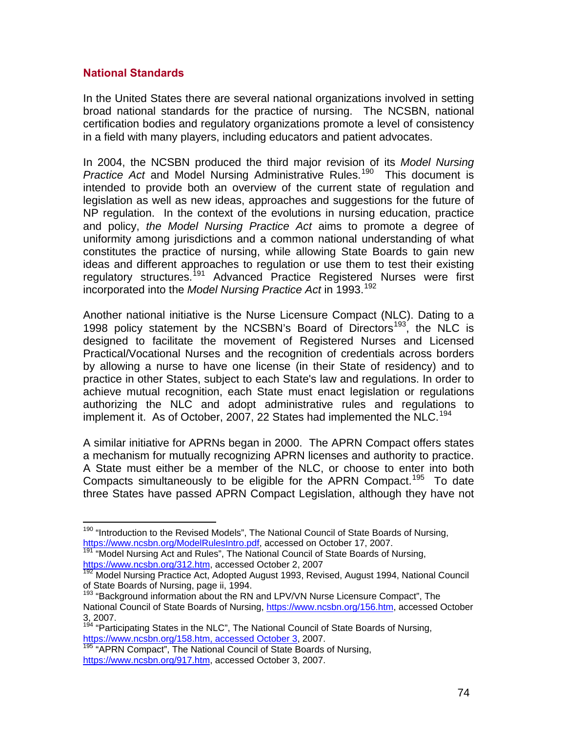#### **National Standards**

In the United States there are several national organizations involved in setting broad national standards for the practice of nursing. The NCSBN, national certification bodies and regulatory organizations promote a level of consistency in a field with many players, including educators and patient advocates.

In 2004, the NCSBN produced the third major revision of its *Model Nursing Practice Act* and Model Nursing Administrative Rules.<sup>[19](#page-73-0)0</sup> This document is intended to provide both an overview of the current state of regulation and legislation as well as new ideas, approaches and suggestions for the future of NP regulation. In the context of the evolutions in nursing education, practice and policy, *the Model Nursing Practice Act* aims to promote a degree of uniformity among jurisdictions and a common national understanding of what constitutes the practice of nursing, while allowing State Boards to gain new ideas and different approaches to regulation or use them to test their existing regulatory structures.<sup>[1](#page-73-1)91</sup> Advanced Practice Registered Nurses were first incorporated into the *Model Nursing Practice Act* in [19](#page-73-2)93.<sup>192</sup>

Another national initiative is the Nurse Licensure Compact (NLC). Dating to a [19](#page-73-3)98 policy statement by the NCSBN's Board of Directors<sup>193</sup>, the NLC is designed to facilitate the movement of Registered Nurses and Licensed Practical/Vocational Nurses and the recognition of credentials across borders by allowing a nurse to have one license (in their State of residency) and to practice in other States, subject to each State's law and regulations. In order to achieve mutual recognition, each State must enact legislation or regulations authorizing the NLC and adopt administrative rules and regulations to implement it. As of October, 2007, 22 States had implemented the NLC.<sup>[19](#page-73-4)4</sup>

A similar initiative for APRNs began in 2000. The APRN Compact offers states a mechanism for mutually recognizing APRN licenses and authority to practice. A State must either be a member of the NLC, or choose to enter into both Compacts simultaneously to be eligible for the APRN Compact.<sup>[19](#page-73-5)5</sup> To date three States have passed APRN Compact Legislation, although they have not

<span id="page-73-4"></span> $194$  "Participating States in the NLC", The National Council of State Boards of Nursing, https://www.ncsbn.org/158.htm, accessed October 3, 2007.

<span id="page-73-0"></span> $\overline{a}$ <sup>190</sup> "Introduction to the Revised Models", The National Council of State Boards of Nursing, https://www.ncsbn.org/ModelRulesIntro.pdf, accessed on October 17, 2007.

<span id="page-73-1"></span><sup>&</sup>lt;sup>191</sup> "Model Nursing Act and Rules", The National Council of State Boards of Nursing, https://www.ncsbn.org/312.htm, accessed October 2, 2007

<span id="page-73-2"></span><sup>&</sup>lt;sup>192</sup> Model Nursing Practice Act, Adopted August 1993, Revised, August 1994, National Council of State Boards of Nursing, page ii, 1994.

<span id="page-73-3"></span><sup>&</sup>lt;sup>193</sup> "Background information about the RN and LPV/VN Nurse Licensure Compact", The National Council of State Boards of Nursing, https://www.ncsbn.org/156.htm, accessed October 3, 2007.

<span id="page-73-5"></span><sup>195 &</sup>quot;APRN Compact", The National Council of State Boards of Nursing, https://www.ncsbn.org/917.htm, accessed October 3, 2007.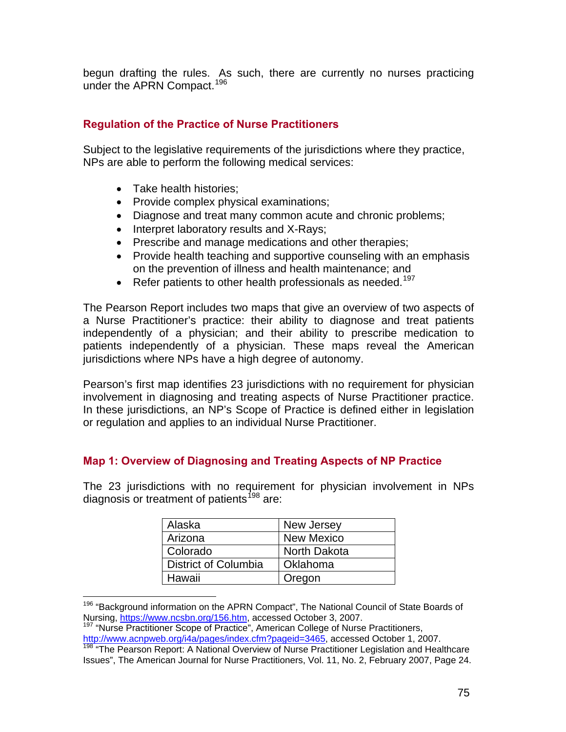begun drafting the rules. As such, there are currently no nurses practicing under the APRN Compact.<sup>[1](#page-74-0)96</sup>

## **Regulation of the Practice of Nurse Practitioners**

Subject to the legislative requirements of the jurisdictions where they practice, NPs are able to perform the following medical services:

- Take health histories;
- Provide complex physical examinations;
- Diagnose and treat many common acute and chronic problems;
- Interpret laboratory results and X-Rays;
- Prescribe and manage medications and other therapies;
- Provide health teaching and supportive counseling with an emphasis on the prevention of illness and health maintenance; and
- $\bullet$  Refer patients to other health professionals as needed.<sup>[19](#page-74-1)7</sup>

The Pearson Report includes two maps that give an overview of two aspects of a Nurse Practitioner's practice: their ability to diagnose and treat patients independently of a physician; and their ability to prescribe medication to patients independently of a physician. These maps reveal the American jurisdictions where NPs have a high degree of autonomy.

Pearson's first map identifies 23 jurisdictions with no requirement for physician involvement in diagnosing and treating aspects of Nurse Practitioner practice. In these jurisdictions, an NP's Scope of Practice is defined either in legislation or regulation and applies to an individual Nurse Practitioner.

#### **Map 1: Overview of Diagnosing and Treating Aspects of NP Practice**

The 23 jurisdictions with no requirement for physician involvement in NPs diagnosis or treatment of patients<sup>[1](#page-74-2)98</sup> are:

| Alaska               | New Jersey        |
|----------------------|-------------------|
| Arizona              | <b>New Mexico</b> |
| Colorado             | North Dakota      |
| District of Columbia | Oklahoma          |
| Hawaii               | Oregon            |

<span id="page-74-0"></span> $\overline{a}$ <sup>196</sup> "Background information on the APRN Compact", The National Council of State Boards of Nursing, https://www.ncsbn.org/156.htm, accessed October 3, 2007.

<span id="page-74-1"></span><sup>197</sup> "Nurse Practitioner Scope of Practice", American College of Nurse Practitioners, http://www.acnpweb.org/i4a/pages/index.cfm?pageid=3465, accessed October 1, 2007.

<span id="page-74-2"></span><sup>&</sup>lt;sup>198</sup> "The Pearson Report: A National Overview of Nurse Practitioner Legislation and Healthcare Issues", The American Journal for Nurse Practitioners, Vol. 11, No. 2, February 2007, Page 24.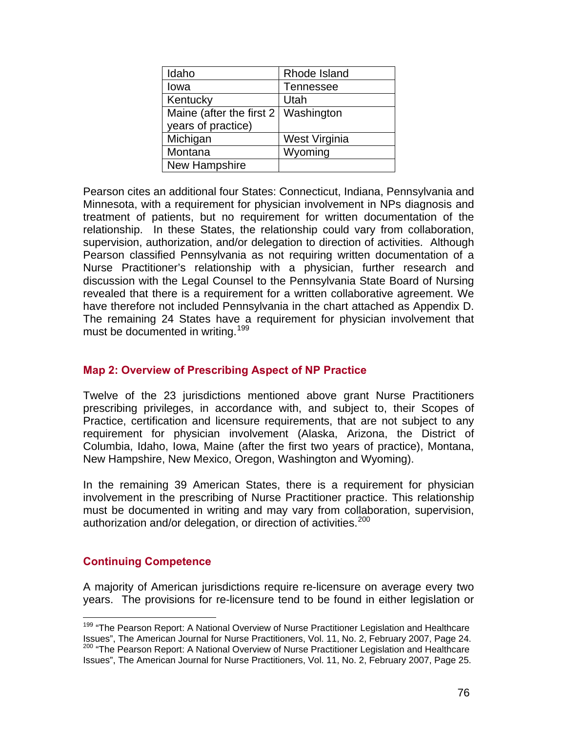| Idaho                     | Rhode Island     |
|---------------------------|------------------|
| lowa                      | <b>Tennessee</b> |
| Kentucky                  | Utah             |
| Maine (after the first 2) | Washington       |
| years of practice)        |                  |
| Michigan                  | West Virginia    |
| Montana                   | Wyoming          |
| New Hampshire             |                  |

Pearson cites an additional four States: Connecticut, Indiana, Pennsylvania and Minnesota, with a requirement for physician involvement in NPs diagnosis and treatment of patients, but no requirement for written documentation of the relationship. In these States, the relationship could vary from collaboration, supervision, authorization, and/or delegation to direction of activities. Although Pearson classified Pennsylvania as not requiring written documentation of a Nurse Practitioner's relationship with a physician, further research and discussion with the Legal Counsel to the Pennsylvania State Board of Nursing revealed that there is a requirement for a written collaborative agreement. We have therefore not included Pennsylvania in the chart attached as Appendix D. The remaining 24 States have a requirement for physician involvement that must be documented in writing.<sup>[19](#page-75-0)9</sup>

## **Map 2: Overview of Prescribing Aspect of NP Practice**

Twelve of the 23 jurisdictions mentioned above grant Nurse Practitioners prescribing privileges, in accordance with, and subject to, their Scopes of Practice, certification and licensure requirements, that are not subject to any requirement for physician involvement (Alaska, Arizona, the District of Columbia, Idaho, Iowa, Maine (after the first two years of practice), Montana, New Hampshire, New Mexico, Oregon, Washington and Wyoming).

In the remaining 39 American States, there is a requirement for physician involvement in the prescribing of Nurse Practitioner practice. This relationship must be documented in writing and may vary from collaboration, supervision, authorization and/or delegation, or direction of activities.<sup>[20](#page-75-1)0</sup>

## **Continuing Competence**

 $\overline{a}$ 

A majority of American jurisdictions require re-licensure on average every two years. The provisions for re-licensure tend to be found in either legislation or

<span id="page-75-1"></span><span id="page-75-0"></span><sup>&</sup>lt;sup>199</sup> "The Pearson Report: A National Overview of Nurse Practitioner Legislation and Healthcare Issues", The American Journal for Nurse Practitioners, Vol. 11, No. 2, February 2007, Page 24.<br><sup>200</sup> "The Pearson Report: A National Overview of Nurse Practitioner Legislation and Healthcare Issues", The American Journal for Nurse Practitioners, Vol. 11, No. 2, February 2007, Page 25.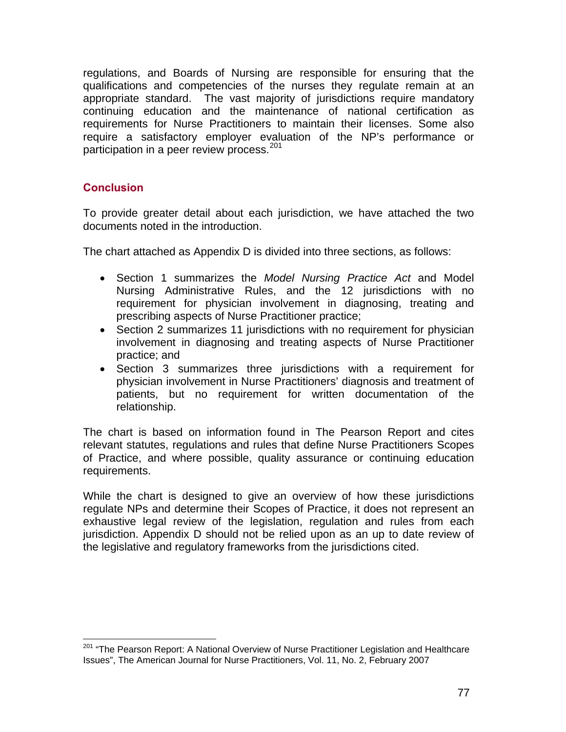regulations, and Boards of Nursing are responsible for ensuring that the qualifications and competencies of the nurses they regulate remain at an appropriate standard. The vast majority of jurisdictions require mandatory continuing education and the maintenance of national certification as requirements for Nurse Practitioners to maintain their licenses. Some also require a satisfactory employer evaluation of the NP's performance or participation in a peer review process.<sup>[2](#page-76-0)01</sup>

## **Conclusion**

 $\overline{a}$ 

To provide greater detail about each jurisdiction, we have attached the two documents noted in the introduction.

The chart attached as Appendix D is divided into three sections, as follows:

- Section 1 summarizes the *Model Nursing Practice Act* and Model Nursing Administrative Rules, and the 12 jurisdictions with no requirement for physician involvement in diagnosing, treating and prescribing aspects of Nurse Practitioner practice;
- Section 2 summarizes 11 jurisdictions with no requirement for physician involvement in diagnosing and treating aspects of Nurse Practitioner practice; and
- Section 3 summarizes three jurisdictions with a requirement for physician involvement in Nurse Practitioners' diagnosis and treatment of patients, but no requirement for written documentation of the relationship.

The chart is based on information found in The Pearson Report and cites relevant statutes, regulations and rules that define Nurse Practitioners Scopes of Practice, and where possible, quality assurance or continuing education requirements.

While the chart is designed to give an overview of how these jurisdictions regulate NPs and determine their Scopes of Practice, it does not represent an exhaustive legal review of the legislation, regulation and rules from each jurisdiction. Appendix D should not be relied upon as an up to date review of the legislative and regulatory frameworks from the jurisdictions cited.

<span id="page-76-0"></span><sup>&</sup>lt;sup>201</sup> "The Pearson Report: A National Overview of Nurse Practitioner Legislation and Healthcare Issues", The American Journal for Nurse Practitioners, Vol. 11, No. 2, February 2007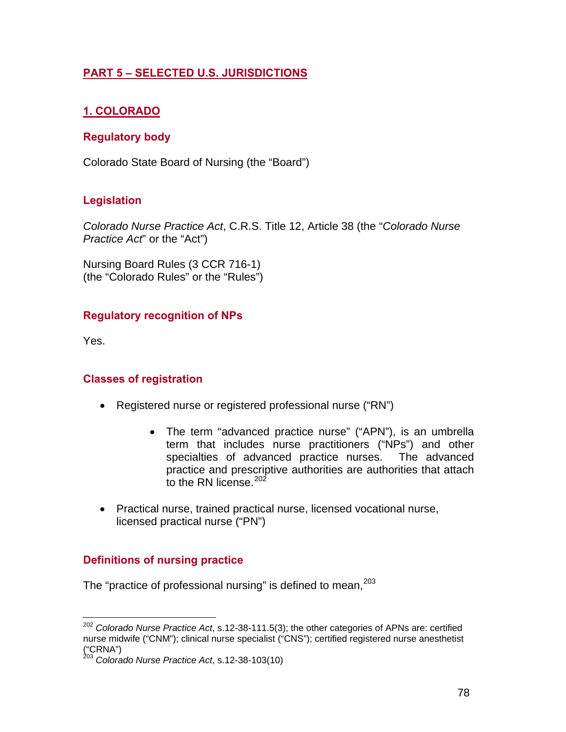# **PART 5 – SELECTED U.S. JURISDICTIONS**

# **1. COLORADO**

## **Regulatory body**

Colorado State Board of Nursing (the "Board")

## **Legislation**

*Colorado Nurse Practice Act*, C.R.S. Title 12, Article 38 (the "*Colorado Nurse Practice Act*" or the "Act")

Nursing Board Rules (3 CCR 716-1) (the "Colorado Rules" or the "Rules")

## **Regulatory recognition of NPs**

Yes.

 $\overline{a}$ 

#### **Classes of registration**

- Registered nurse or registered professional nurse ("RN")
	- The term "advanced practice nurse" ("APN"), is an umbrella term that includes nurse practitioners ("NPs") and other specialties of advanced practice nurses. The advanced practice and prescriptive authorities are authorities that attach to the RN license.<sup>[20](#page-77-0)2</sup>
- Practical nurse, trained practical nurse, licensed vocational nurse, licensed practical nurse ("PN")

## **Definitions of nursing practice**

The "practice of professional nursing" is defined to mean,  $203$  $203$ 

<span id="page-77-0"></span><sup>202</sup> *Colorado Nurse Practice Act*, s.12-38-111.5(3); the other categories of APNs are: certified nurse midwife ("CNM"); clinical nurse specialist ("CNS"); certified registered nurse anesthetist ("CRNA")

<span id="page-77-1"></span><sup>203</sup> *Colorado Nurse Practice Act*, s.12-38-103(10)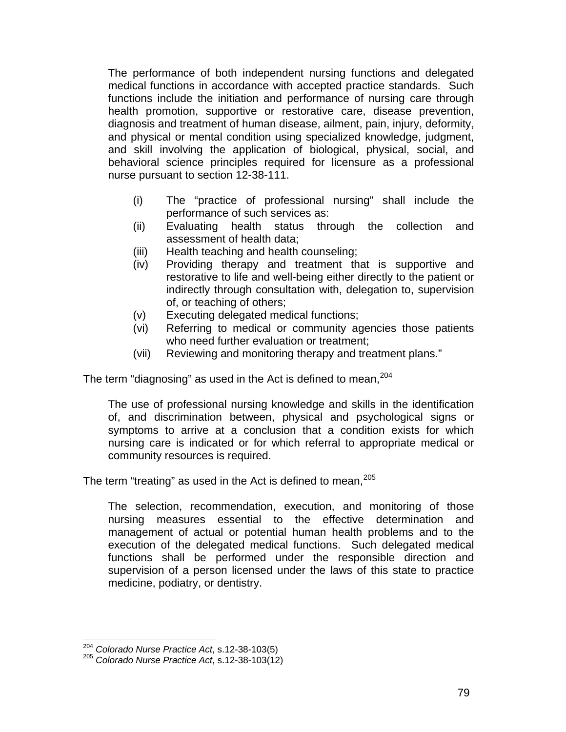The performance of both independent nursing functions and delegated medical functions in accordance with accepted practice standards. Such functions include the initiation and performance of nursing care through health promotion, supportive or restorative care, disease prevention, diagnosis and treatment of human disease, ailment, pain, injury, deformity, and physical or mental condition using specialized knowledge, judgment, and skill involving the application of biological, physical, social, and behavioral science principles required for licensure as a professional nurse pursuant to section 12-38-111.

- (i) The "practice of professional nursing" shall include the performance of such services as:
- (ii) Evaluating health status through the collection and assessment of health data;
- (iii) Health teaching and health counseling;
- (iv) Providing therapy and treatment that is supportive and restorative to life and well-being either directly to the patient or indirectly through consultation with, delegation to, supervision of, or teaching of others;
- (v) Executing delegated medical functions;
- (vi) Referring to medical or community agencies those patients who need further evaluation or treatment;
- (vii) Reviewing and monitoring therapy and treatment plans."

The term "diagnosing" as used in the Act is defined to mean,  $204$  $204$ 

The use of professional nursing knowledge and skills in the identification of, and discrimination between, physical and psychological signs or symptoms to arrive at a conclusion that a condition exists for which nursing care is indicated or for which referral to appropriate medical or community resources is required.

The term "treating" as used in the Act is defined to mean,  $205$  $205$ 

The selection, recommendation, execution, and monitoring of those nursing measures essential to the effective determination and management of actual or potential human health problems and to the execution of the delegated medical functions. Such delegated medical functions shall be performed under the responsible direction and supervision of a person licensed under the laws of this state to practice medicine, podiatry, or dentistry.

<span id="page-78-0"></span><sup>&</sup>lt;sup>204</sup> Colorado Nurse Practice Act, s.12-38-103(5)

<span id="page-78-1"></span><sup>204</sup> *Colorado Nurse Practice Act*, s.12-38-103(5) 205 *Colorado Nurse Practice Act*, s.12-38-103(12)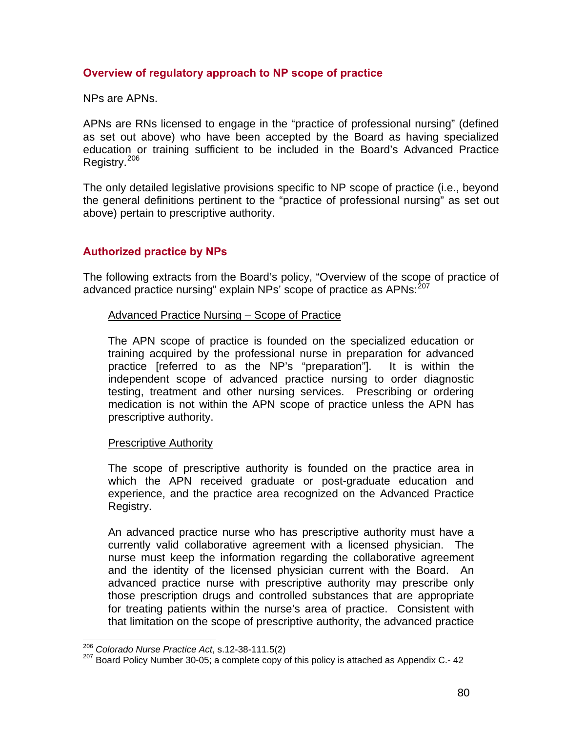## **Overview of regulatory approach to NP scope of practice**

NPs are APNs.

APNs are RNs licensed to engage in the "practice of professional nursing" (defined as set out above) who have been accepted by the Board as having specialized education or training sufficient to be included in the Board's Advanced Practice Registry.[2](#page-79-0)06

The only detailed legislative provisions specific to NP scope of practice (i.e., beyond the general definitions pertinent to the "practice of professional nursing" as set out above) pertain to prescriptive authority.

## **Authorized practice by NPs**

The following extracts from the Board's policy, "Overview of the scope of practice of advanced practice nursing" explain NPs' scope of practice as APNs:<sup>[2](#page-79-1)07</sup>

#### Advanced Practice Nursing – Scope of Practice

The APN scope of practice is founded on the specialized education or training acquired by the professional nurse in preparation for advanced practice [referred to as the NP's "preparation"]. It is within the independent scope of advanced practice nursing to order diagnostic testing, treatment and other nursing services. Prescribing or ordering medication is not within the APN scope of practice unless the APN has prescriptive authority.

#### Prescriptive Authority

The scope of prescriptive authority is founded on the practice area in which the APN received graduate or post-graduate education and experience, and the practice area recognized on the Advanced Practice Registry.

An advanced practice nurse who has prescriptive authority must have a currently valid collaborative agreement with a licensed physician. The nurse must keep the information regarding the collaborative agreement and the identity of the licensed physician current with the Board. An advanced practice nurse with prescriptive authority may prescribe only those prescription drugs and controlled substances that are appropriate for treating patients within the nurse's area of practice. Consistent with that limitation on the scope of prescriptive authority, the advanced practice

<span id="page-79-0"></span> $206$  Colorado Nurse Practice Act, s.12-38-111.5(2)

<span id="page-79-1"></span><sup>&</sup>lt;sup>207</sup> Board Policy Number 30-05; a complete copy of this policy is attached as Appendix C.- 42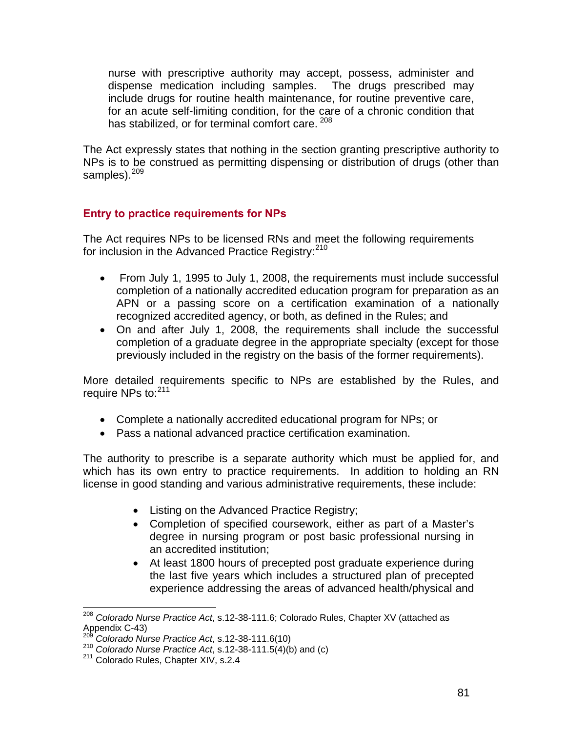nurse with prescriptive authority may accept, possess, administer and dispense medication including samples. The drugs prescribed may include drugs for routine health maintenance, for routine preventive care, for an acute self-limiting condition, for the care of a chronic condition that has stabilized, or for terminal comfort care. [20](#page-80-0)8

The Act expressly states that nothing in the section granting prescriptive authority to NPs is to be construed as permitting dispensing or distribution of drugs (other than samples).<sup>[20](#page-80-1)9</sup>

## **Entry to practice requirements for NPs**

The Act requires NPs to be licensed RNs and meet the following requirements for inclusion in the Advanced Practice Registry:<sup>[21](#page-80-2)0</sup>

- From July 1, 1995 to July 1, 2008, the requirements must include successful completion of a nationally accredited education program for preparation as an APN or a passing score on a certification examination of a nationally recognized accredited agency, or both, as defined in the Rules; and
- On and after July 1, 2008, the requirements shall include the successful completion of a graduate degree in the appropriate specialty (except for those previously included in the registry on the basis of the former requirements).

More detailed requirements specific to NPs are established by the Rules, and require NPs to: [21](#page-80-3)1

- Complete a nationally accredited educational program for NPs; or
- Pass a national advanced practice certification examination.

The authority to prescribe is a separate authority which must be applied for, and which has its own entry to practice requirements. In addition to holding an RN license in good standing and various administrative requirements, these include:

- Listing on the Advanced Practice Registry;
- Completion of specified coursework, either as part of a Master's degree in nursing program or post basic professional nursing in an accredited institution;
- At least 1800 hours of precepted post graduate experience during the last five years which includes a structured plan of precepted experience addressing the areas of advanced health/physical and

 $\overline{a}$ 

<span id="page-80-0"></span><sup>208</sup> *Colorado Nurse Practice Act*, s.12-38-111.6; Colorado Rules, Chapter XV (attached as Appendix C-43)<br><sup>209</sup> Colorado Nurse Practice Act, s.12-38-111.6(10)

<span id="page-80-2"></span><span id="page-80-1"></span><sup>209</sup> *Colorado Nurse Practice Act*, s.12-38-111.6(10) 210 *Colorado Nurse Practice Act*, s.12-38-111.5(4)(b) and (c) 211 Colorado Rules, Chapter XIV, s.2.4

<span id="page-80-3"></span>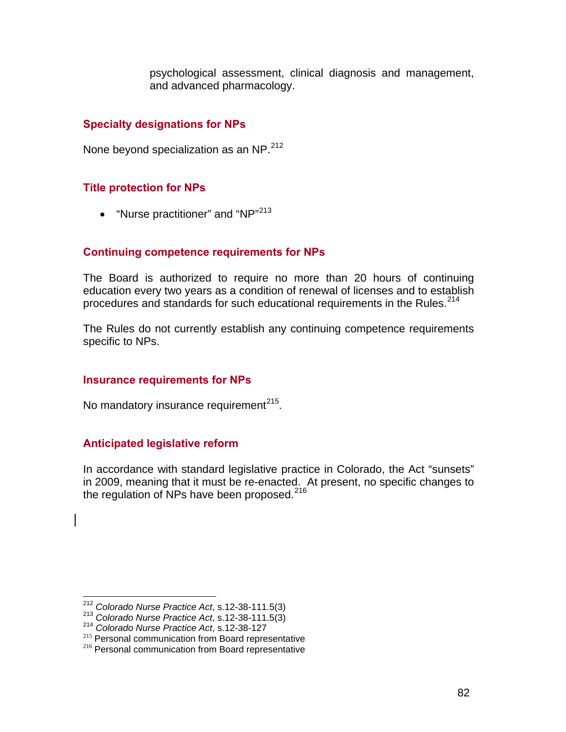psychological assessment, clinical diagnosis and management, and advanced pharmacology.

#### **Specialty designations for NPs**

None beyond specialization as an NP.<sup>[21](#page-81-0)2</sup>

#### **Title protection for NPs**

• "Nurse practitioner" and "NP"<sup>[2](#page-81-1)13</sup>

#### **Continuing competence requirements for NPs**

The Board is authorized to require no more than 20 hours of continuing education every two years as a condition of renewal of licenses and to establish procedures and standards for such educational requirements in the Rules.<sup>[21](#page-81-2)4</sup>

The Rules do not currently establish any continuing competence requirements specific to NPs.

#### **Insurance requirements for NPs**

No mandatory insurance requirement $^{215}$  $^{215}$  $^{215}$ .

#### **Anticipated legislative reform**

In accordance with standard legislative practice in Colorado, the Act "sunsets" in 2009, meaning that it must be re-enacted. At present, no specific changes to the regulation of NPs have been proposed.<sup>[2](#page-81-4)16</sup>

<span id="page-81-0"></span> $212$  Colorado Nurse Practice Act, s.12-38-111.5(3)

<span id="page-81-3"></span>

<span id="page-81-2"></span><span id="page-81-1"></span><sup>&</sup>lt;sup>213</sup> Colorado Nurse Practice Act, s.12-38-111.5(3)<br><sup>214</sup> Colorado Nurse Practice Act, s.12-38-127<br><sup>215</sup> Personal communication from Board representative<br><sup>216</sup> Personal communication from Board representative

<span id="page-81-4"></span>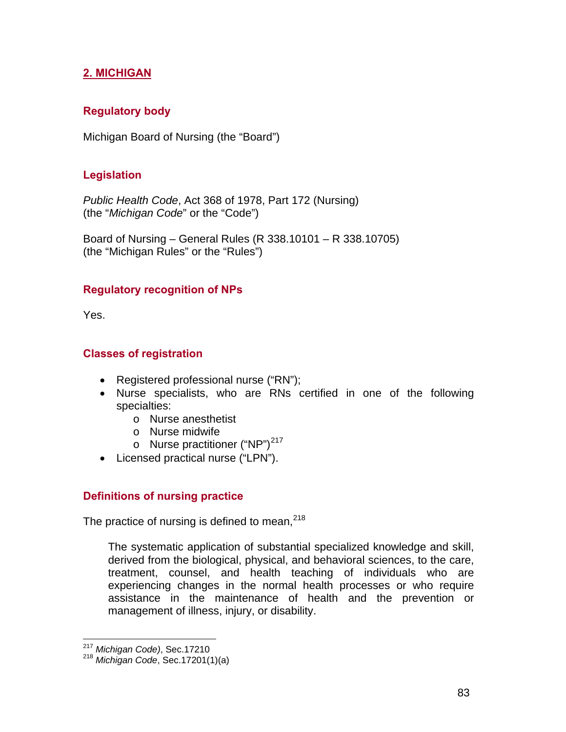# **2. MICHIGAN**

## **Regulatory body**

Michigan Board of Nursing (the "Board")

## **Legislation**

*Public Health Code*, Act 368 of 1978, Part 172 (Nursing) (the "*Michigan Code*" or the "Code")

Board of Nursing – General Rules (R 338.10101 – R 338.10705) (the "Michigan Rules" or the "Rules")

#### **Regulatory recognition of NPs**

Yes.

#### **Classes of registration**

- Registered professional nurse ("RN");
- Nurse specialists, who are RNs certified in one of the following specialties:
	- o Nurse anesthetist
	- o Nurse midwife
	- $\circ$  Nurse practitioner ("NP")<sup>[21](#page-82-0)7</sup>
- Licensed practical nurse ("LPN").

## **Definitions of nursing practice**

The practice of nursing is defined to mean,  $218$  $218$ 

The systematic application of substantial specialized knowledge and skill, derived from the biological, physical, and behavioral sciences, to the care, treatment, counsel, and health teaching of individuals who are experiencing changes in the normal health processes or who require assistance in the maintenance of health and the prevention or management of illness, injury, or disability.

 $\overline{a}$ <sup>217</sup> *Michigan Code)*, Sec.17210

<span id="page-82-1"></span><span id="page-82-0"></span><sup>218</sup> *Michigan Code*, Sec.17201(1)(a)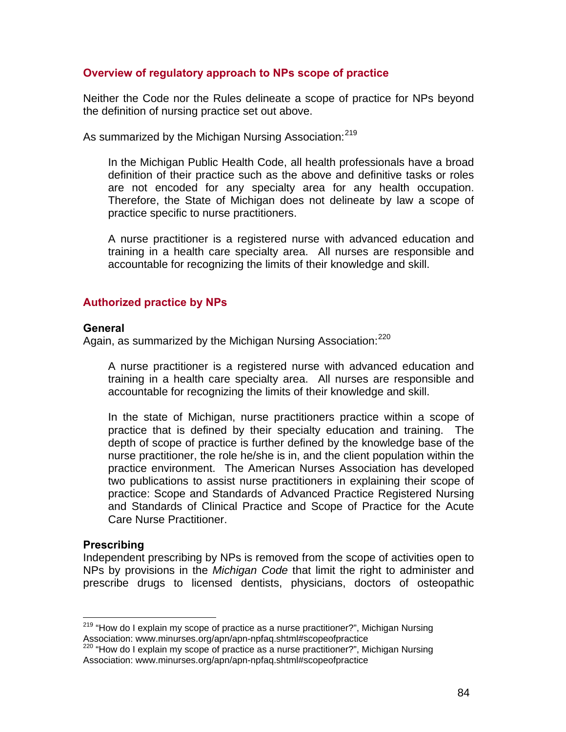#### **Overview of regulatory approach to NPs scope of practice**

Neither the Code nor the Rules delineate a scope of practice for NPs beyond the definition of nursing practice set out above.

As summarized by the Michigan Nursing Association:<sup>[21](#page-83-0)9</sup>

In the Michigan Public Health Code, all health professionals have a broad definition of their practice such as the above and definitive tasks or roles are not encoded for any specialty area for any health occupation. Therefore, the State of Michigan does not delineate by law a scope of practice specific to nurse practitioners.

A nurse practitioner is a registered nurse with advanced education and training in a health care specialty area. All nurses are responsible and accountable for recognizing the limits of their knowledge and skill.

#### **Authorized practice by NPs**

#### **General**

Again, as summarized by the Michigan Nursing Association:<sup>[22](#page-83-1)0</sup>

A nurse practitioner is a registered nurse with advanced education and training in a health care specialty area. All nurses are responsible and accountable for recognizing the limits of their knowledge and skill.

In the state of Michigan, nurse practitioners practice within a scope of practice that is defined by their specialty education and training. The depth of scope of practice is further defined by the knowledge base of the nurse practitioner, the role he/she is in, and the client population within the practice environment. The American Nurses Association has developed two publications to assist nurse practitioners in explaining their scope of practice: Scope and Standards of Advanced Practice Registered Nursing and Standards of Clinical Practice and Scope of Practice for the Acute Care Nurse Practitioner.

#### **Prescribing**

 $\overline{a}$ 

Independent prescribing by NPs is removed from the scope of activities open to NPs by provisions in the *Michigan Code* that limit the right to administer and prescribe drugs to licensed dentists, physicians, doctors of osteopathic

<span id="page-83-0"></span><sup>&</sup>lt;sup>219</sup> "How do I explain my scope of practice as a nurse practitioner?", Michigan Nursing Association: www.minurses.org/apn/apn-npfaq.shtml#scopeofpractice<br><sup>220</sup> "How do I explain my scope of practice as a nurse practitioner?", Michigan Nursing

<span id="page-83-1"></span>Association: www.minurses.org/apn/apn-npfaq.shtml#scopeofpractice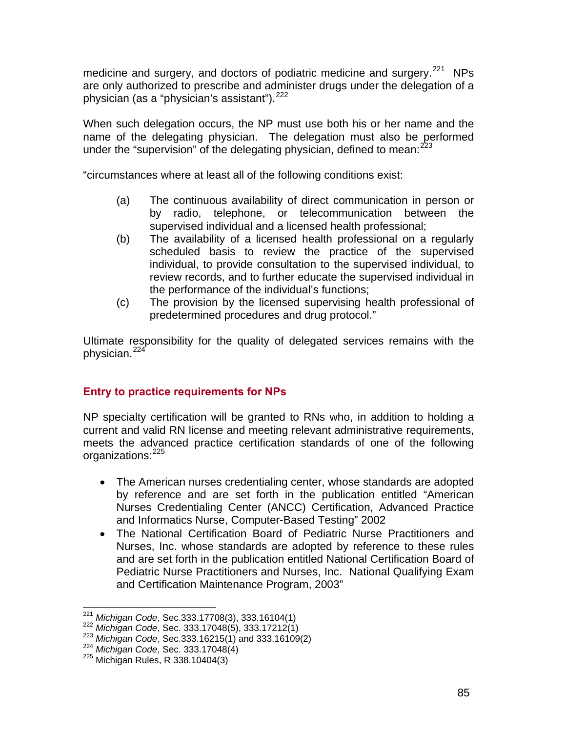medicine and surgery, and doctors of podiatric medicine and surgery.<sup>[2](#page-84-0)21</sup> NPs are only authorized to prescribe and administer drugs under the delegation of a physician (as a "physician's assistant").<sup>[2](#page-84-1)22</sup>

When such delegation occurs, the NP must use both his or her name and the name of the delegating physician. The delegation must also be performed under the "supervision" of the delegating physician, defined to mean:  $223$  $223$ 

"circumstances where at least all of the following conditions exist:

- (a) The continuous availability of direct communication in person or by radio, telephone, or telecommunication between the supervised individual and a licensed health professional;
- (b) The availability of a licensed health professional on a regularly scheduled basis to review the practice of the supervised individual, to provide consultation to the supervised individual, to review records, and to further educate the supervised individual in the performance of the individual's functions;
- (c) The provision by the licensed supervising health professional of predetermined procedures and drug protocol."

Ultimate responsibility for the quality of delegated services remains with the physician.<sup>[2](#page-84-3)24</sup>

# **Entry to practice requirements for NPs**

NP specialty certification will be granted to RNs who, in addition to holding a current and valid RN license and meeting relevant administrative requirements, meets the advanced practice certification standards of one of the following organizations: [22](#page-84-4)5

- The American nurses credentialing center, whose standards are adopted by reference and are set forth in the publication entitled "American Nurses Credentialing Center (ANCC) Certification, Advanced Practice and Informatics Nurse, Computer-Based Testing" 2002
- The National Certification Board of Pediatric Nurse Practitioners and Nurses, Inc. whose standards are adopted by reference to these rules and are set forth in the publication entitled National Certification Board of Pediatric Nurse Practitioners and Nurses, Inc. National Qualifying Exam and Certification Maintenance Program, 2003"

<span id="page-84-0"></span> $221$  Michigan Code, Sec.333.17708(3), 333.16104(1)

<span id="page-84-2"></span>

<span id="page-84-1"></span><sup>222</sup> Michigan Code, Sec. 333.17048(5), 333.17212(1)<br>
223 Michigan Code, Sec. 333.16215(1) and 333.16109(2)<br>
224 Michigan Code, Sec. 333.17048(4)<br>
225 Michigan Rules, R 338.10404(3)

<span id="page-84-4"></span><span id="page-84-3"></span>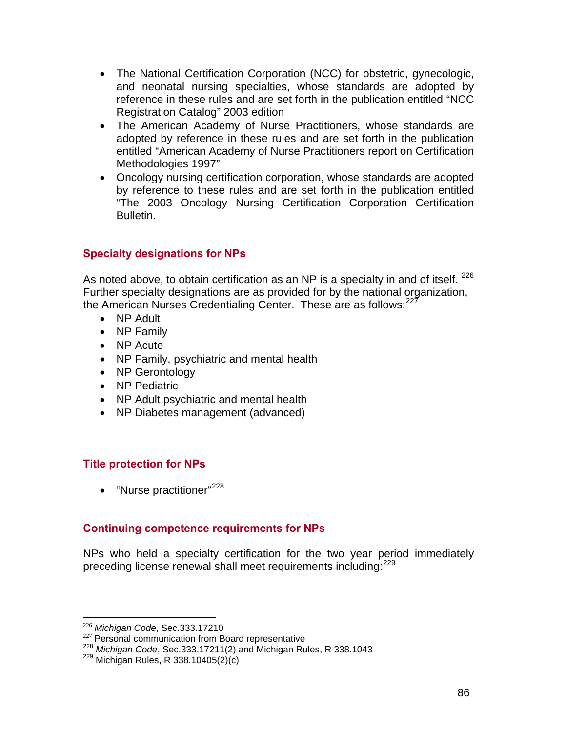- The National Certification Corporation (NCC) for obstetric, gynecologic, and neonatal nursing specialties, whose standards are adopted by reference in these rules and are set forth in the publication entitled "NCC Registration Catalog" 2003 edition
- The American Academy of Nurse Practitioners, whose standards are adopted by reference in these rules and are set forth in the publication entitled "American Academy of Nurse Practitioners report on Certification Methodologies 1997"
- Oncology nursing certification corporation, whose standards are adopted by reference to these rules and are set forth in the publication entitled "The 2003 Oncology Nursing Certification Corporation Certification Bulletin.

# **Specialty designations for NPs**

As noted above, to obtain certification as an NP is a specialty in and of itself. <sup>[22](#page-85-0)6</sup> Further specialty designations are as provided for by the national organization, the American Nurses Credentialing Center. These are as follows: $^{227}$  $^{227}$  $^{227}$ 

- NP Adult
- NP Family
- NP Acute
- NP Family, psychiatric and mental health
- NP Gerontology
- NP Pediatric
- NP Adult psychiatric and mental health
- NP Diabetes management (advanced)

## **Title protection for NPs**

• "Nurse practitioner" $^{228}$  $^{228}$  $^{228}$ 

## **Continuing competence requirements for NPs**

NPs who held a specialty certification for the two year period immediately preceding license renewal shall meet requirements including:<sup>[2](#page-85-3)29</sup>

<span id="page-85-0"></span> $226$  Michigan Code, Sec.333.17210

<span id="page-85-2"></span><span id="page-85-1"></span><sup>&</sup>lt;sup>227</sup> Personal communication from Board representative<br><sup>228</sup> *Michigan Code*, Sec.333.17211(2) and Michigan Rules, R 338.1043<br><sup>229</sup> Michigan Rules, R 338.10405(2)(c)

<span id="page-85-3"></span>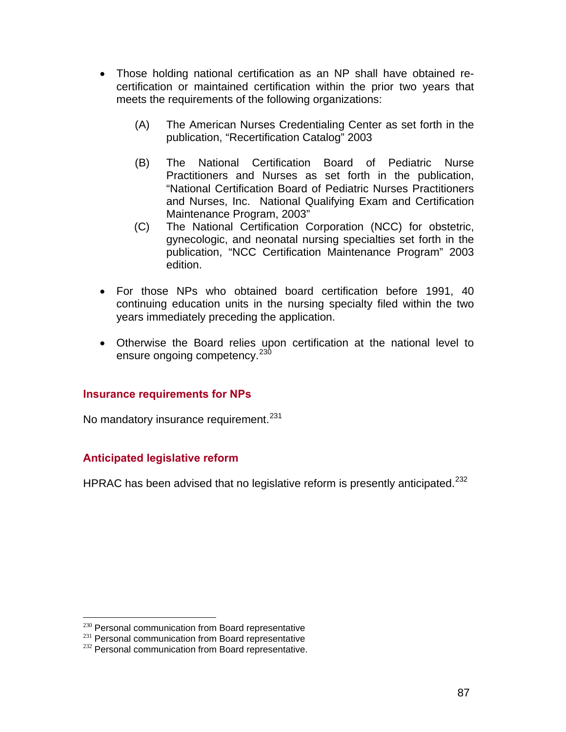- Those holding national certification as an NP shall have obtained recertification or maintained certification within the prior two years that meets the requirements of the following organizations:
	- (A) The American Nurses Credentialing Center as set forth in the publication, "Recertification Catalog" 2003
	- (B) The National Certification Board of Pediatric Nurse Practitioners and Nurses as set forth in the publication, "National Certification Board of Pediatric Nurses Practitioners and Nurses, Inc. National Qualifying Exam and Certification Maintenance Program, 2003"
	- (C) The National Certification Corporation (NCC) for obstetric, gynecologic, and neonatal nursing specialties set forth in the publication, "NCC Certification Maintenance Program" 2003 edition.
- For those NPs who obtained board certification before 1991, 40 continuing education units in the nursing specialty filed within the two years immediately preceding the application.
- Otherwise the Board relies upon certification at the national level to ensure ongoing competency.<sup>[2](#page-86-0)30</sup>

#### **Insurance requirements for NPs**

No mandatory insurance requirement.<sup>[2](#page-86-1)31</sup>

## **Anticipated legislative reform**

HPRAC has been advised that no legislative reform is presently anticipated.<sup>[2](#page-86-2)32</sup>

<span id="page-86-0"></span><sup>&</sup>lt;sup>230</sup> Personal communication from Board representative

<span id="page-86-2"></span><span id="page-86-1"></span> $231$  Personal communication from Board representative  $232$  Personal communication from Board representative.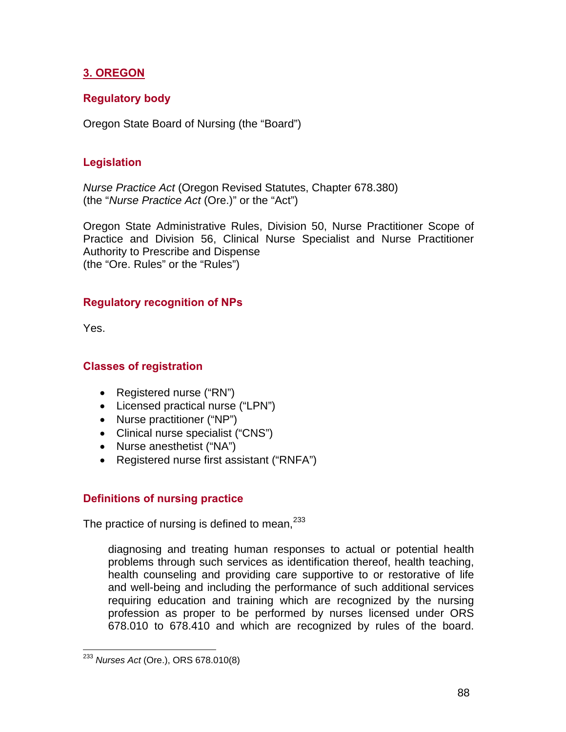# **3. OREGON**

## **Regulatory body**

Oregon State Board of Nursing (the "Board")

## **Legislation**

*Nurse Practice Act* (Oregon Revised Statutes, Chapter 678.380) (the "*Nurse Practice Act* (Ore.)" or the "Act")

Oregon State Administrative Rules, Division 50, Nurse Practitioner Scope of Practice and Division 56, Clinical Nurse Specialist and Nurse Practitioner Authority to Prescribe and Dispense (the "Ore. Rules" or the "Rules")

## **Regulatory recognition of NPs**

Yes.

 $\overline{a}$ 

## **Classes of registration**

- Registered nurse ("RN")
- Licensed practical nurse ("LPN")
- Nurse practitioner ("NP")
- Clinical nurse specialist ("CNS")
- Nurse anesthetist ("NA")
- Registered nurse first assistant ("RNFA")

## **Definitions of nursing practice**

The practice of nursing is defined to mean,  $233$  $233$ 

diagnosing and treating human responses to actual or potential health problems through such services as identification thereof, health teaching, health counseling and providing care supportive to or restorative of life and well-being and including the performance of such additional services requiring education and training which are recognized by the nursing profession as proper to be performed by nurses licensed under ORS 678.010 to 678.410 and which are recognized by rules of the board.

<span id="page-87-0"></span><sup>233</sup> *Nurses Act* (Ore.), ORS 678.010(8)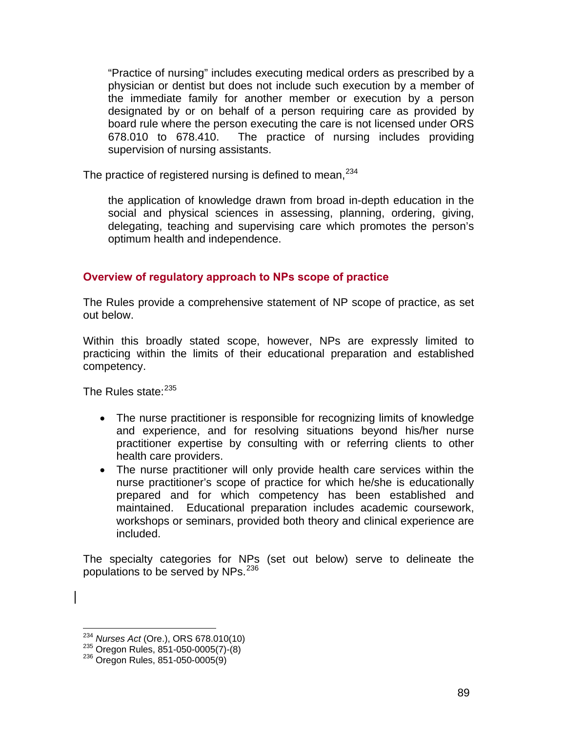"Practice of nursing" includes executing medical orders as prescribed by a physician or dentist but does not include such execution by a member of the immediate family for another member or execution by a person designated by or on behalf of a person requiring care as provided by board rule where the person executing the care is not licensed under ORS 678.010 to 678.410. The practice of nursing includes providing supervision of nursing assistants.

The practice of registered nursing is defined to mean,  $234$  $234$ 

the application of knowledge drawn from broad in-depth education in the social and physical sciences in assessing, planning, ordering, giving, delegating, teaching and supervising care which promotes the person's optimum health and independence.

## **Overview of regulatory approach to NPs scope of practice**

The Rules provide a comprehensive statement of NP scope of practice, as set out below.

Within this broadly stated scope, however, NPs are expressly limited to practicing within the limits of their educational preparation and established competency.

The Rules state:<sup>[2](#page-88-1)35</sup>

- The nurse practitioner is responsible for recognizing limits of knowledge and experience, and for resolving situations beyond his/her nurse practitioner expertise by consulting with or referring clients to other health care providers.
- The nurse practitioner will only provide health care services within the nurse practitioner's scope of practice for which he/she is educationally prepared and for which competency has been established and maintained. Educational preparation includes academic coursework, workshops or seminars, provided both theory and clinical experience are included.

The specialty categories for NPs (set out below) serve to delineate the populations to be served by NPs.[2](#page-88-2)36

 $\overline{a}$ 

<span id="page-88-1"></span><span id="page-88-0"></span><sup>&</sup>lt;sup>234</sup> *Nurses Act* (Ore.), ORS 678.010(10)<br><sup>235</sup> Oregon Rules, 851-050-0005(7)-(8)<br><sup>236</sup> Oregon Rules, 851-050-0005(9)

<span id="page-88-2"></span>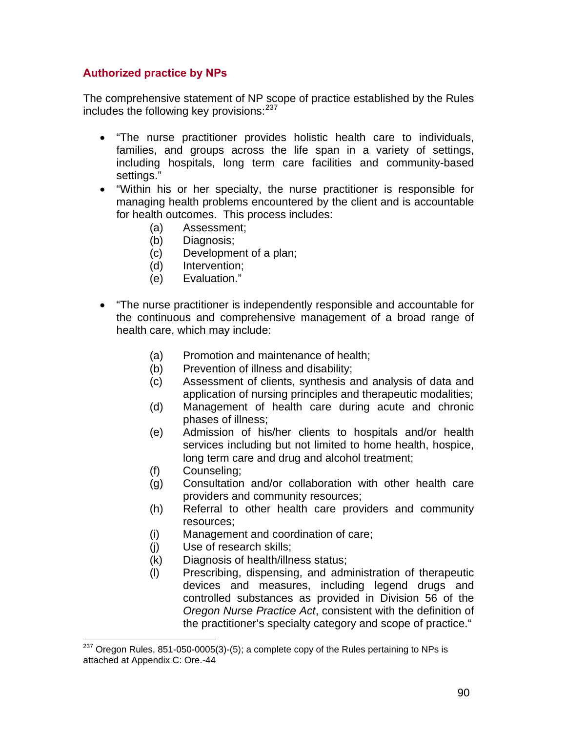## **Authorized practice by NPs**

The comprehensive statement of NP scope of practice established by the Rules includes the following key provisions:  $237$  $237$ 

- "The nurse practitioner provides holistic health care to individuals, families, and groups across the life span in a variety of settings, including hospitals, long term care facilities and community-based settings."
- "Within his or her specialty, the nurse practitioner is responsible for managing health problems encountered by the client and is accountable for health outcomes. This process includes:
	- (a) Assessment;
	- (b) Diagnosis;
	- (c) Development of a plan;
	- (d) Intervention;
	- (e) Evaluation."
- "The nurse practitioner is independently responsible and accountable for the continuous and comprehensive management of a broad range of health care, which may include:
	- (a) Promotion and maintenance of health;
	- (b) Prevention of illness and disability;
	- (c) Assessment of clients, synthesis and analysis of data and application of nursing principles and therapeutic modalities;
	- (d) Management of health care during acute and chronic phases of illness;
	- (e) Admission of his/her clients to hospitals and/or health services including but not limited to home health, hospice, long term care and drug and alcohol treatment;
	- (f) Counseling;

 $\overline{a}$ 

- (g) Consultation and/or collaboration with other health care providers and community resources;
- (h) Referral to other health care providers and community resources;
- (i) Management and coordination of care;
- (j) Use of research skills;
- (k) Diagnosis of health/illness status;
- (l) Prescribing, dispensing, and administration of therapeutic devices and measures, including legend drugs and controlled substances as provided in Division 56 of the *Oregon Nurse Practice Act*, consistent with the definition of the practitioner's specialty category and scope of practice."

<span id="page-89-0"></span> $237$  Oregon Rules, 851-050-0005(3)-(5); a complete copy of the Rules pertaining to NPs is attached at Appendix C: Ore.-44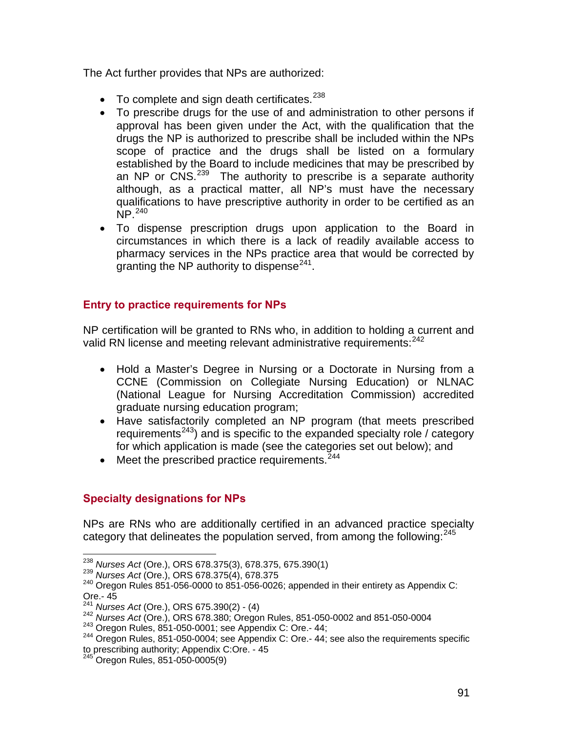The Act further provides that NPs are authorized:

- $\bullet$  To complete and sign death certificates.  $238$  $238$
- To prescribe drugs for the use of and administration to other persons if approval has been given under the Act, with the qualification that the drugs the NP is authorized to prescribe shall be included within the NPs scope of practice and the drugs shall be listed on a formulary established by the Board to include medicines that may be prescribed by an NP or CNS.<sup>[23](#page-90-1)9</sup> The authority to prescribe is a separate authority although, as a practical matter, all NP's must have the necessary qualifications to have prescriptive authority in order to be certified as an  $NP.<sup>240</sup>$  $NP.<sup>240</sup>$  $NP.<sup>240</sup>$
- To dispense prescription drugs upon application to the Board in circumstances in which there is a lack of readily available access to pharmacy services in the NPs practice area that would be corrected by granting the NP authority to dispense<sup>[2](#page-90-3)41</sup>.

# **Entry to practice requirements for NPs**

NP certification will be granted to RNs who, in addition to holding a current and valid RN license and meeting relevant administrative requirements: <sup>[2](#page-90-4)42</sup>

- Hold a Master's Degree in Nursing or a Doctorate in Nursing from a CCNE (Commission on Collegiate Nursing Education) or NLNAC (National League for Nursing Accreditation Commission) accredited graduate nursing education program;
- Have satisfactorily completed an NP program (that meets prescribed requirements<sup>[24](#page-90-5)3</sup>) and is specific to the expanded specialty role / category for which application is made (see the categories set out below); and
- Meet the prescribed practice requirements.  $244$  $244$

# **Specialty designations for NPs**

NPs are RNs who are additionally certified in an advanced practice specialty category that delineates the population served, from among the following: $245$  $245$ 

<span id="page-90-0"></span><sup>&</sup>lt;sup>238</sup> Nurses Act (Ore.), ORS 678.375(3), 678.375, 675.390(1)

<span id="page-90-2"></span><span id="page-90-1"></span><sup>239</sup> *Nurses Act* (Ore.), ORS 678.375(4), 678.375<br><sup>240</sup> Oregon Rules 851-056-0000 to 851-056-0026; appended in their entirety as Appendix C: Ore.- 45<br><sup>241</sup> Nurses Act (Ore.), ORS 675.390(2) - (4)

<span id="page-90-6"></span><span id="page-90-5"></span>

<span id="page-90-4"></span><span id="page-90-3"></span><sup>242</sup> Nurses Act (Ore.), ORS 678.380; Oregon Rules, 851-050-0002 and 851-050-0004<br>
243 Oregon Rules, 851-050-0001; see Appendix C: Ore.- 44;<br>
<sup>244</sup> Oregon Rules, 851-050-0004; see Appendix C: Ore.- 44; see also the requirem to prescribing authority; Appendix C:Ore. - 45

<span id="page-90-7"></span>Oregon Rules, 851-050-0005(9)